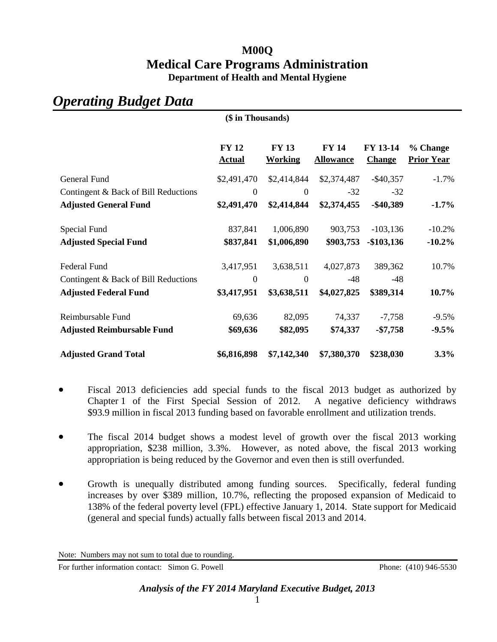## **M00Q Medical Care Programs Administration Department of Health and Mental Hygiene**

# *Operating Budget Data*

| (\$ in Thousands)                    |                               |                                |                                  |                           |                               |
|--------------------------------------|-------------------------------|--------------------------------|----------------------------------|---------------------------|-------------------------------|
|                                      | <b>FY 12</b><br><b>Actual</b> | <b>FY 13</b><br><b>Working</b> | <b>FY 14</b><br><b>Allowance</b> | FY 13-14<br><b>Change</b> | % Change<br><b>Prior Year</b> |
| General Fund                         | \$2,491,470                   | \$2,414,844                    | \$2,374,487                      | $-$ \$40,357              | $-1.7\%$                      |
| Contingent & Back of Bill Reductions | $\theta$                      | $\boldsymbol{0}$               | $-32$                            | $-32$                     |                               |
| <b>Adjusted General Fund</b>         | \$2,491,470                   | \$2,414,844                    | \$2,374,455                      | $-$ \$40,389              | $-1.7\%$                      |
| Special Fund                         | 837,841                       | 1,006,890                      | 903,753                          | $-103,136$                | $-10.2%$                      |
| <b>Adjusted Special Fund</b>         | \$837,841                     | \$1,006,890                    | \$903,753                        | $-$103,136$               | $-10.2\%$                     |
| <b>Federal Fund</b>                  | 3,417,951                     | 3,638,511                      | 4,027,873                        | 389,362                   | 10.7%                         |
| Contingent & Back of Bill Reductions | $\overline{0}$                | $\mathbf{0}$                   | $-48$                            | $-48$                     |                               |
| <b>Adjusted Federal Fund</b>         | \$3,417,951                   | \$3,638,511                    | \$4,027,825                      | \$389,314                 | $10.7\%$                      |
| Reimbursable Fund                    | 69,636                        | 82,095                         | 74,337                           | $-7,758$                  | $-9.5%$                       |
| <b>Adjusted Reimbursable Fund</b>    | \$69,636                      | \$82,095                       | \$74,337                         | $-$7,758$                 | $-9.5%$                       |
| <b>Adjusted Grand Total</b>          | \$6,816,898                   | \$7,142,340                    | \$7,380,370                      | \$238,030                 | 3.3%                          |

- Fiscal 2013 deficiencies add special funds to the fiscal 2013 budget as authorized by Chapter 1 of the First Special Session of 2012. A negative deficiency withdraws \$93.9 million in fiscal 2013 funding based on favorable enrollment and utilization trends.
- The fiscal 2014 budget shows a modest level of growth over the fiscal 2013 working appropriation, \$238 million, 3.3%. However, as noted above, the fiscal 2013 working appropriation is being reduced by the Governor and even then is still overfunded.
- Growth is unequally distributed among funding sources. Specifically, federal funding increases by over \$389 million, 10.7%, reflecting the proposed expansion of Medicaid to 138% of the federal poverty level (FPL) effective January 1, 2014. State support for Medicaid (general and special funds) actually falls between fiscal 2013 and 2014.

For further information contact: Simon G. Powell Phone: (410) 946-5530

Note: Numbers may not sum to total due to rounding.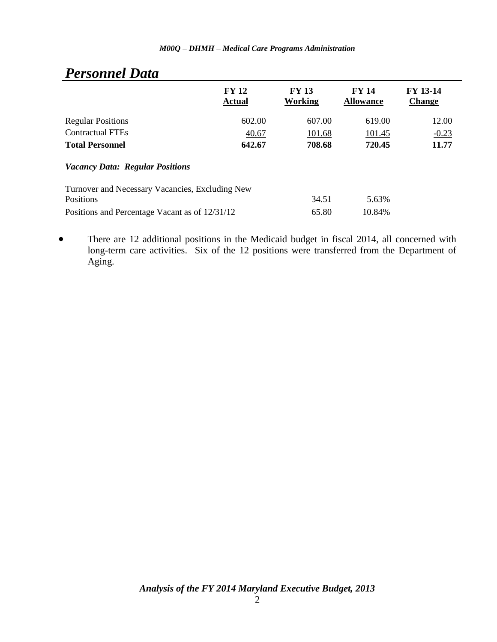| $\sim$ , $\sim$ , $\sim$ , $\sim$ , $\sim$ , $\sim$ , $\sim$ |                               |                         |                                  |                                  |
|--------------------------------------------------------------|-------------------------------|-------------------------|----------------------------------|----------------------------------|
|                                                              | <b>FY 12</b><br><b>Actual</b> | <b>FY 13</b><br>Working | <b>FY 14</b><br><b>Allowance</b> | <b>FY 13-14</b><br><b>Change</b> |
| <b>Regular Positions</b>                                     | 602.00                        | 607.00                  | 619.00                           | 12.00                            |
| <b>Contractual FTEs</b>                                      | 40.67                         | 101.68                  | 101.45                           | $-0.23$                          |
| <b>Total Personnel</b>                                       | 642.67                        | 708.68                  | 720.45                           | 11.77                            |
| <b>Vacancy Data: Regular Positions</b>                       |                               |                         |                                  |                                  |
| Turnover and Necessary Vacancies, Excluding New              |                               |                         |                                  |                                  |
| Positions                                                    |                               | 34.51                   | 5.63%                            |                                  |
| Positions and Percentage Vacant as of 12/31/12               |                               | 65.80                   | 10.84%                           |                                  |
|                                                              |                               |                         |                                  |                                  |

## *Personnel Data*

 There are 12 additional positions in the Medicaid budget in fiscal 2014, all concerned with long-term care activities. Six of the 12 positions were transferred from the Department of Aging.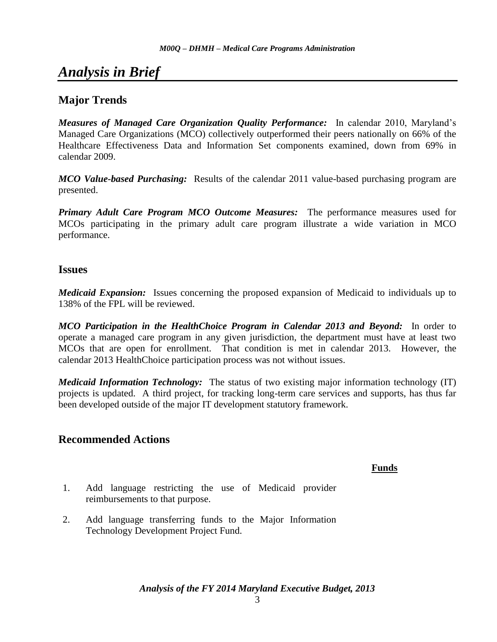# *Analysis in Brief*

## **Major Trends**

*Measures of Managed Care Organization Quality Performance:* In calendar 2010, Maryland's Managed Care Organizations (MCO) collectively outperformed their peers nationally on 66% of the Healthcare Effectiveness Data and Information Set components examined, down from 69% in calendar 2009.

*MCO Value-based Purchasing:* Results of the calendar 2011 value-based purchasing program are presented.

*Primary Adult Care Program MCO Outcome Measures:* The performance measures used for MCOs participating in the primary adult care program illustrate a wide variation in MCO performance.

#### **Issues**

*Medicaid Expansion:* Issues concerning the proposed expansion of Medicaid to individuals up to 138% of the FPL will be reviewed.

*MCO Participation in the HealthChoice Program in Calendar 2013 and Beyond:* In order to operate a managed care program in any given jurisdiction, the department must have at least two MCOs that are open for enrollment. That condition is met in calendar 2013. However, the calendar 2013 HealthChoice participation process was not without issues.

*Medicaid Information Technology:* The status of two existing major information technology (IT) projects is updated. A third project, for tracking long-term care services and supports, has thus far been developed outside of the major IT development statutory framework.

## **Recommended Actions**

#### **Funds**

- 1. Add language restricting the use of Medicaid provider reimbursements to that purpose.
- 2. Add language transferring funds to the Major Information Technology Development Project Fund.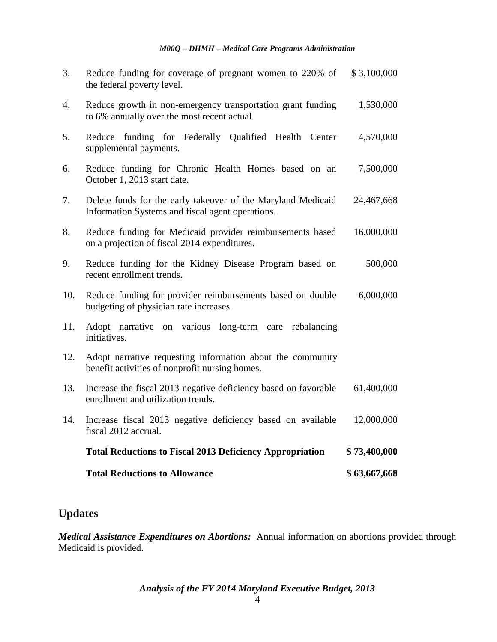|     | <b>Total Reductions to Allowance</b>                                                                             | \$63,667,668 |
|-----|------------------------------------------------------------------------------------------------------------------|--------------|
|     | <b>Total Reductions to Fiscal 2013 Deficiency Appropriation</b>                                                  | \$73,400,000 |
| 14. | Increase fiscal 2013 negative deficiency based on available<br>fiscal 2012 accrual.                              | 12,000,000   |
| 13. | Increase the fiscal 2013 negative deficiency based on favorable<br>enrollment and utilization trends.            | 61,400,000   |
| 12. | Adopt narrative requesting information about the community<br>benefit activities of nonprofit nursing homes.     |              |
| 11. | Adopt narrative on various long-term care rebalancing<br>initiatives.                                            |              |
| 10. | Reduce funding for provider reimbursements based on double<br>budgeting of physician rate increases.             | 6,000,000    |
| 9.  | Reduce funding for the Kidney Disease Program based on<br>recent enrollment trends.                              | 500,000      |
| 8.  | Reduce funding for Medicaid provider reimbursements based<br>on a projection of fiscal 2014 expenditures.        | 16,000,000   |
| 7.  | Delete funds for the early takeover of the Maryland Medicaid<br>Information Systems and fiscal agent operations. | 24,467,668   |
| 6.  | Reduce funding for Chronic Health Homes based on an<br>October 1, 2013 start date.                               | 7,500,000    |
| 5.  | funding for Federally Qualified Health Center<br>Reduce<br>supplemental payments.                                | 4,570,000    |
| 4.  | Reduce growth in non-emergency transportation grant funding<br>to 6% annually over the most recent actual.       | 1,530,000    |
| 3.  | Reduce funding for coverage of pregnant women to 220% of<br>the federal poverty level.                           | \$3,100,000  |

## **Updates**

*Medical Assistance Expenditures on Abortions:* Annual information on abortions provided through Medicaid is provided.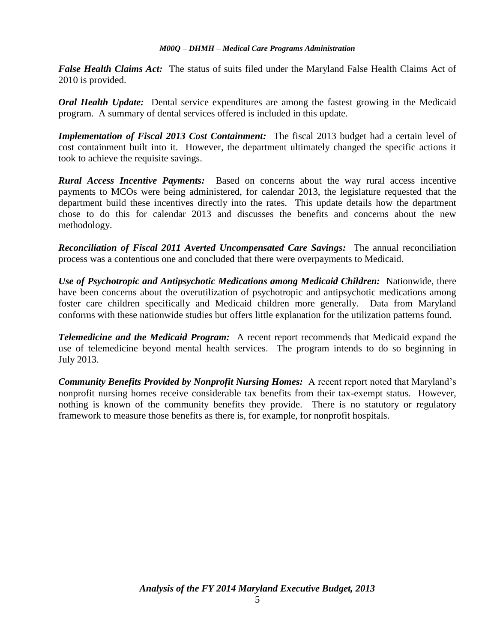*False Health Claims Act:* The status of suits filed under the Maryland False Health Claims Act of 2010 is provided.

*Oral Health Update:* Dental service expenditures are among the fastest growing in the Medicaid program. A summary of dental services offered is included in this update.

*Implementation of Fiscal 2013 Cost Containment:* The fiscal 2013 budget had a certain level of cost containment built into it. However, the department ultimately changed the specific actions it took to achieve the requisite savings.

*Rural Access Incentive Payments:* Based on concerns about the way rural access incentive payments to MCOs were being administered, for calendar 2013, the legislature requested that the department build these incentives directly into the rates. This update details how the department chose to do this for calendar 2013 and discusses the benefits and concerns about the new methodology.

*Reconciliation of Fiscal 2011 Averted Uncompensated Care Savings:* The annual reconciliation process was a contentious one and concluded that there were overpayments to Medicaid.

*Use of Psychotropic and Antipsychotic Medications among Medicaid Children:* Nationwide, there have been concerns about the overutilization of psychotropic and antipsychotic medications among foster care children specifically and Medicaid children more generally. Data from Maryland conforms with these nationwide studies but offers little explanation for the utilization patterns found.

*Telemedicine and the Medicaid Program:* A recent report recommends that Medicaid expand the use of telemedicine beyond mental health services. The program intends to do so beginning in July 2013.

*Community Benefits Provided by Nonprofit Nursing Homes:* A recent report noted that Maryland's nonprofit nursing homes receive considerable tax benefits from their tax-exempt status. However, nothing is known of the community benefits they provide. There is no statutory or regulatory framework to measure those benefits as there is, for example, for nonprofit hospitals.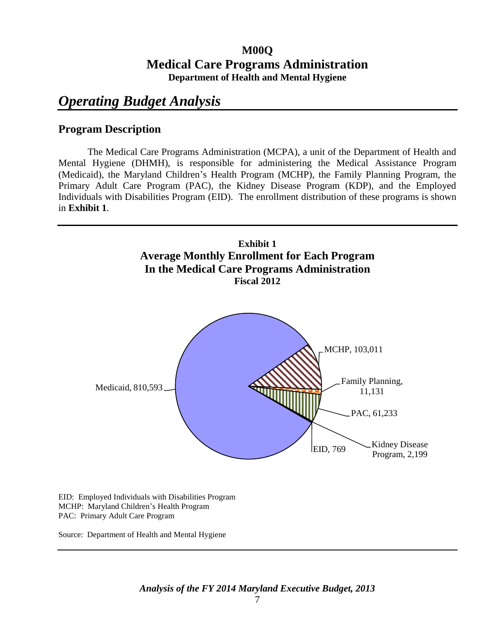## **M00Q Medical Care Programs Administration Department of Health and Mental Hygiene**

# *Operating Budget Analysis*

## **Program Description**

The Medical Care Programs Administration (MCPA), a unit of the Department of Health and Mental Hygiene (DHMH), is responsible for administering the Medical Assistance Program (Medicaid), the Maryland Children's Health Program (MCHP), the Family Planning Program, the Primary Adult Care Program (PAC), the Kidney Disease Program (KDP), and the Employed Individuals with Disabilities Program (EID). The enrollment distribution of these programs is shown in **Exhibit 1**.



EID: Employed Individuals with Disabilities Program MCHP: Maryland Children's Health Program PAC: Primary Adult Care Program

Source: Department of Health and Mental Hygiene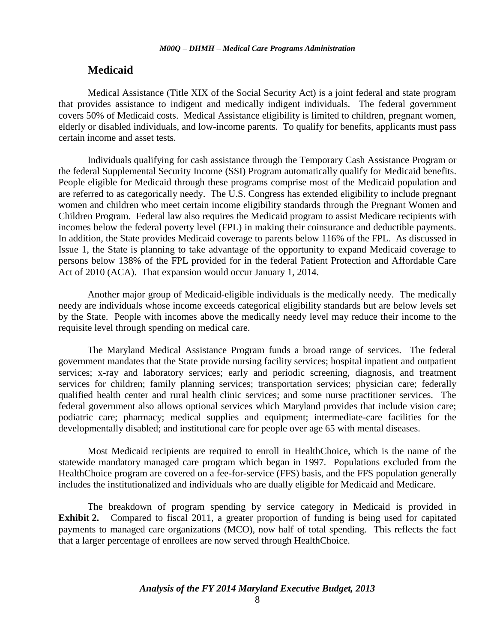#### **Medicaid**

Medical Assistance (Title XIX of the Social Security Act) is a joint federal and state program that provides assistance to indigent and medically indigent individuals. The federal government covers 50% of Medicaid costs. Medical Assistance eligibility is limited to children, pregnant women, elderly or disabled individuals, and low-income parents. To qualify for benefits, applicants must pass certain income and asset tests.

Individuals qualifying for cash assistance through the Temporary Cash Assistance Program or the federal Supplemental Security Income (SSI) Program automatically qualify for Medicaid benefits. People eligible for Medicaid through these programs comprise most of the Medicaid population and are referred to as categorically needy. The U.S. Congress has extended eligibility to include pregnant women and children who meet certain income eligibility standards through the Pregnant Women and Children Program. Federal law also requires the Medicaid program to assist Medicare recipients with incomes below the federal poverty level (FPL) in making their coinsurance and deductible payments. In addition, the State provides Medicaid coverage to parents below 116% of the FPL. As discussed in Issue 1, the State is planning to take advantage of the opportunity to expand Medicaid coverage to persons below 138% of the FPL provided for in the federal Patient Protection and Affordable Care Act of 2010 (ACA). That expansion would occur January 1, 2014.

Another major group of Medicaid-eligible individuals is the medically needy. The medically needy are individuals whose income exceeds categorical eligibility standards but are below levels set by the State. People with incomes above the medically needy level may reduce their income to the requisite level through spending on medical care.

The Maryland Medical Assistance Program funds a broad range of services. The federal government mandates that the State provide nursing facility services; hospital inpatient and outpatient services; x-ray and laboratory services; early and periodic screening, diagnosis, and treatment services for children; family planning services; transportation services; physician care; federally qualified health center and rural health clinic services; and some nurse practitioner services. The federal government also allows optional services which Maryland provides that include vision care; podiatric care; pharmacy; medical supplies and equipment; intermediate-care facilities for the developmentally disabled; and institutional care for people over age 65 with mental diseases.

Most Medicaid recipients are required to enroll in HealthChoice, which is the name of the statewide mandatory managed care program which began in 1997. Populations excluded from the HealthChoice program are covered on a fee-for-service (FFS) basis, and the FFS population generally includes the institutionalized and individuals who are dually eligible for Medicaid and Medicare.

The breakdown of program spending by service category in Medicaid is provided in **Exhibit 2.** Compared to fiscal 2011, a greater proportion of funding is being used for capitated payments to managed care organizations (MCO), now half of total spending. This reflects the fact that a larger percentage of enrollees are now served through HealthChoice.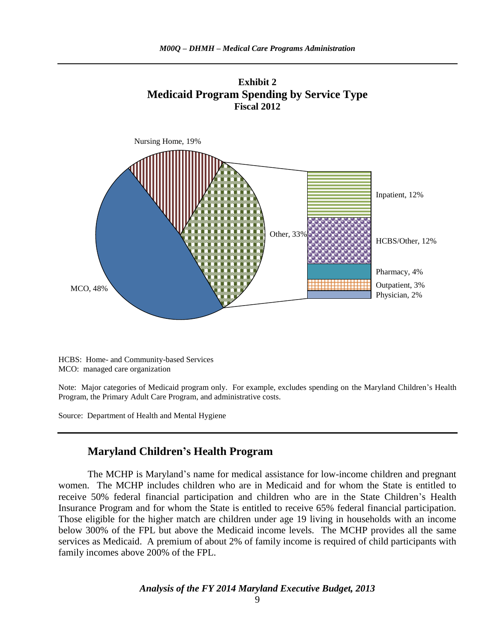



HCBS: Home- and Community-based Services MCO: managed care organization

Note: Major categories of Medicaid program only. For example, excludes spending on the Maryland Children's Health Program, the Primary Adult Care Program, and administrative costs.

Source: Department of Health and Mental Hygiene

## **Maryland Children's Health Program**

The MCHP is Maryland's name for medical assistance for low-income children and pregnant women. The MCHP includes children who are in Medicaid and for whom the State is entitled to receive 50% federal financial participation and children who are in the State Children's Health Insurance Program and for whom the State is entitled to receive 65% federal financial participation. Those eligible for the higher match are children under age 19 living in households with an income below 300% of the FPL but above the Medicaid income levels. The MCHP provides all the same services as Medicaid. A premium of about 2% of family income is required of child participants with family incomes above 200% of the FPL.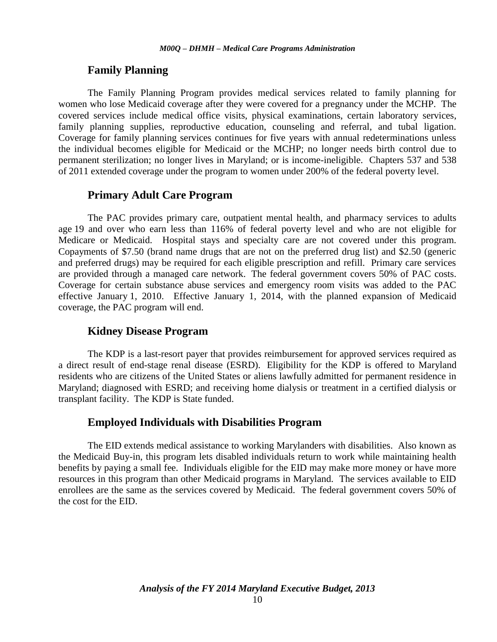#### **Family Planning**

The Family Planning Program provides medical services related to family planning for women who lose Medicaid coverage after they were covered for a pregnancy under the MCHP. The covered services include medical office visits, physical examinations, certain laboratory services, family planning supplies, reproductive education, counseling and referral, and tubal ligation. Coverage for family planning services continues for five years with annual redeterminations unless the individual becomes eligible for Medicaid or the MCHP; no longer needs birth control due to permanent sterilization; no longer lives in Maryland; or is income-ineligible. Chapters 537 and 538 of 2011 extended coverage under the program to women under 200% of the federal poverty level.

#### **Primary Adult Care Program**

The PAC provides primary care, outpatient mental health, and pharmacy services to adults age 19 and over who earn less than 116% of federal poverty level and who are not eligible for Medicare or Medicaid. Hospital stays and specialty care are not covered under this program. Copayments of \$7.50 (brand name drugs that are not on the preferred drug list) and \$2.50 (generic and preferred drugs) may be required for each eligible prescription and refill. Primary care services are provided through a managed care network. The federal government covers 50% of PAC costs. Coverage for certain substance abuse services and emergency room visits was added to the PAC effective January 1, 2010. Effective January 1, 2014, with the planned expansion of Medicaid coverage, the PAC program will end.

#### **Kidney Disease Program**

The KDP is a last-resort payer that provides reimbursement for approved services required as a direct result of end-stage renal disease (ESRD). Eligibility for the KDP is offered to Maryland residents who are citizens of the United States or aliens lawfully admitted for permanent residence in Maryland; diagnosed with ESRD; and receiving home dialysis or treatment in a certified dialysis or transplant facility. The KDP is State funded.

#### **Employed Individuals with Disabilities Program**

The EID extends medical assistance to working Marylanders with disabilities. Also known as the Medicaid Buy-in, this program lets disabled individuals return to work while maintaining health benefits by paying a small fee. Individuals eligible for the EID may make more money or have more resources in this program than other Medicaid programs in Maryland. The services available to EID enrollees are the same as the services covered by Medicaid. The federal government covers 50% of the cost for the EID.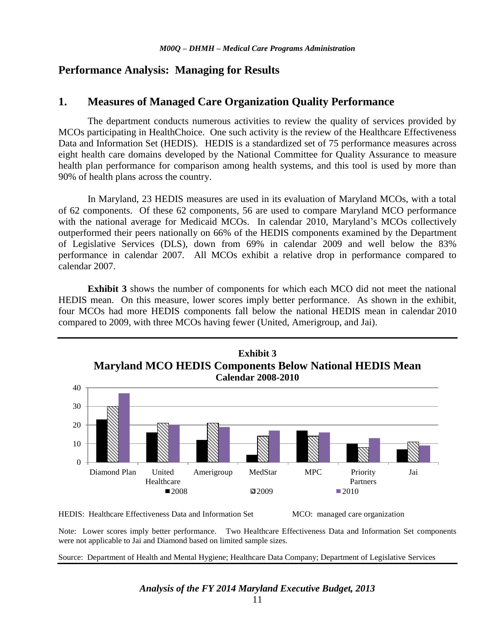#### **Performance Analysis: Managing for Results**

#### **1. Measures of Managed Care Organization Quality Performance**

The department conducts numerous activities to review the quality of services provided by MCOs participating in HealthChoice. One such activity is the review of the Healthcare Effectiveness Data and Information Set (HEDIS). HEDIS is a standardized set of 75 performance measures across eight health care domains developed by the National Committee for Quality Assurance to measure health plan performance for comparison among health systems, and this tool is used by more than 90% of health plans across the country.

In Maryland, 23 HEDIS measures are used in its evaluation of Maryland MCOs, with a total of 62 components. Of these 62 components, 56 are used to compare Maryland MCO performance with the national average for Medicaid MCOs. In calendar 2010, Maryland's MCOs collectively outperformed their peers nationally on 66% of the HEDIS components examined by the Department of Legislative Services (DLS), down from 69% in calendar 2009 and well below the 83% performance in calendar 2007. All MCOs exhibit a relative drop in performance compared to calendar 2007.

**Exhibit 3** shows the number of components for which each MCO did not meet the national HEDIS mean. On this measure, lower scores imply better performance. As shown in the exhibit, four MCOs had more HEDIS components fall below the national HEDIS mean in calendar 2010 compared to 2009, with three MCOs having fewer (United, Amerigroup, and Jai).



HEDIS: Healthcare Effectiveness Data and Information Set MCO: managed care organization

Note: Lower scores imply better performance. Two Healthcare Effectiveness Data and Information Set components were not applicable to Jai and Diamond based on limited sample sizes.

Source: Department of Health and Mental Hygiene; Healthcare Data Company; Department of Legislative Services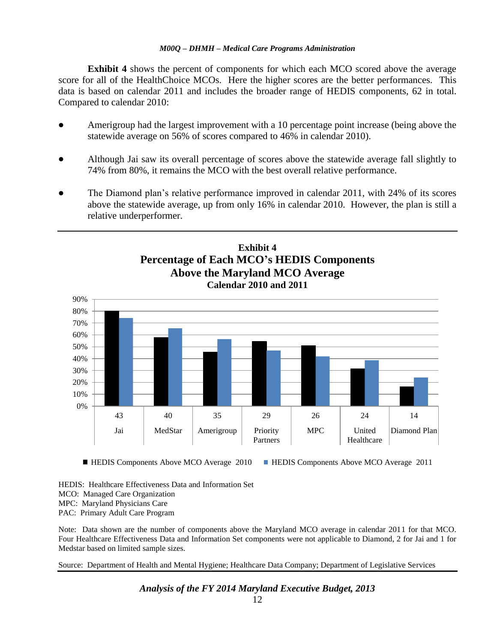**Exhibit 4** shows the percent of components for which each MCO scored above the average score for all of the HealthChoice MCOs. Here the higher scores are the better performances. This data is based on calendar 2011 and includes the broader range of HEDIS components, 62 in total. Compared to calendar 2010:

- Amerigroup had the largest improvement with a 10 percentage point increase (being above the statewide average on 56% of scores compared to 46% in calendar 2010).
- Although Jai saw its overall percentage of scores above the statewide average fall slightly to 74% from 80%, it remains the MCO with the best overall relative performance.
- The Diamond plan's relative performance improved in calendar 2011, with 24% of its scores above the statewide average, up from only 16% in calendar 2010. However, the plan is still a relative underperformer.



■ HEDIS Components Above MCO Average 2010 ■ HEDIS Components Above MCO Average 2011

HEDIS: Healthcare Effectiveness Data and Information Set MCO: Managed Care Organization MPC: Maryland Physicians Care PAC: Primary Adult Care Program

Note: Data shown are the number of components above the Maryland MCO average in calendar 2011 for that MCO. Four Healthcare Effectiveness Data and Information Set components were not applicable to Diamond, 2 for Jai and 1 for Medstar based on limited sample sizes.

Source: Department of Health and Mental Hygiene; Healthcare Data Company; Department of Legislative Services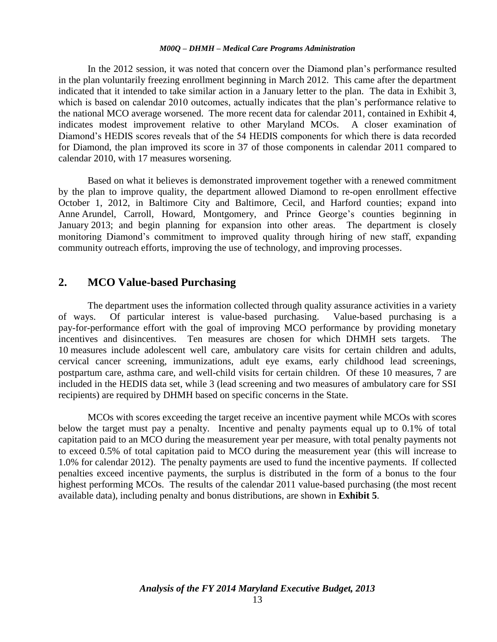In the 2012 session, it was noted that concern over the Diamond plan's performance resulted in the plan voluntarily freezing enrollment beginning in March 2012. This came after the department indicated that it intended to take similar action in a January letter to the plan. The data in Exhibit 3, which is based on calendar 2010 outcomes, actually indicates that the plan's performance relative to the national MCO average worsened. The more recent data for calendar 2011, contained in Exhibit 4, indicates modest improvement relative to other Maryland MCOs. A closer examination of Diamond's HEDIS scores reveals that of the 54 HEDIS components for which there is data recorded for Diamond, the plan improved its score in 37 of those components in calendar 2011 compared to calendar 2010, with 17 measures worsening.

Based on what it believes is demonstrated improvement together with a renewed commitment by the plan to improve quality, the department allowed Diamond to re-open enrollment effective October 1, 2012, in Baltimore City and Baltimore, Cecil, and Harford counties; expand into Anne Arundel, Carroll, Howard, Montgomery, and Prince George's counties beginning in January 2013; and begin planning for expansion into other areas. The department is closely monitoring Diamond's commitment to improved quality through hiring of new staff, expanding community outreach efforts, improving the use of technology, and improving processes.

## **2. MCO Value-based Purchasing**

The department uses the information collected through quality assurance activities in a variety of ways. Of particular interest is value-based purchasing. Value-based purchasing is a pay-for-performance effort with the goal of improving MCO performance by providing monetary incentives and disincentives. Ten measures are chosen for which DHMH sets targets. The 10 measures include adolescent well care, ambulatory care visits for certain children and adults, cervical cancer screening, immunizations, adult eye exams, early childhood lead screenings, postpartum care, asthma care, and well-child visits for certain children. Of these 10 measures, 7 are included in the HEDIS data set, while 3 (lead screening and two measures of ambulatory care for SSI recipients) are required by DHMH based on specific concerns in the State.

MCOs with scores exceeding the target receive an incentive payment while MCOs with scores below the target must pay a penalty. Incentive and penalty payments equal up to 0.1% of total capitation paid to an MCO during the measurement year per measure, with total penalty payments not to exceed 0.5% of total capitation paid to MCO during the measurement year (this will increase to 1.0% for calendar 2012). The penalty payments are used to fund the incentive payments. If collected penalties exceed incentive payments, the surplus is distributed in the form of a bonus to the four highest performing MCOs. The results of the calendar 2011 value-based purchasing (the most recent available data), including penalty and bonus distributions, are shown in **Exhibit 5**.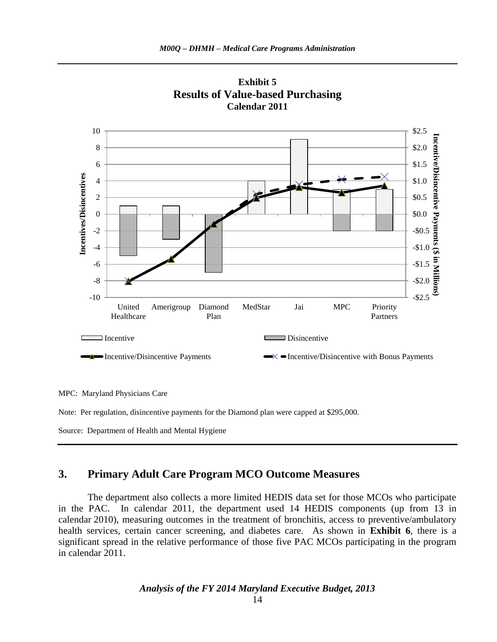



MPC: Maryland Physicians Care

Note: Per regulation, disincentive payments for the Diamond plan were capped at \$295,000.

Source: Department of Health and Mental Hygiene

## **3. Primary Adult Care Program MCO Outcome Measures**

The department also collects a more limited HEDIS data set for those MCOs who participate in the PAC. In calendar 2011, the department used 14 HEDIS components (up from 13 in calendar 2010), measuring outcomes in the treatment of bronchitis, access to preventive/ambulatory health services, certain cancer screening, and diabetes care. As shown in **Exhibit 6**, there is a significant spread in the relative performance of those five PAC MCOs participating in the program in calendar 2011.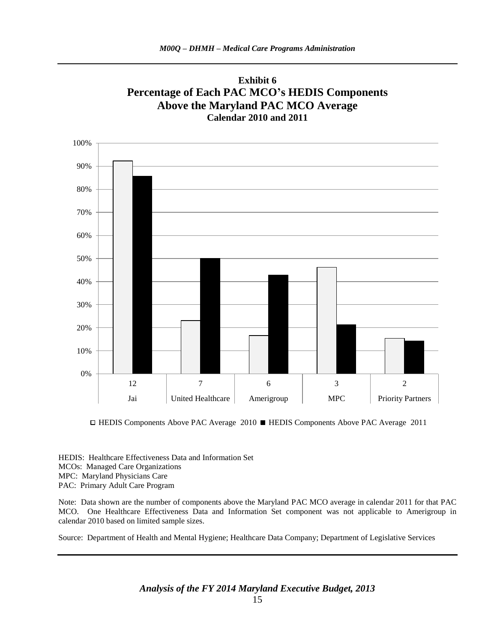

**Exhibit 6 Percentage of Each PAC MCO's HEDIS Components Above the Maryland PAC MCO Average**

HEDIS Components Above PAC Average 2010 HEDIS Components Above PAC Average 2011

HEDIS: Healthcare Effectiveness Data and Information Set MCOs: Managed Care Organizations MPC: Maryland Physicians Care PAC: Primary Adult Care Program

Note: Data shown are the number of components above the Maryland PAC MCO average in calendar 2011 for that PAC MCO. One Healthcare Effectiveness Data and Information Set component was not applicable to Amerigroup in calendar 2010 based on limited sample sizes.

Source: Department of Health and Mental Hygiene; Healthcare Data Company; Department of Legislative Services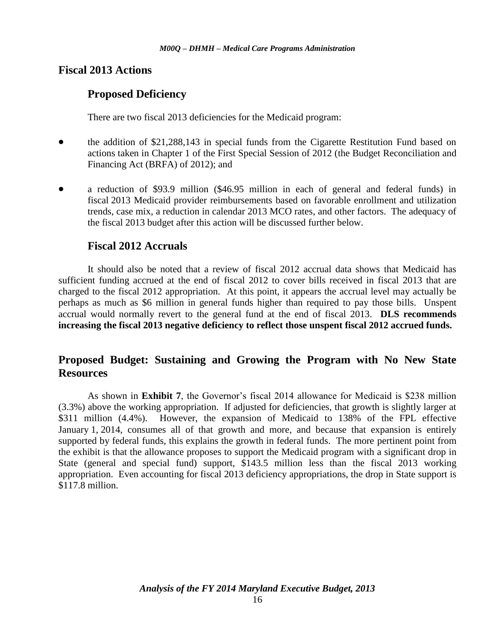## **Fiscal 2013 Actions**

## **Proposed Deficiency**

There are two fiscal 2013 deficiencies for the Medicaid program:

- the addition of \$21,288,143 in special funds from the Cigarette Restitution Fund based on actions taken in Chapter 1 of the First Special Session of 2012 (the Budget Reconciliation and Financing Act (BRFA) of 2012); and
- a reduction of \$93.9 million (\$46.95 million in each of general and federal funds) in fiscal 2013 Medicaid provider reimbursements based on favorable enrollment and utilization trends, case mix, a reduction in calendar 2013 MCO rates, and other factors. The adequacy of the fiscal 2013 budget after this action will be discussed further below.

## **Fiscal 2012 Accruals**

It should also be noted that a review of fiscal 2012 accrual data shows that Medicaid has sufficient funding accrued at the end of fiscal 2012 to cover bills received in fiscal 2013 that are charged to the fiscal 2012 appropriation. At this point, it appears the accrual level may actually be perhaps as much as \$6 million in general funds higher than required to pay those bills. Unspent accrual would normally revert to the general fund at the end of fiscal 2013. **DLS recommends increasing the fiscal 2013 negative deficiency to reflect those unspent fiscal 2012 accrued funds.**

## **Proposed Budget: Sustaining and Growing the Program with No New State Resources**

As shown in **Exhibit 7**, the Governor's fiscal 2014 allowance for Medicaid is \$238 million (3.3%) above the working appropriation. If adjusted for deficiencies, that growth is slightly larger at \$311 million (4.4%). However, the expansion of Medicaid to 138% of the FPL effective January 1, 2014, consumes all of that growth and more, and because that expansion is entirely supported by federal funds, this explains the growth in federal funds. The more pertinent point from the exhibit is that the allowance proposes to support the Medicaid program with a significant drop in State (general and special fund) support, \$143.5 million less than the fiscal 2013 working appropriation. Even accounting for fiscal 2013 deficiency appropriations, the drop in State support is \$117.8 million.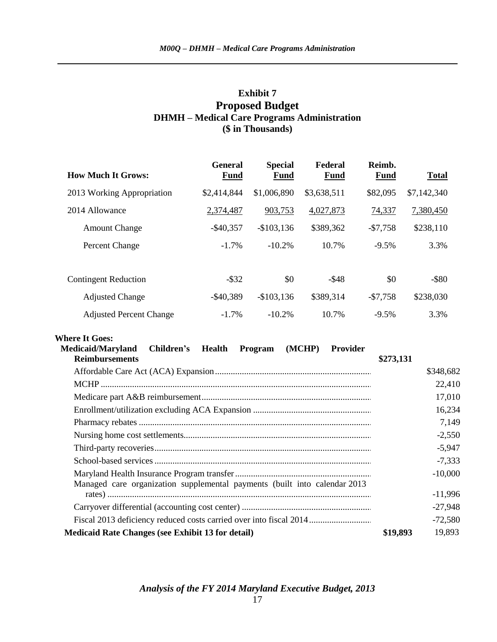## **Exhibit 7 Proposed Budget DHMH – Medical Care Programs Administration (\$ in Thousands)**

| <b>How Much It Grows:</b>      | <b>General</b><br>Fund | <b>Special</b><br><b>Fund</b> | Federal<br><b>Fund</b> | Reimb.<br>Fund | <b>Total</b> |
|--------------------------------|------------------------|-------------------------------|------------------------|----------------|--------------|
| 2013 Working Appropriation     | \$2,414,844            | \$1,006,890                   | \$3,638,511            | \$82,095       | \$7,142,340  |
| 2014 Allowance                 | 2,374,487              | 903,753                       | 4,027,873              | 74,337         | 7,380,450    |
| <b>Amount Change</b>           | $-$ \$40,357           | $-$103,136$                   | \$389,362              | $-$7,758$      | \$238,110    |
| Percent Change                 | $-1.7\%$               | $-10.2%$                      | 10.7%                  | $-9.5%$        | 3.3%         |
|                                |                        |                               |                        |                |              |
| <b>Contingent Reduction</b>    | $-$ \$32               | \$0                           | $-$ \$48               | \$0            | $-$ \$80     |
| <b>Adjusted Change</b>         | $-$ \$40,389           | $-$103,136$                   | \$389,314              | $-$7,758$      | \$238,030    |
| <b>Adjusted Percent Change</b> | $-1.7\%$               | $-10.2%$                      | 10.7%                  | $-9.5%$        | 3.3%         |

#### **Where It Goes:**

| <b>Children's</b> Health<br><b>Medicaid/Maryland</b><br>(MCHP)<br><b>Provider</b><br>Program |           |           |
|----------------------------------------------------------------------------------------------|-----------|-----------|
| <b>Reimbursements</b>                                                                        | \$273,131 |           |
|                                                                                              |           | \$348,682 |
|                                                                                              |           | 22,410    |
|                                                                                              |           | 17,010    |
|                                                                                              |           | 16,234    |
|                                                                                              |           | 7,149     |
|                                                                                              |           | $-2,550$  |
|                                                                                              |           | $-5,947$  |
|                                                                                              |           | $-7,333$  |
| Managed care organization supplemental payments (built into calendar 2013)                   |           | $-10,000$ |
|                                                                                              |           | $-11,996$ |
|                                                                                              |           | $-27,948$ |
|                                                                                              |           | $-72,580$ |
| <b>Medicaid Rate Changes (see Exhibit 13 for detail)</b>                                     | \$19,893  | 19,893    |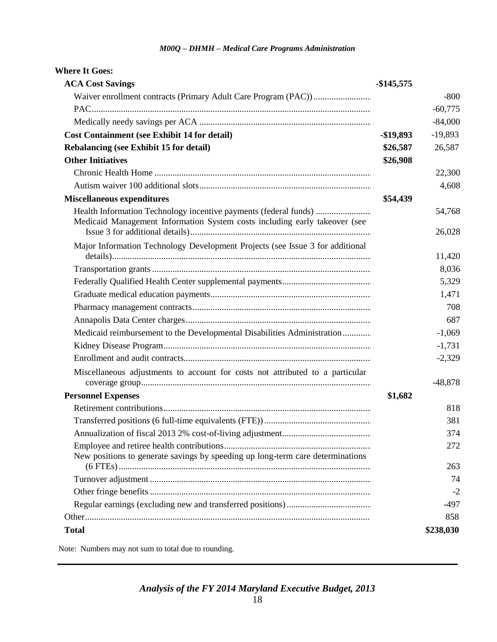| <b>Where It Goes:</b>                                                                                                                          |            |                  |
|------------------------------------------------------------------------------------------------------------------------------------------------|------------|------------------|
| <b>ACA Cost Savings</b>                                                                                                                        | -\$145,575 |                  |
|                                                                                                                                                |            | $-800$           |
|                                                                                                                                                |            | $-60,775$        |
|                                                                                                                                                |            | $-84,000$        |
| <b>Cost Containment (see Exhibit 14 for detail)</b>                                                                                            | $-$19,893$ | $-19,893$        |
| <b>Rebalancing (see Exhibit 15 for detail)</b>                                                                                                 | \$26,587   | 26,587           |
| <b>Other Initiatives</b>                                                                                                                       | \$26,908   |                  |
|                                                                                                                                                |            | 22,300           |
|                                                                                                                                                |            | 4,608            |
| <b>Miscellaneous expenditures</b>                                                                                                              | \$54,439   |                  |
| Health Information Technology incentive payments (federal funds)<br>Medicaid Management Information System costs including early takeover (see |            | 54,768<br>26,028 |
| Major Information Technology Development Projects (see Issue 3 for additional                                                                  |            | 11,420           |
|                                                                                                                                                |            | 8,036            |
|                                                                                                                                                |            | 5,329            |
|                                                                                                                                                |            | 1,471            |
|                                                                                                                                                |            | 708              |
|                                                                                                                                                |            | 687              |
| Medicaid reimbursement to the Developmental Disabilities Administration                                                                        |            | $-1,069$         |
|                                                                                                                                                |            | $-1,731$         |
|                                                                                                                                                |            | $-2,329$         |
| Miscellaneous adjustments to account for costs not attributed to a particular                                                                  |            | $-48,878$        |
| <b>Personnel Expenses</b>                                                                                                                      | \$1,682    |                  |
|                                                                                                                                                |            | 818              |
|                                                                                                                                                |            | 381              |
|                                                                                                                                                |            | 374              |
| New positions to generate savings by speeding up long-term care determinations                                                                 |            | 272              |
|                                                                                                                                                |            | 263              |
|                                                                                                                                                |            | 74               |
|                                                                                                                                                |            | $-2$             |
|                                                                                                                                                |            | -497             |
| <b>Total</b>                                                                                                                                   |            | 858<br>\$238,030 |

Note: Numbers may not sum to total due to rounding.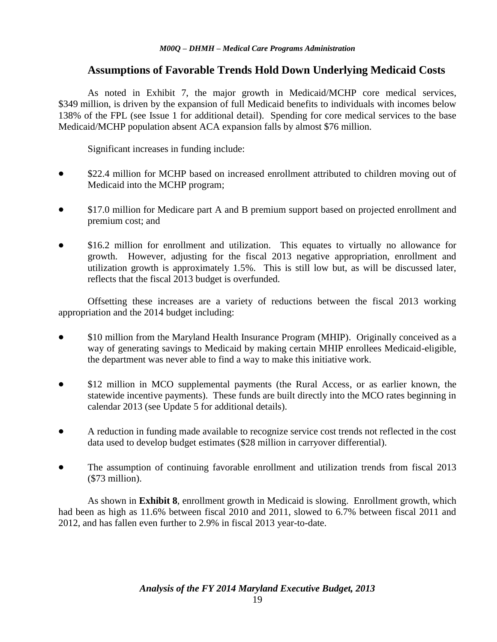## **Assumptions of Favorable Trends Hold Down Underlying Medicaid Costs**

As noted in Exhibit 7, the major growth in Medicaid/MCHP core medical services, \$349 million, is driven by the expansion of full Medicaid benefits to individuals with incomes below 138% of the FPL (see Issue 1 for additional detail). Spending for core medical services to the base Medicaid/MCHP population absent ACA expansion falls by almost \$76 million.

Significant increases in funding include:

- \$22.4 million for MCHP based on increased enrollment attributed to children moving out of Medicaid into the MCHP program;
- \$17.0 million for Medicare part A and B premium support based on projected enrollment and premium cost; and
- \$16.2 million for enrollment and utilization. This equates to virtually no allowance for growth. However, adjusting for the fiscal 2013 negative appropriation, enrollment and utilization growth is approximately 1.5%. This is still low but, as will be discussed later, reflects that the fiscal 2013 budget is overfunded.

Offsetting these increases are a variety of reductions between the fiscal 2013 working appropriation and the 2014 budget including:

- \$10 million from the Maryland Health Insurance Program (MHIP). Originally conceived as a way of generating savings to Medicaid by making certain MHIP enrollees Medicaid-eligible, the department was never able to find a way to make this initiative work.
- \$12 million in MCO supplemental payments (the Rural Access, or as earlier known, the statewide incentive payments). These funds are built directly into the MCO rates beginning in calendar 2013 (see Update 5 for additional details).
- A reduction in funding made available to recognize service cost trends not reflected in the cost data used to develop budget estimates (\$28 million in carryover differential).
- The assumption of continuing favorable enrollment and utilization trends from fiscal 2013 (\$73 million).

As shown in **Exhibit 8**, enrollment growth in Medicaid is slowing. Enrollment growth, which had been as high as 11.6% between fiscal 2010 and 2011, slowed to 6.7% between fiscal 2011 and 2012, and has fallen even further to 2.9% in fiscal 2013 year-to-date.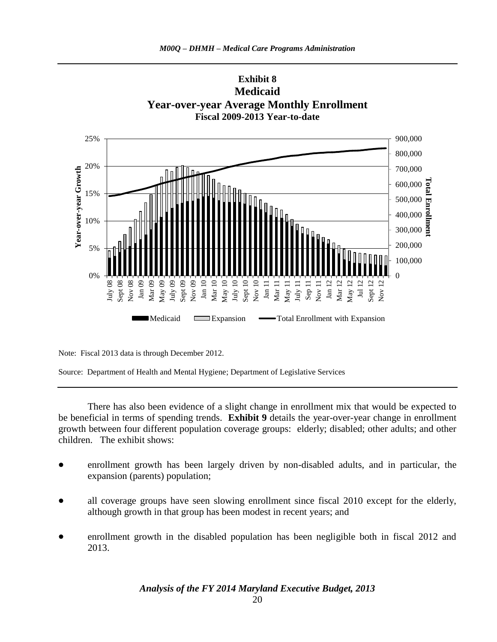

Note: Fiscal 2013 data is through December 2012.

Source: Department of Health and Mental Hygiene; Department of Legislative Services

There has also been evidence of a slight change in enrollment mix that would be expected to be beneficial in terms of spending trends. **Exhibit 9** details the year-over-year change in enrollment growth between four different population coverage groups: elderly; disabled; other adults; and other children. The exhibit shows:

- enrollment growth has been largely driven by non-disabled adults, and in particular, the expansion (parents) population;
- all coverage groups have seen slowing enrollment since fiscal 2010 except for the elderly, although growth in that group has been modest in recent years; and
- enrollment growth in the disabled population has been negligible both in fiscal 2012 and 2013.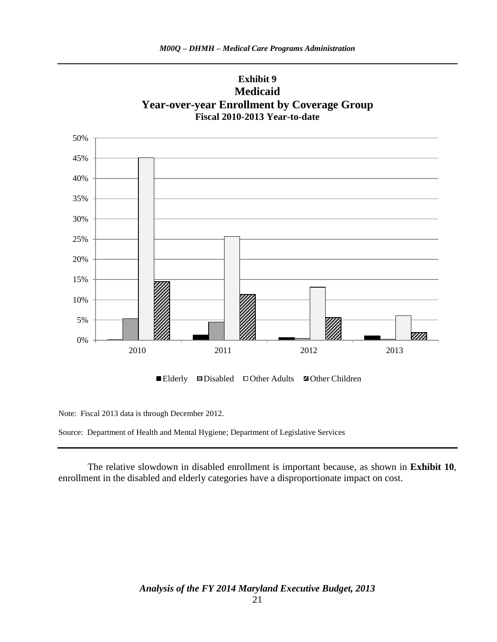

Note: Fiscal 2013 data is through December 2012.

Source: Department of Health and Mental Hygiene; Department of Legislative Services

The relative slowdown in disabled enrollment is important because, as shown in **Exhibit 10**, enrollment in the disabled and elderly categories have a disproportionate impact on cost.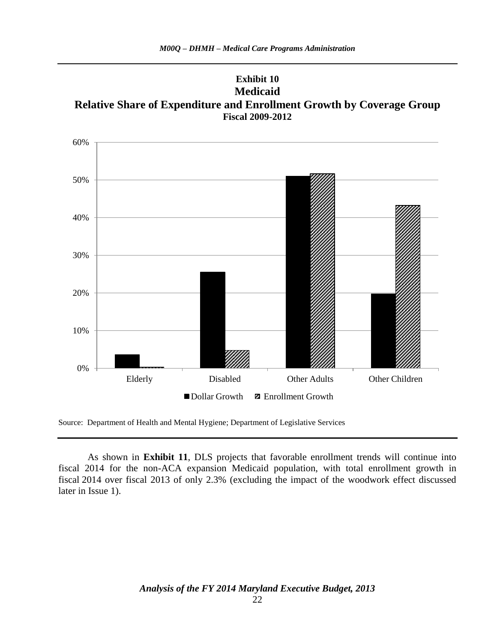



Source: Department of Health and Mental Hygiene; Department of Legislative Services

As shown in **Exhibit 11**, DLS projects that favorable enrollment trends will continue into fiscal 2014 for the non-ACA expansion Medicaid population, with total enrollment growth in fiscal 2014 over fiscal 2013 of only 2.3% (excluding the impact of the woodwork effect discussed later in Issue 1).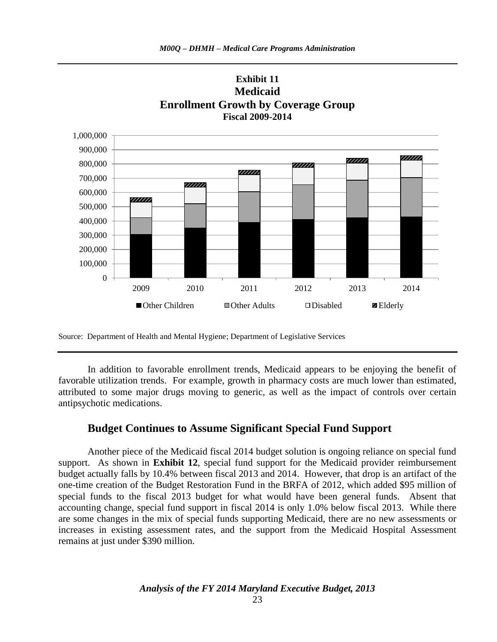



**Exhibit 11**

Source: Department of Health and Mental Hygiene; Department of Legislative Services

In addition to favorable enrollment trends, Medicaid appears to be enjoying the benefit of favorable utilization trends. For example, growth in pharmacy costs are much lower than estimated, attributed to some major drugs moving to generic, as well as the impact of controls over certain antipsychotic medications.

#### **Budget Continues to Assume Significant Special Fund Support**

Another piece of the Medicaid fiscal 2014 budget solution is ongoing reliance on special fund support. As shown in **Exhibit 12**, special fund support for the Medicaid provider reimbursement budget actually falls by 10.4% between fiscal 2013 and 2014. However, that drop is an artifact of the one-time creation of the Budget Restoration Fund in the BRFA of 2012, which added \$95 million of special funds to the fiscal 2013 budget for what would have been general funds. Absent that accounting change, special fund support in fiscal 2014 is only 1.0% below fiscal 2013. While there are some changes in the mix of special funds supporting Medicaid, there are no new assessments or increases in existing assessment rates, and the support from the Medicaid Hospital Assessment remains at just under \$390 million.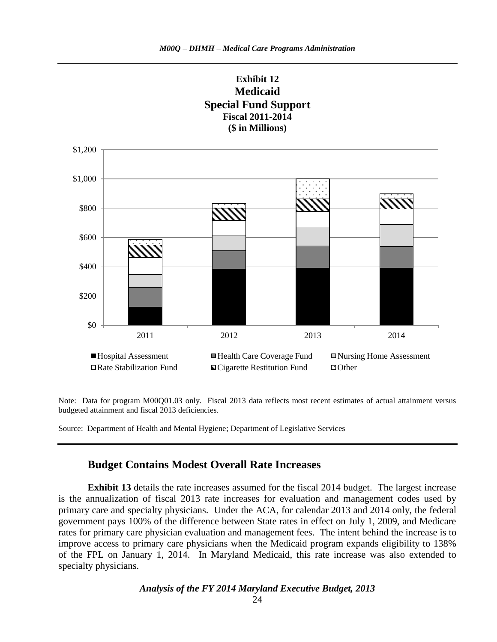

Note: Data for program M00Q01.03 only. Fiscal 2013 data reflects most recent estimates of actual attainment versus budgeted attainment and fiscal 2013 deficiencies.

Source: Department of Health and Mental Hygiene; Department of Legislative Services

#### **Budget Contains Modest Overall Rate Increases**

**Exhibit 13** details the rate increases assumed for the fiscal 2014 budget. The largest increase is the annualization of fiscal 2013 rate increases for evaluation and management codes used by primary care and specialty physicians. Under the ACA, for calendar 2013 and 2014 only, the federal government pays 100% of the difference between State rates in effect on July 1, 2009, and Medicare rates for primary care physician evaluation and management fees. The intent behind the increase is to improve access to primary care physicians when the Medicaid program expands eligibility to 138% of the FPL on January 1, 2014. In Maryland Medicaid, this rate increase was also extended to specialty physicians.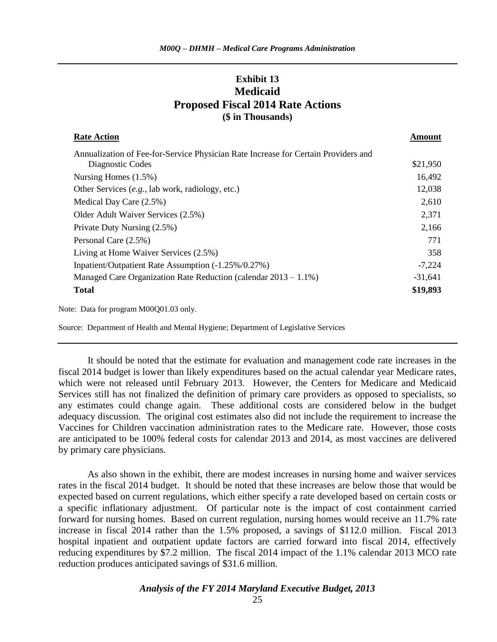## **Exhibit 13 Medicaid Proposed Fiscal 2014 Rate Actions (\$ in Thousands)**

| <b>Rate Action</b>                                                                 | Amount    |
|------------------------------------------------------------------------------------|-----------|
| Annualization of Fee-for-Service Physician Rate Increase for Certain Providers and |           |
| Diagnostic Codes                                                                   | \$21,950  |
| Nursing Homes $(1.5\%)$                                                            | 16,492    |
| Other Services (e.g., lab work, radiology, etc.)                                   | 12,038    |
| Medical Day Care (2.5%)                                                            | 2,610     |
| Older Adult Waiver Services (2.5%)                                                 | 2,371     |
| Private Duty Nursing (2.5%)                                                        | 2,166     |
| Personal Care (2.5%)                                                               | 771       |
| Living at Home Waiver Services (2.5%)                                              | 358       |
| Inpatient/Outpatient Rate Assumption (-1.25%/0.27%)                                | $-7,224$  |
| Managed Care Organization Rate Reduction (calendar $2013 - 1.1\%$ )                | $-31,641$ |
| <b>Total</b>                                                                       | \$19,893  |

Note: Data for program M00Q01.03 only.

Source: Department of Health and Mental Hygiene; Department of Legislative Services

It should be noted that the estimate for evaluation and management code rate increases in the fiscal 2014 budget is lower than likely expenditures based on the actual calendar year Medicare rates, which were not released until February 2013. However, the Centers for Medicare and Medicaid Services still has not finalized the definition of primary care providers as opposed to specialists, so any estimates could change again. These additional costs are considered below in the budget adequacy discussion. The original cost estimates also did not include the requirement to increase the Vaccines for Children vaccination administration rates to the Medicare rate. However, those costs are anticipated to be 100% federal costs for calendar 2013 and 2014, as most vaccines are delivered by primary care physicians.

As also shown in the exhibit, there are modest increases in nursing home and waiver services rates in the fiscal 2014 budget. It should be noted that these increases are below those that would be expected based on current regulations, which either specify a rate developed based on certain costs or a specific inflationary adjustment. Of particular note is the impact of cost containment carried forward for nursing homes. Based on current regulation, nursing homes would receive an 11.7% rate increase in fiscal 2014 rather than the 1.5% proposed, a savings of \$112.0 million. Fiscal 2013 hospital inpatient and outpatient update factors are carried forward into fiscal 2014, effectively reducing expenditures by \$7.2 million. The fiscal 2014 impact of the 1.1% calendar 2013 MCO rate reduction produces anticipated savings of \$31.6 million.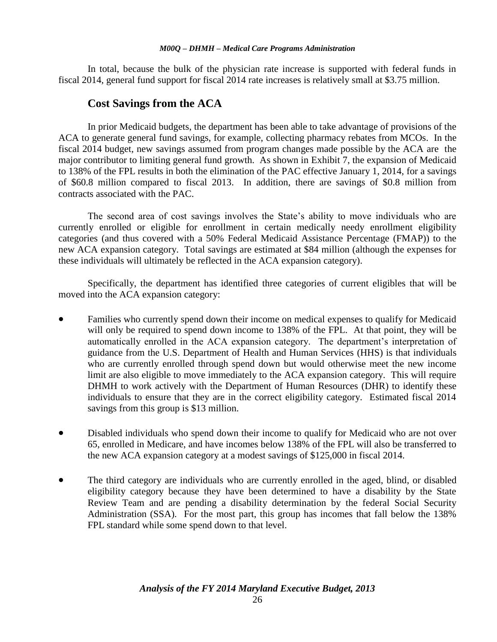In total, because the bulk of the physician rate increase is supported with federal funds in fiscal 2014, general fund support for fiscal 2014 rate increases is relatively small at \$3.75 million.

## **Cost Savings from the ACA**

In prior Medicaid budgets, the department has been able to take advantage of provisions of the ACA to generate general fund savings, for example, collecting pharmacy rebates from MCOs. In the fiscal 2014 budget, new savings assumed from program changes made possible by the ACA are the major contributor to limiting general fund growth. As shown in Exhibit 7, the expansion of Medicaid to 138% of the FPL results in both the elimination of the PAC effective January 1, 2014, for a savings of \$60.8 million compared to fiscal 2013. In addition, there are savings of \$0.8 million from contracts associated with the PAC.

The second area of cost savings involves the State's ability to move individuals who are currently enrolled or eligible for enrollment in certain medically needy enrollment eligibility categories (and thus covered with a 50% Federal Medicaid Assistance Percentage (FMAP)) to the new ACA expansion category. Total savings are estimated at \$84 million (although the expenses for these individuals will ultimately be reflected in the ACA expansion category).

Specifically, the department has identified three categories of current eligibles that will be moved into the ACA expansion category:

- Families who currently spend down their income on medical expenses to qualify for Medicaid will only be required to spend down income to 138% of the FPL. At that point, they will be automatically enrolled in the ACA expansion category. The department's interpretation of guidance from the U.S. Department of Health and Human Services (HHS) is that individuals who are currently enrolled through spend down but would otherwise meet the new income limit are also eligible to move immediately to the ACA expansion category. This will require DHMH to work actively with the Department of Human Resources (DHR) to identify these individuals to ensure that they are in the correct eligibility category. Estimated fiscal 2014 savings from this group is \$13 million.
- Disabled individuals who spend down their income to qualify for Medicaid who are not over 65, enrolled in Medicare, and have incomes below 138% of the FPL will also be transferred to the new ACA expansion category at a modest savings of \$125,000 in fiscal 2014.
- The third category are individuals who are currently enrolled in the aged, blind, or disabled eligibility category because they have been determined to have a disability by the State Review Team and are pending a disability determination by the federal Social Security Administration (SSA). For the most part, this group has incomes that fall below the 138% FPL standard while some spend down to that level.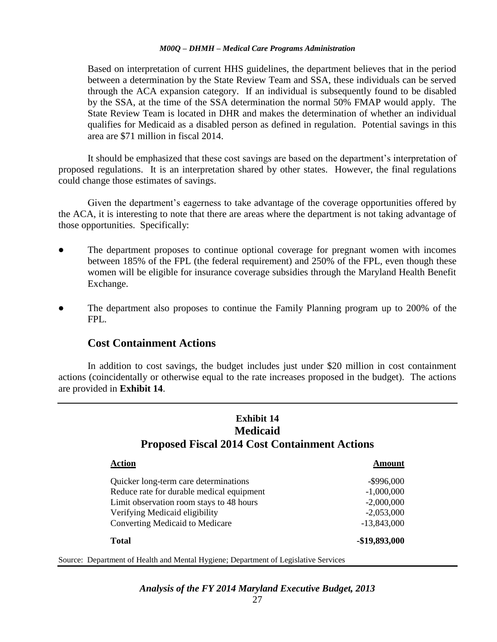Based on interpretation of current HHS guidelines, the department believes that in the period between a determination by the State Review Team and SSA, these individuals can be served through the ACA expansion category. If an individual is subsequently found to be disabled by the SSA, at the time of the SSA determination the normal 50% FMAP would apply. The State Review Team is located in DHR and makes the determination of whether an individual qualifies for Medicaid as a disabled person as defined in regulation. Potential savings in this area are \$71 million in fiscal 2014.

It should be emphasized that these cost savings are based on the department's interpretation of proposed regulations. It is an interpretation shared by other states. However, the final regulations could change those estimates of savings.

Given the department's eagerness to take advantage of the coverage opportunities offered by the ACA, it is interesting to note that there are areas where the department is not taking advantage of those opportunities. Specifically:

- The department proposes to continue optional coverage for pregnant women with incomes between 185% of the FPL (the federal requirement) and 250% of the FPL, even though these women will be eligible for insurance coverage subsidies through the Maryland Health Benefit Exchange.
- The department also proposes to continue the Family Planning program up to 200% of the FPL.

## **Cost Containment Actions**

In addition to cost savings, the budget includes just under \$20 million in cost containment actions (coincidentally or otherwise equal to the rate increases proposed in the budget). The actions are provided in **Exhibit 14**.

#### **Exhibit 14 Medicaid Proposed Fiscal 2014 Cost Containment Actions**

| Action                                                                              | Amount        |
|-------------------------------------------------------------------------------------|---------------|
| Quicker long-term care determinations                                               | $-$ \$996,000 |
| Reduce rate for durable medical equipment                                           | $-1,000,000$  |
| Limit observation room stays to 48 hours                                            | $-2,000,000$  |
| Verifying Medicaid eligibility                                                      | $-2,053,000$  |
| Converting Medicaid to Medicare                                                     | $-13,843,000$ |
| <b>Total</b>                                                                        | -\$19,893,000 |
| Source: Department of Health and Mental Hygiene; Department of Legislative Services |               |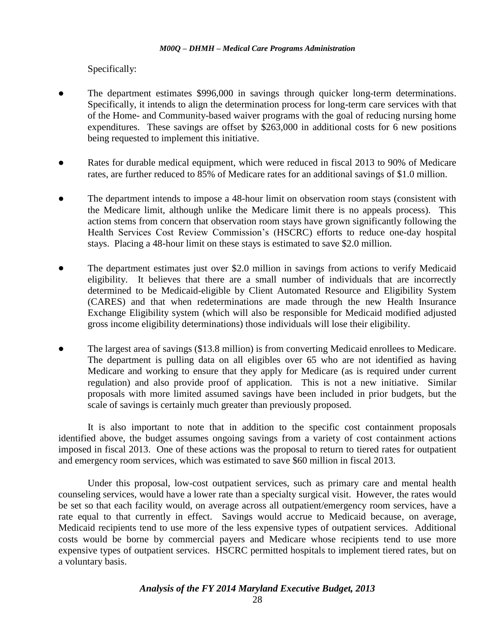Specifically:

- The department estimates \$996,000 in savings through quicker long-term determinations. Specifically, it intends to align the determination process for long-term care services with that of the Home- and Community-based waiver programs with the goal of reducing nursing home expenditures. These savings are offset by \$263,000 in additional costs for 6 new positions being requested to implement this initiative.
- Rates for durable medical equipment, which were reduced in fiscal 2013 to 90% of Medicare rates, are further reduced to 85% of Medicare rates for an additional savings of \$1.0 million.
- The department intends to impose a 48-hour limit on observation room stays (consistent with the Medicare limit, although unlike the Medicare limit there is no appeals process). This action stems from concern that observation room stays have grown significantly following the Health Services Cost Review Commission's (HSCRC) efforts to reduce one-day hospital stays. Placing a 48-hour limit on these stays is estimated to save \$2.0 million.
- The department estimates just over \$2.0 million in savings from actions to verify Medicaid eligibility. It believes that there are a small number of individuals that are incorrectly determined to be Medicaid-eligible by Client Automated Resource and Eligibility System (CARES) and that when redeterminations are made through the new Health Insurance Exchange Eligibility system (which will also be responsible for Medicaid modified adjusted gross income eligibility determinations) those individuals will lose their eligibility.
- The largest area of savings (\$13.8 million) is from converting Medicaid enrollees to Medicare. The department is pulling data on all eligibles over 65 who are not identified as having Medicare and working to ensure that they apply for Medicare (as is required under current regulation) and also provide proof of application. This is not a new initiative. Similar proposals with more limited assumed savings have been included in prior budgets, but the scale of savings is certainly much greater than previously proposed.

It is also important to note that in addition to the specific cost containment proposals identified above, the budget assumes ongoing savings from a variety of cost containment actions imposed in fiscal 2013. One of these actions was the proposal to return to tiered rates for outpatient and emergency room services, which was estimated to save \$60 million in fiscal 2013.

Under this proposal, low-cost outpatient services, such as primary care and mental health counseling services, would have a lower rate than a specialty surgical visit. However, the rates would be set so that each facility would, on average across all outpatient/emergency room services, have a rate equal to that currently in effect. Savings would accrue to Medicaid because, on average, Medicaid recipients tend to use more of the less expensive types of outpatient services. Additional costs would be borne by commercial payers and Medicare whose recipients tend to use more expensive types of outpatient services. HSCRC permitted hospitals to implement tiered rates, but on a voluntary basis.

*Analysis of the FY 2014 Maryland Executive Budget, 2013*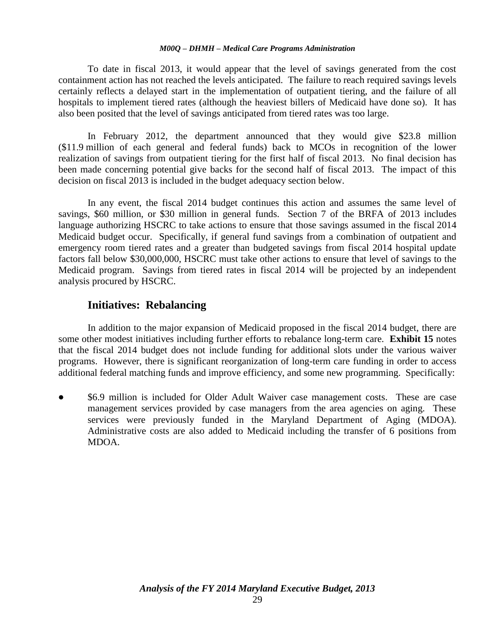To date in fiscal 2013, it would appear that the level of savings generated from the cost containment action has not reached the levels anticipated. The failure to reach required savings levels certainly reflects a delayed start in the implementation of outpatient tiering, and the failure of all hospitals to implement tiered rates (although the heaviest billers of Medicaid have done so). It has also been posited that the level of savings anticipated from tiered rates was too large.

In February 2012, the department announced that they would give \$23.8 million (\$11.9 million of each general and federal funds) back to MCOs in recognition of the lower realization of savings from outpatient tiering for the first half of fiscal 2013. No final decision has been made concerning potential give backs for the second half of fiscal 2013. The impact of this decision on fiscal 2013 is included in the budget adequacy section below.

In any event, the fiscal 2014 budget continues this action and assumes the same level of savings, \$60 million, or \$30 million in general funds. Section 7 of the BRFA of 2013 includes language authorizing HSCRC to take actions to ensure that those savings assumed in the fiscal 2014 Medicaid budget occur. Specifically, if general fund savings from a combination of outpatient and emergency room tiered rates and a greater than budgeted savings from fiscal 2014 hospital update factors fall below \$30,000,000, HSCRC must take other actions to ensure that level of savings to the Medicaid program. Savings from tiered rates in fiscal 2014 will be projected by an independent analysis procured by HSCRC.

#### **Initiatives: Rebalancing**

In addition to the major expansion of Medicaid proposed in the fiscal 2014 budget, there are some other modest initiatives including further efforts to rebalance long-term care. **Exhibit 15** notes that the fiscal 2014 budget does not include funding for additional slots under the various waiver programs. However, there is significant reorganization of long-term care funding in order to access additional federal matching funds and improve efficiency, and some new programming. Specifically:

 \$6.9 million is included for Older Adult Waiver case management costs. These are case management services provided by case managers from the area agencies on aging. These services were previously funded in the Maryland Department of Aging (MDOA). Administrative costs are also added to Medicaid including the transfer of 6 positions from MDOA.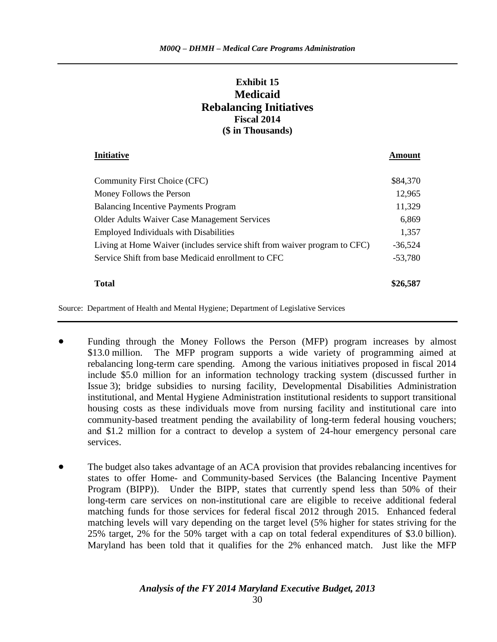## **Exhibit 15 Medicaid Rebalancing Initiatives Fiscal 2014 (\$ in Thousands)**

**Initiative Amount**

# Community First Choice (CFC) \$84,370 Money Follows the Person 2008 and 2,965 Balancing Incentive Payments Program 11,329 Older Adults Waiver Case Management Services 6,869 Employed Individuals with Disabilities 1,357 Living at Home Waiver (includes service shift from waiver program to CFC) -36,524 Service Shift from base Medicaid enrollment to CFC  $-53,780$ **Total \$26,587**

Source: Department of Health and Mental Hygiene; Department of Legislative Services

- Funding through the Money Follows the Person (MFP) program increases by almost \$13.0 million. The MFP program supports a wide variety of programming aimed at rebalancing long-term care spending. Among the various initiatives proposed in fiscal 2014 include \$5.0 million for an information technology tracking system (discussed further in Issue 3); bridge subsidies to nursing facility, Developmental Disabilities Administration institutional, and Mental Hygiene Administration institutional residents to support transitional housing costs as these individuals move from nursing facility and institutional care into community-based treatment pending the availability of long-term federal housing vouchers; and \$1.2 million for a contract to develop a system of 24-hour emergency personal care services.
- The budget also takes advantage of an ACA provision that provides rebalancing incentives for states to offer Home- and Community-based Services (the Balancing Incentive Payment Program (BIPP)). Under the BIPP, states that currently spend less than 50% of their long-term care services on non-institutional care are eligible to receive additional federal matching funds for those services for federal fiscal 2012 through 2015. Enhanced federal matching levels will vary depending on the target level (5% higher for states striving for the 25% target, 2% for the 50% target with a cap on total federal expenditures of \$3.0 billion). Maryland has been told that it qualifies for the 2% enhanced match. Just like the MFP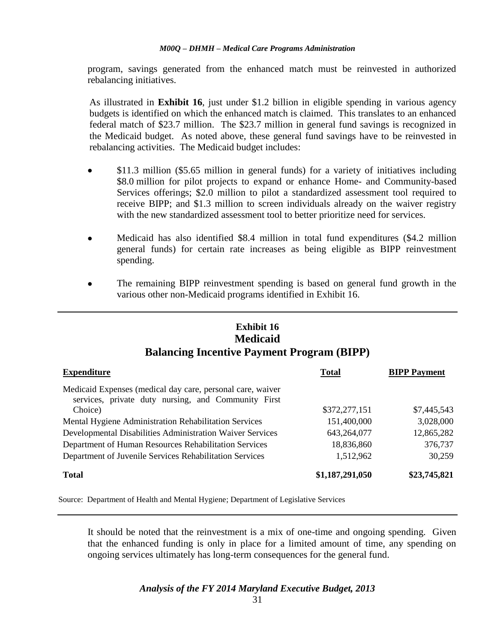program, savings generated from the enhanced match must be reinvested in authorized rebalancing initiatives.

As illustrated in **Exhibit 16**, just under \$1.2 billion in eligible spending in various agency budgets is identified on which the enhanced match is claimed. This translates to an enhanced federal match of \$23.7 million. The \$23.7 million in general fund savings is recognized in the Medicaid budget. As noted above, these general fund savings have to be reinvested in rebalancing activities. The Medicaid budget includes:

- \$11.3 million (\$5.65 million in general funds) for a variety of initiatives including \$8.0 million for pilot projects to expand or enhance Home- and Community-based Services offerings; \$2.0 million to pilot a standardized assessment tool required to receive BIPP; and \$1.3 million to screen individuals already on the waiver registry with the new standardized assessment tool to better prioritize need for services.
- Medicaid has also identified \$8.4 million in total fund expenditures (\$4.2 million general funds) for certain rate increases as being eligible as BIPP reinvestment spending.
- The remaining BIPP reinvestment spending is based on general fund growth in the various other non-Medicaid programs identified in Exhibit 16.

#### **Exhibit 16 Medicaid Balancing Incentive Payment Program (BIPP)**

| <b>Expenditure</b>                                                                                                           | <b>Total</b>    | <b>BIPP Payment</b> |
|------------------------------------------------------------------------------------------------------------------------------|-----------------|---------------------|
| Medicaid Expenses (medical day care, personal care, waiver<br>services, private duty nursing, and Community First<br>Choice) | \$372,277,151   | \$7,445,543         |
| Mental Hygiene Administration Rehabilitation Services                                                                        | 151,400,000     | 3,028,000           |
| Developmental Disabilities Administration Waiver Services                                                                    | 643,264,077     | 12,865,282          |
| Department of Human Resources Rehabilitation Services                                                                        | 18,836,860      | 376,737             |
| Department of Juvenile Services Rehabilitation Services                                                                      | 1,512,962       | 30,259              |
| <b>Total</b>                                                                                                                 | \$1,187,291,050 | \$23,745,821        |

Source: Department of Health and Mental Hygiene; Department of Legislative Services

It should be noted that the reinvestment is a mix of one-time and ongoing spending. Given that the enhanced funding is only in place for a limited amount of time, any spending on ongoing services ultimately has long-term consequences for the general fund.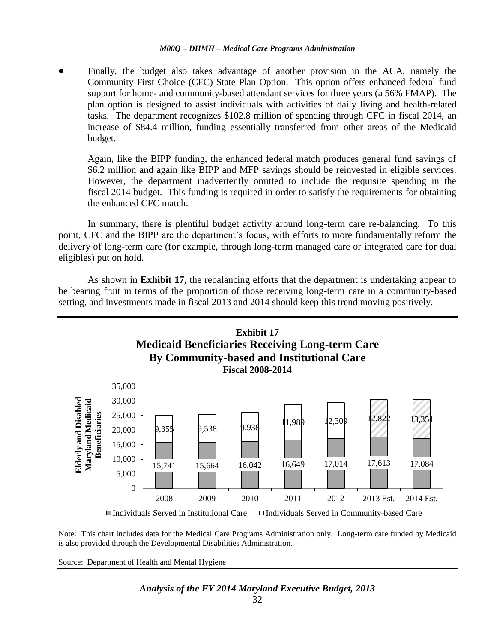Finally, the budget also takes advantage of another provision in the ACA, namely the Community First Choice (CFC) State Plan Option. This option offers enhanced federal fund support for home- and community-based attendant services for three years (a 56% FMAP). The plan option is designed to assist individuals with activities of daily living and health-related tasks. The department recognizes \$102.8 million of spending through CFC in fiscal 2014, an increase of \$84.4 million, funding essentially transferred from other areas of the Medicaid budget.

Again, like the BIPP funding, the enhanced federal match produces general fund savings of \$6.2 million and again like BIPP and MFP savings should be reinvested in eligible services. However, the department inadvertently omitted to include the requisite spending in the fiscal 2014 budget. This funding is required in order to satisfy the requirements for obtaining the enhanced CFC match.

In summary, there is plentiful budget activity around long-term care re-balancing. To this point, CFC and the BIPP are the department's focus, with efforts to more fundamentally reform the delivery of long-term care (for example, through long-term managed care or integrated care for dual eligibles) put on hold.

As shown in **Exhibit 17,** the rebalancing efforts that the department is undertaking appear to be bearing fruit in terms of the proportion of those receiving long-term care in a community-based setting, and investments made in fiscal 2013 and 2014 should keep this trend moving positively.



Note: This chart includes data for the Medical Care Programs Administration only. Long-term care funded by Medicaid is also provided through the Developmental Disabilities Administration.

Source: Department of Health and Mental Hygiene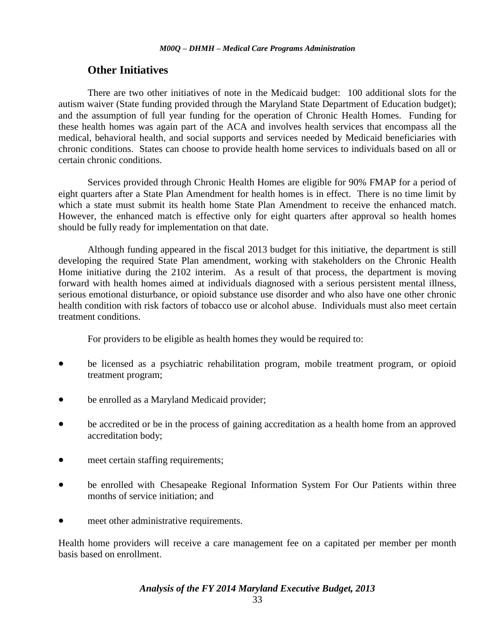## **Other Initiatives**

There are two other initiatives of note in the Medicaid budget: 100 additional slots for the autism waiver (State funding provided through the Maryland State Department of Education budget); and the assumption of full year funding for the operation of Chronic Health Homes. Funding for these health homes was again part of the ACA and involves health services that encompass all the medical, behavioral health, and social supports and services needed by Medicaid beneficiaries with chronic conditions. States can choose to provide health home services to individuals based on all or certain chronic conditions.

Services provided through Chronic Health Homes are eligible for 90% FMAP for a period of eight quarters after a State Plan Amendment for health homes is in effect. There is no time limit by which a state must submit its health home State Plan Amendment to receive the enhanced match. However, the enhanced match is effective only for eight quarters after approval so health homes should be fully ready for implementation on that date.

Although funding appeared in the fiscal 2013 budget for this initiative, the department is still developing the required State Plan amendment, working with stakeholders on the Chronic Health Home initiative during the 2102 interim. As a result of that process, the department is moving forward with health homes aimed at individuals diagnosed with a serious persistent mental illness, serious emotional disturbance, or opioid substance use disorder and who also have one other chronic health condition with risk factors of tobacco use or alcohol abuse. Individuals must also meet certain treatment conditions.

For providers to be eligible as health homes they would be required to:

- be licensed as a psychiatric rehabilitation program, mobile treatment program, or opioid treatment program;
- be enrolled as a Maryland Medicaid provider;
- be accredited or be in the process of gaining accreditation as a health home from an approved accreditation body;
- meet certain staffing requirements;
- be enrolled with Chesapeake Regional Information System For Our Patients within three months of service initiation; and
- meet other administrative requirements.

Health home providers will receive a care management fee on a capitated per member per month basis based on enrollment.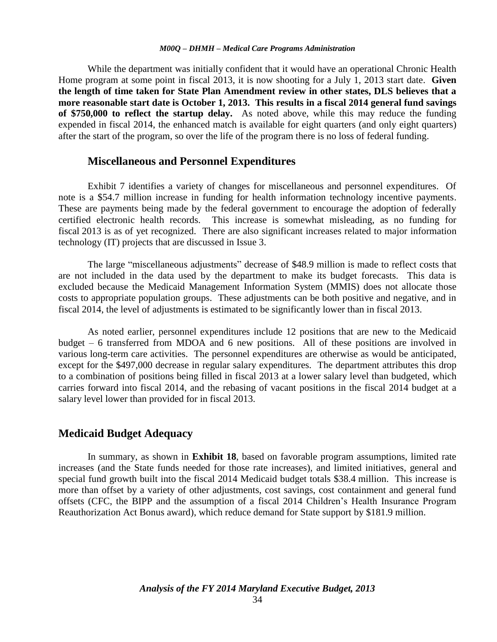While the department was initially confident that it would have an operational Chronic Health Home program at some point in fiscal 2013, it is now shooting for a July 1, 2013 start date. **Given the length of time taken for State Plan Amendment review in other states, DLS believes that a more reasonable start date is October 1, 2013. This results in a fiscal 2014 general fund savings of \$750,000 to reflect the startup delay.** As noted above, while this may reduce the funding expended in fiscal 2014, the enhanced match is available for eight quarters (and only eight quarters) after the start of the program, so over the life of the program there is no loss of federal funding.

#### **Miscellaneous and Personnel Expenditures**

Exhibit 7 identifies a variety of changes for miscellaneous and personnel expenditures. Of note is a \$54.7 million increase in funding for health information technology incentive payments. These are payments being made by the federal government to encourage the adoption of federally certified electronic health records. This increase is somewhat misleading, as no funding for fiscal 2013 is as of yet recognized. There are also significant increases related to major information technology (IT) projects that are discussed in Issue 3.

The large "miscellaneous adjustments" decrease of \$48.9 million is made to reflect costs that are not included in the data used by the department to make its budget forecasts. This data is excluded because the Medicaid Management Information System (MMIS) does not allocate those costs to appropriate population groups. These adjustments can be both positive and negative, and in fiscal 2014, the level of adjustments is estimated to be significantly lower than in fiscal 2013.

As noted earlier, personnel expenditures include 12 positions that are new to the Medicaid budget – 6 transferred from MDOA and 6 new positions. All of these positions are involved in various long-term care activities. The personnel expenditures are otherwise as would be anticipated, except for the \$497,000 decrease in regular salary expenditures. The department attributes this drop to a combination of positions being filled in fiscal 2013 at a lower salary level than budgeted, which carries forward into fiscal 2014, and the rebasing of vacant positions in the fiscal 2014 budget at a salary level lower than provided for in fiscal 2013.

#### **Medicaid Budget Adequacy**

In summary, as shown in **Exhibit 18**, based on favorable program assumptions, limited rate increases (and the State funds needed for those rate increases), and limited initiatives, general and special fund growth built into the fiscal 2014 Medicaid budget totals \$38.4 million. This increase is more than offset by a variety of other adjustments, cost savings, cost containment and general fund offsets (CFC, the BIPP and the assumption of a fiscal 2014 Children's Health Insurance Program Reauthorization Act Bonus award), which reduce demand for State support by \$181.9 million.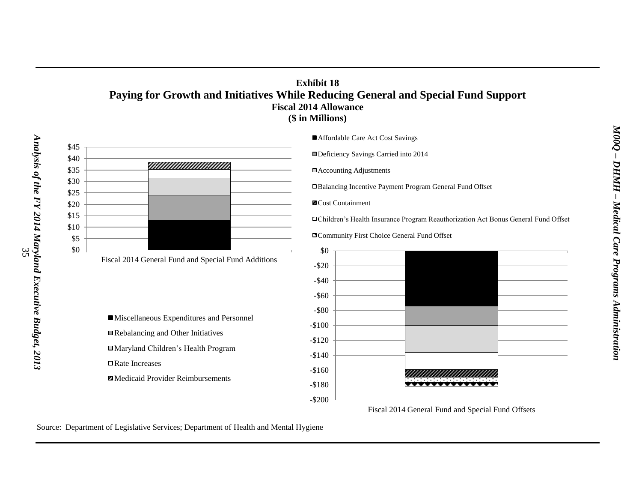#### **Exhibit 18 Paying for Growth and Initiatives While Reducing General and Special Fund Support Fiscal 2014 Allowance (\$ in Millions)**



Fiscal 2014 General Fund and Special Fund Additions

Miscellaneous Expenditures and Personnel Rebalancing and Other Initiatives Maryland Children's Health Program Rate Increases

**Z** Medicaid Provider Reimbursements

■ Affordable Care Act Cost Savings

Deficiency Savings Carried into 2014

Accounting Adjustments

Balancing Incentive Payment Program General Fund Offset

Cost Containment

Children's Health Insurance Program Reauthorization Act Bonus General Fund Offset

Community First Choice General Fund Offset



Fiscal 2014 General Fund and Special Fund Offsets

Source: Department of Legislative Services; Department of Health and Mental Hygiene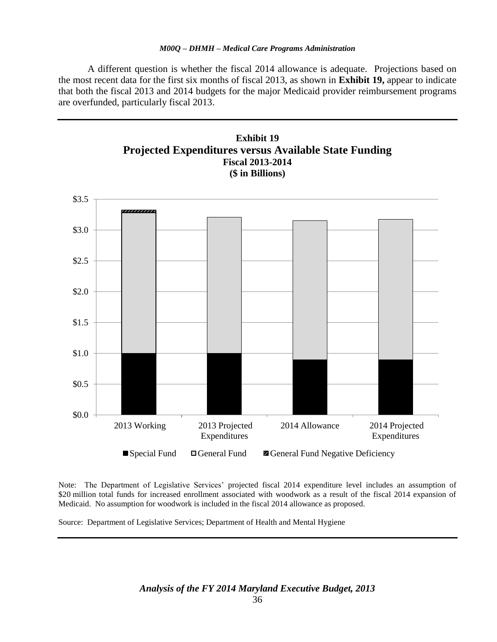A different question is whether the fiscal 2014 allowance is adequate. Projections based on the most recent data for the first six months of fiscal 2013, as shown in **Exhibit 19,** appear to indicate that both the fiscal 2013 and 2014 budgets for the major Medicaid provider reimbursement programs are overfunded, particularly fiscal 2013.



Note: The Department of Legislative Services' projected fiscal 2014 expenditure level includes an assumption of \$20 million total funds for increased enrollment associated with woodwork as a result of the fiscal 2014 expansion of Medicaid. No assumption for woodwork is included in the fiscal 2014 allowance as proposed.

Source: Department of Legislative Services; Department of Health and Mental Hygiene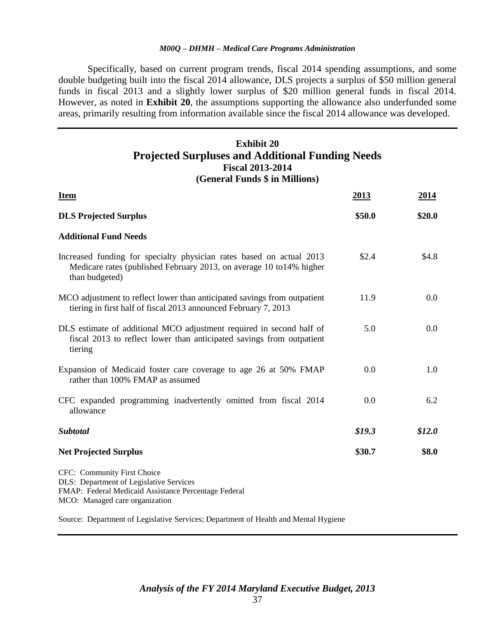Specifically, based on current program trends, fiscal 2014 spending assumptions, and some double budgeting built into the fiscal 2014 allowance, DLS projects a surplus of \$50 million general funds in fiscal 2013 and a slightly lower surplus of \$20 million general funds in fiscal 2014. However, as noted in **Exhibit 20**, the assumptions supporting the allowance also underfunded some areas, primarily resulting from information available since the fiscal 2014 allowance was developed.

### **Exhibit 20 Projected Surpluses and Additional Funding Needs Fiscal 2013-2014 (General Funds \$ in Millions)**

| <b>Item</b>                                                                                                                                                      | 2013     | 2014    |
|------------------------------------------------------------------------------------------------------------------------------------------------------------------|----------|---------|
| <b>DLS Projected Surplus</b>                                                                                                                                     | \$50.0   | \$20.0  |
| <b>Additional Fund Needs</b>                                                                                                                                     |          |         |
| Increased funding for specialty physician rates based on actual 2013<br>Medicare rates (published February 2013, on average 10 to 14% higher<br>than budgeted)   | \$2.4    | \$4.8\$ |
| MCO adjustment to reflect lower than anticipated savings from outpatient<br>tiering in first half of fiscal 2013 announced February 7, 2013                      | 11.9     | 0.0     |
| DLS estimate of additional MCO adjustment required in second half of<br>fiscal 2013 to reflect lower than anticipated savings from outpatient<br>tiering         | 5.0      | 0.0     |
| Expansion of Medicaid foster care coverage to age 26 at 50% FMAP<br>rather than 100% FMAP as assumed                                                             | 0.0      | 1.0     |
| CFC expanded programming inadvertently omitted from fiscal 2014<br>allowance                                                                                     | 0.0      | 6.2     |
| <b>Subtotal</b>                                                                                                                                                  | \$19.3\$ | \$12.0  |
| <b>Net Projected Surplus</b>                                                                                                                                     | \$30.7   | \$8.0   |
| CFC: Community First Choice<br>DLS: Department of Legislative Services<br>FMAP: Federal Medicaid Assistance Percentage Federal<br>MCO: Managed care organization |          |         |
| Source: Department of Legislative Services; Department of Health and Mental Hygiene                                                                              |          |         |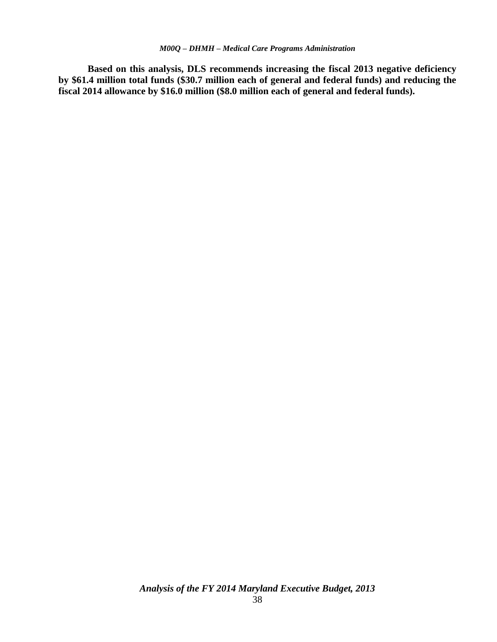**Based on this analysis, DLS recommends increasing the fiscal 2013 negative deficiency by \$61.4 million total funds (\$30.7 million each of general and federal funds) and reducing the fiscal 2014 allowance by \$16.0 million (\$8.0 million each of general and federal funds).**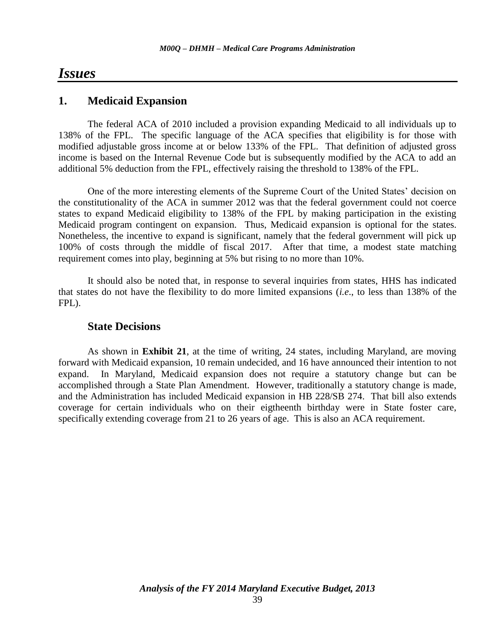# *Issues*

### **1. Medicaid Expansion**

The federal ACA of 2010 included a provision expanding Medicaid to all individuals up to 138% of the FPL. The specific language of the ACA specifies that eligibility is for those with modified adjustable gross income at or below 133% of the FPL. That definition of adjusted gross income is based on the Internal Revenue Code but is subsequently modified by the ACA to add an additional 5% deduction from the FPL, effectively raising the threshold to 138% of the FPL.

One of the more interesting elements of the Supreme Court of the United States' decision on the constitutionality of the ACA in summer 2012 was that the federal government could not coerce states to expand Medicaid eligibility to 138% of the FPL by making participation in the existing Medicaid program contingent on expansion. Thus, Medicaid expansion is optional for the states. Nonetheless, the incentive to expand is significant, namely that the federal government will pick up 100% of costs through the middle of fiscal 2017. After that time, a modest state matching requirement comes into play, beginning at 5% but rising to no more than 10%.

It should also be noted that, in response to several inquiries from states, HHS has indicated that states do not have the flexibility to do more limited expansions (*i.e*., to less than 138% of the FPL).

### **State Decisions**

As shown in **Exhibit 21**, at the time of writing, 24 states, including Maryland, are moving forward with Medicaid expansion, 10 remain undecided, and 16 have announced their intention to not expand. In Maryland, Medicaid expansion does not require a statutory change but can be accomplished through a State Plan Amendment. However, traditionally a statutory change is made, and the Administration has included Medicaid expansion in HB 228/SB 274. That bill also extends coverage for certain individuals who on their eigtheenth birthday were in State foster care, specifically extending coverage from 21 to 26 years of age. This is also an ACA requirement.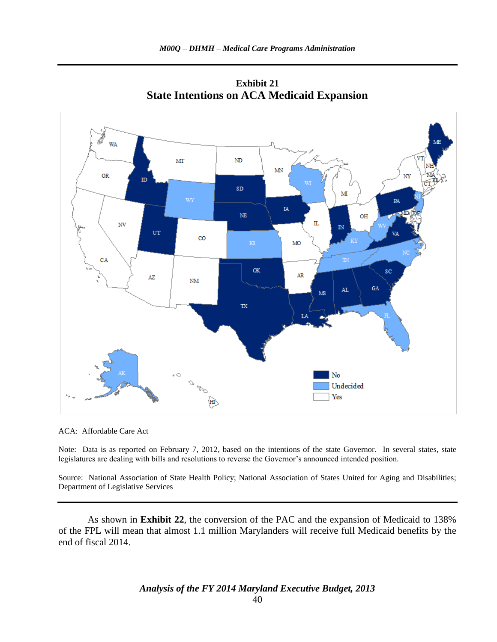

**Exhibit 21 State Intentions on ACA Medicaid Expansion**

ACA: Affordable Care Act

Note: Data is as reported on February 7, 2012, based on the intentions of the state Governor. In several states, state legislatures are dealing with bills and resolutions to reverse the Governor's announced intended position.

Source: National Association of State Health Policy; National Association of States United for Aging and Disabilities; Department of Legislative Services

As shown in **Exhibit 22**, the conversion of the PAC and the expansion of Medicaid to 138% of the FPL will mean that almost 1.1 million Marylanders will receive full Medicaid benefits by the end of fiscal 2014.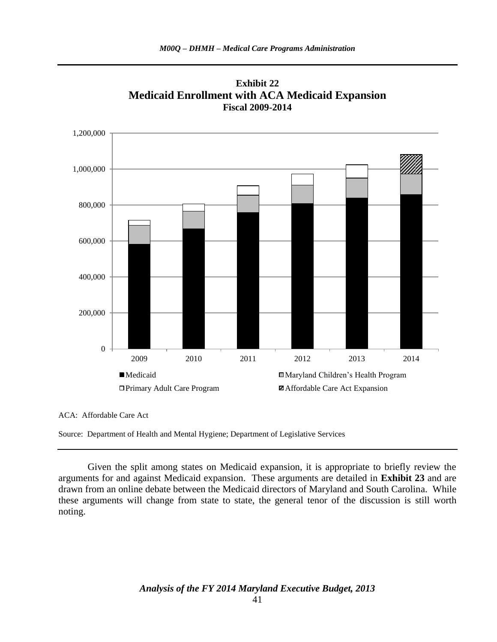

**Exhibit 22 Medicaid Enrollment with ACA Medicaid Expansion Fiscal 2009-2014**

ACA: Affordable Care Act

Given the split among states on Medicaid expansion, it is appropriate to briefly review the arguments for and against Medicaid expansion. These arguments are detailed in **Exhibit 23** and are drawn from an online debate between the Medicaid directors of Maryland and South Carolina. While these arguments will change from state to state, the general tenor of the discussion is still worth noting.

Source: Department of Health and Mental Hygiene; Department of Legislative Services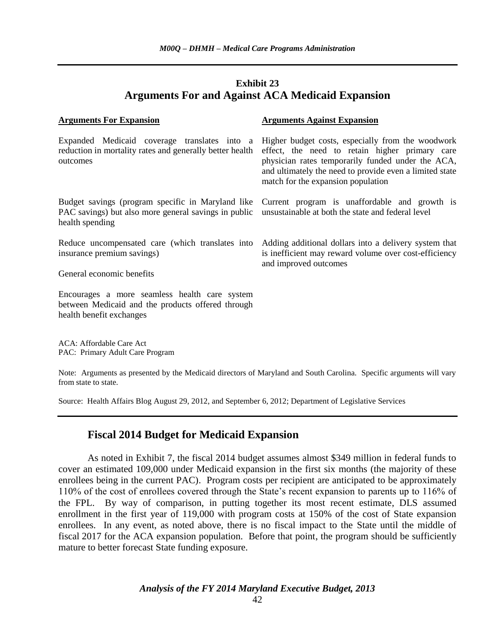### **Exhibit 23 Arguments For and Against ACA Medicaid Expansion**

| <b>Arguments Against Expansion</b>                                                                                                                                                                                                                                                                     |
|--------------------------------------------------------------------------------------------------------------------------------------------------------------------------------------------------------------------------------------------------------------------------------------------------------|
| Expanded Medicaid coverage translates into a Higher budget costs, especially from the woodwork<br>effect, the need to retain higher primary care<br>physician rates temporarily funded under the ACA,<br>and ultimately the need to provide even a limited state<br>match for the expansion population |
| Budget savings (program specific in Maryland like<br>Current program is unaffordable and growth is<br>PAC savings) but also more general savings in public<br>unsustainable at both the state and federal level                                                                                        |
| Adding additional dollars into a delivery system that<br>is inefficient may reward volume over cost-efficiency<br>and improved outcomes                                                                                                                                                                |
|                                                                                                                                                                                                                                                                                                        |
| reduction in mortality rates and generally better health<br>Reduce uncompensated care (which translates into                                                                                                                                                                                           |

ACA: Affordable Care Act PAC: Primary Adult Care Program

Note: Arguments as presented by the Medicaid directors of Maryland and South Carolina. Specific arguments will vary from state to state.

Source: Health Affairs Blog August 29, 2012, and September 6, 2012; Department of Legislative Services

### **Fiscal 2014 Budget for Medicaid Expansion**

As noted in Exhibit 7, the fiscal 2014 budget assumes almost \$349 million in federal funds to cover an estimated 109,000 under Medicaid expansion in the first six months (the majority of these enrollees being in the current PAC). Program costs per recipient are anticipated to be approximately 110% of the cost of enrollees covered through the State's recent expansion to parents up to 116% of the FPL. By way of comparison, in putting together its most recent estimate, DLS assumed enrollment in the first year of 119,000 with program costs at 150% of the cost of State expansion enrollees. In any event, as noted above, there is no fiscal impact to the State until the middle of fiscal 2017 for the ACA expansion population. Before that point, the program should be sufficiently mature to better forecast State funding exposure.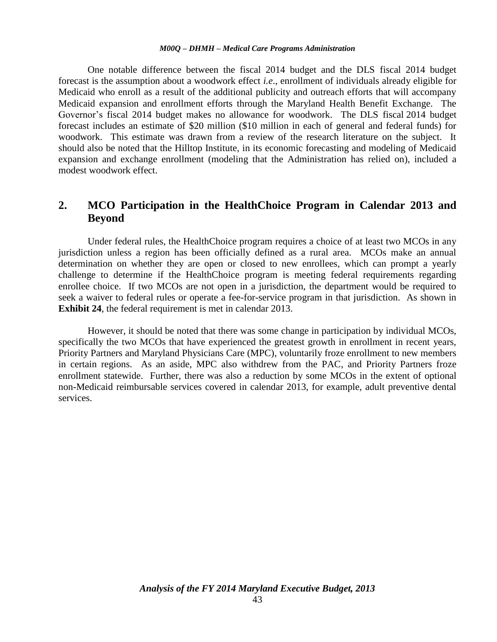One notable difference between the fiscal 2014 budget and the DLS fiscal 2014 budget forecast is the assumption about a woodwork effect *i.e*., enrollment of individuals already eligible for Medicaid who enroll as a result of the additional publicity and outreach efforts that will accompany Medicaid expansion and enrollment efforts through the Maryland Health Benefit Exchange. The Governor's fiscal 2014 budget makes no allowance for woodwork. The DLS fiscal 2014 budget forecast includes an estimate of \$20 million (\$10 million in each of general and federal funds) for woodwork. This estimate was drawn from a review of the research literature on the subject. It should also be noted that the Hilltop Institute, in its economic forecasting and modeling of Medicaid expansion and exchange enrollment (modeling that the Administration has relied on), included a modest woodwork effect.

# **2. MCO Participation in the HealthChoice Program in Calendar 2013 and Beyond**

Under federal rules, the HealthChoice program requires a choice of at least two MCOs in any jurisdiction unless a region has been officially defined as a rural area. MCOs make an annual determination on whether they are open or closed to new enrollees, which can prompt a yearly challenge to determine if the HealthChoice program is meeting federal requirements regarding enrollee choice. If two MCOs are not open in a jurisdiction, the department would be required to seek a waiver to federal rules or operate a fee-for-service program in that jurisdiction. As shown in **Exhibit 24**, the federal requirement is met in calendar 2013.

However, it should be noted that there was some change in participation by individual MCOs, specifically the two MCOs that have experienced the greatest growth in enrollment in recent years, Priority Partners and Maryland Physicians Care (MPC), voluntarily froze enrollment to new members in certain regions. As an aside, MPC also withdrew from the PAC, and Priority Partners froze enrollment statewide. Further, there was also a reduction by some MCOs in the extent of optional non-Medicaid reimbursable services covered in calendar 2013, for example, adult preventive dental services.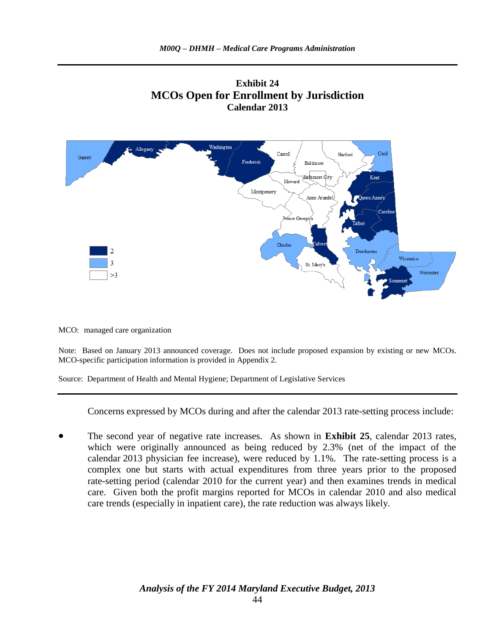



MCO: managed care organization

Note: Based on January 2013 announced coverage. Does not include proposed expansion by existing or new MCOs. MCO-specific participation information is provided in Appendix 2.

Source: Department of Health and Mental Hygiene; Department of Legislative Services

Concerns expressed by MCOs during and after the calendar 2013 rate-setting process include:

 The second year of negative rate increases. As shown in **Exhibit 25**, calendar 2013 rates, which were originally announced as being reduced by 2.3% (net of the impact of the calendar 2013 physician fee increase), were reduced by 1.1%. The rate-setting process is a complex one but starts with actual expenditures from three years prior to the proposed rate-setting period (calendar 2010 for the current year) and then examines trends in medical care. Given both the profit margins reported for MCOs in calendar 2010 and also medical care trends (especially in inpatient care), the rate reduction was always likely.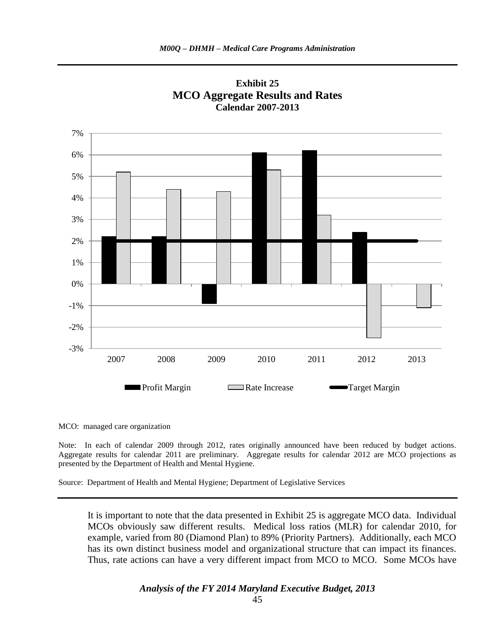



MCO: managed care organization

Note: In each of calendar 2009 through 2012, rates originally announced have been reduced by budget actions. Aggregate results for calendar 2011 are preliminary. Aggregate results for calendar 2012 are MCO projections as presented by the Department of Health and Mental Hygiene.

Source: Department of Health and Mental Hygiene; Department of Legislative Services

It is important to note that the data presented in Exhibit 25 is aggregate MCO data. Individual MCOs obviously saw different results. Medical loss ratios (MLR) for calendar 2010, for example, varied from 80 (Diamond Plan) to 89% (Priority Partners). Additionally, each MCO has its own distinct business model and organizational structure that can impact its finances. Thus, rate actions can have a very different impact from MCO to MCO. Some MCOs have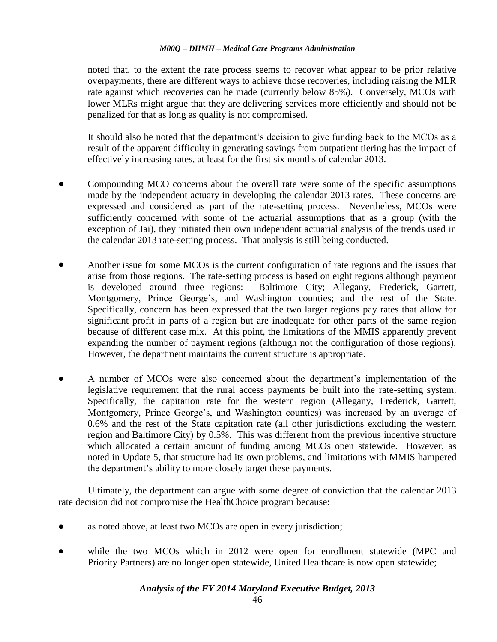noted that, to the extent the rate process seems to recover what appear to be prior relative overpayments, there are different ways to achieve those recoveries, including raising the MLR rate against which recoveries can be made (currently below 85%). Conversely, MCOs with lower MLRs might argue that they are delivering services more efficiently and should not be penalized for that as long as quality is not compromised.

It should also be noted that the department's decision to give funding back to the MCOs as a result of the apparent difficulty in generating savings from outpatient tiering has the impact of effectively increasing rates, at least for the first six months of calendar 2013.

- Compounding MCO concerns about the overall rate were some of the specific assumptions made by the independent actuary in developing the calendar 2013 rates. These concerns are expressed and considered as part of the rate-setting process. Nevertheless, MCOs were sufficiently concerned with some of the actuarial assumptions that as a group (with the exception of Jai), they initiated their own independent actuarial analysis of the trends used in the calendar 2013 rate-setting process. That analysis is still being conducted.
- Another issue for some MCOs is the current configuration of rate regions and the issues that arise from those regions. The rate-setting process is based on eight regions although payment is developed around three regions: Baltimore City; Allegany, Frederick, Garrett, Montgomery, Prince George's, and Washington counties; and the rest of the State. Specifically, concern has been expressed that the two larger regions pay rates that allow for significant profit in parts of a region but are inadequate for other parts of the same region because of different case mix. At this point, the limitations of the MMIS apparently prevent expanding the number of payment regions (although not the configuration of those regions). However, the department maintains the current structure is appropriate.
- A number of MCOs were also concerned about the department's implementation of the legislative requirement that the rural access payments be built into the rate-setting system. Specifically, the capitation rate for the western region (Allegany, Frederick, Garrett, Montgomery, Prince George's, and Washington counties) was increased by an average of 0.6% and the rest of the State capitation rate (all other jurisdictions excluding the western region and Baltimore City) by 0.5%. This was different from the previous incentive structure which allocated a certain amount of funding among MCOs open statewide. However, as noted in Update 5, that structure had its own problems, and limitations with MMIS hampered the department's ability to more closely target these payments.

Ultimately, the department can argue with some degree of conviction that the calendar 2013 rate decision did not compromise the HealthChoice program because:

- as noted above, at least two MCOs are open in every jurisdiction;
- while the two MCOs which in 2012 were open for enrollment statewide (MPC and Priority Partners) are no longer open statewide, United Healthcare is now open statewide;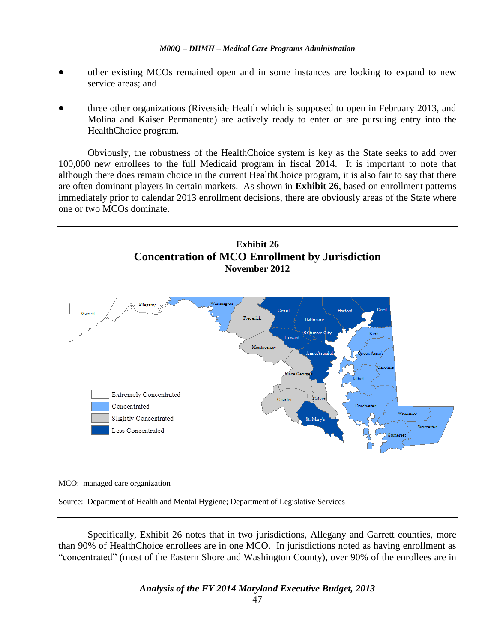- other existing MCOs remained open and in some instances are looking to expand to new service areas; and
- three other organizations (Riverside Health which is supposed to open in February 2013, and Molina and Kaiser Permanente) are actively ready to enter or are pursuing entry into the HealthChoice program.

Obviously, the robustness of the HealthChoice system is key as the State seeks to add over 100,000 new enrollees to the full Medicaid program in fiscal 2014. It is important to note that although there does remain choice in the current HealthChoice program, it is also fair to say that there are often dominant players in certain markets. As shown in **Exhibit 26**, based on enrollment patterns immediately prior to calendar 2013 enrollment decisions, there are obviously areas of the State where one or two MCOs dominate.





MCO: managed care organization

Source: Department of Health and Mental Hygiene; Department of Legislative Services

Specifically, Exhibit 26 notes that in two jurisdictions, Allegany and Garrett counties, more than 90% of HealthChoice enrollees are in one MCO. In jurisdictions noted as having enrollment as "concentrated" (most of the Eastern Shore and Washington County), over 90% of the enrollees are in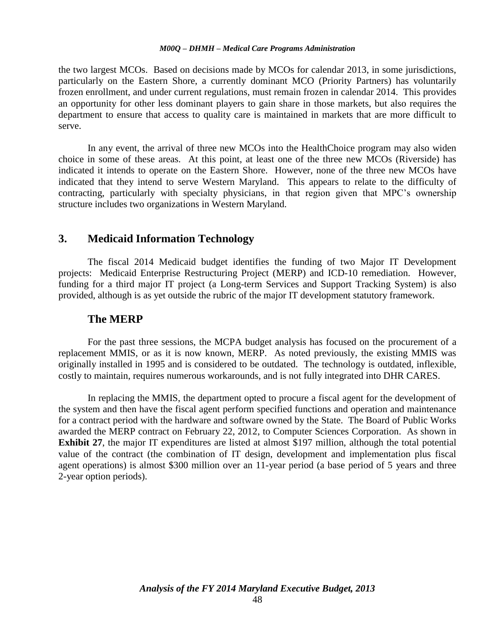the two largest MCOs. Based on decisions made by MCOs for calendar 2013, in some jurisdictions, particularly on the Eastern Shore, a currently dominant MCO (Priority Partners) has voluntarily frozen enrollment, and under current regulations, must remain frozen in calendar 2014. This provides an opportunity for other less dominant players to gain share in those markets, but also requires the department to ensure that access to quality care is maintained in markets that are more difficult to serve.

In any event, the arrival of three new MCOs into the HealthChoice program may also widen choice in some of these areas. At this point, at least one of the three new MCOs (Riverside) has indicated it intends to operate on the Eastern Shore. However, none of the three new MCOs have indicated that they intend to serve Western Maryland. This appears to relate to the difficulty of contracting, particularly with specialty physicians, in that region given that MPC's ownership structure includes two organizations in Western Maryland.

### **3. Medicaid Information Technology**

The fiscal 2014 Medicaid budget identifies the funding of two Major IT Development projects: Medicaid Enterprise Restructuring Project (MERP) and ICD-10 remediation. However, funding for a third major IT project (a Long-term Services and Support Tracking System) is also provided, although is as yet outside the rubric of the major IT development statutory framework.

### **The MERP**

For the past three sessions, the MCPA budget analysis has focused on the procurement of a replacement MMIS, or as it is now known, MERP. As noted previously, the existing MMIS was originally installed in 1995 and is considered to be outdated. The technology is outdated, inflexible, costly to maintain, requires numerous workarounds, and is not fully integrated into DHR CARES.

In replacing the MMIS, the department opted to procure a fiscal agent for the development of the system and then have the fiscal agent perform specified functions and operation and maintenance for a contract period with the hardware and software owned by the State. The Board of Public Works awarded the MERP contract on February 22, 2012, to Computer Sciences Corporation. As shown in **Exhibit 27**, the major IT expenditures are listed at almost \$197 million, although the total potential value of the contract (the combination of IT design, development and implementation plus fiscal agent operations) is almost \$300 million over an 11-year period (a base period of 5 years and three 2-year option periods).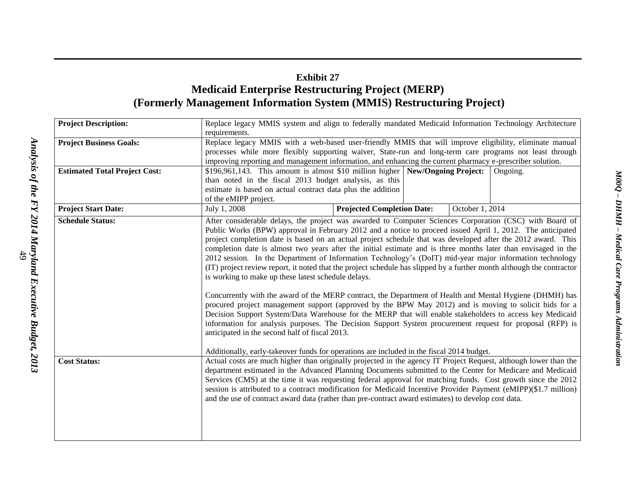# **Exhibit 27 Medicaid Enterprise Restructuring Project (MERP) (Formerly Management Information System (MMIS) Restructuring Project)**

| <b>Project Description:</b>          | Replace legacy MMIS system and align to federally mandated Medicaid Information Technology Architecture                                                                                                                |  |  |  |  |  |
|--------------------------------------|------------------------------------------------------------------------------------------------------------------------------------------------------------------------------------------------------------------------|--|--|--|--|--|
|                                      | requirements.                                                                                                                                                                                                          |  |  |  |  |  |
| <b>Project Business Goals:</b>       | Replace legacy MMIS with a web-based user-friendly MMIS that will improve eligibility, eliminate manual                                                                                                                |  |  |  |  |  |
|                                      | processes while more flexibly supporting waiver, State-run and long-term care programs not least through                                                                                                               |  |  |  |  |  |
|                                      | improving reporting and management information, and enhancing the current pharmacy e-prescriber solution.                                                                                                              |  |  |  |  |  |
| <b>Estimated Total Project Cost:</b> | $$196,961,143$ . This amount is almost \$10 million higher New/Ongoing Project:<br>Ongoing.                                                                                                                            |  |  |  |  |  |
|                                      | than noted in the fiscal 2013 budget analysis, as this                                                                                                                                                                 |  |  |  |  |  |
|                                      | estimate is based on actual contract data plus the addition                                                                                                                                                            |  |  |  |  |  |
|                                      | of the eMIPP project.                                                                                                                                                                                                  |  |  |  |  |  |
| <b>Project Start Date:</b>           | July 1, 2008<br><b>Projected Completion Date:</b><br>October 1, 2014                                                                                                                                                   |  |  |  |  |  |
| <b>Schedule Status:</b>              | After considerable delays, the project was awarded to Computer Sciences Corporation (CSC) with Board of                                                                                                                |  |  |  |  |  |
|                                      | Public Works (BPW) approval in February 2012 and a notice to proceed issued April 1, 2012. The anticipated                                                                                                             |  |  |  |  |  |
|                                      | project completion date is based on an actual project schedule that was developed after the 2012 award. This                                                                                                           |  |  |  |  |  |
|                                      | completion date is almost two years after the initial estimate and is three months later than envisaged in the                                                                                                         |  |  |  |  |  |
|                                      | 2012 session. In the Department of Information Technology's (DoIT) mid-year major information technology                                                                                                               |  |  |  |  |  |
|                                      | (IT) project review report, it noted that the project schedule has slipped by a further month although the contractor                                                                                                  |  |  |  |  |  |
|                                      | is working to make up these latest schedule delays.                                                                                                                                                                    |  |  |  |  |  |
|                                      | Concurrently with the award of the MERP contract, the Department of Health and Mental Hygiene (DHMH) has                                                                                                               |  |  |  |  |  |
|                                      | procured project management support (approved by the BPW May 2012) and is moving to solicit bids for a                                                                                                                 |  |  |  |  |  |
|                                      | Decision Support System/Data Warehouse for the MERP that will enable stakeholders to access key Medicaid                                                                                                               |  |  |  |  |  |
|                                      | information for analysis purposes. The Decision Support System procurement request for proposal (RFP) is                                                                                                               |  |  |  |  |  |
|                                      | anticipated in the second half of fiscal 2013.                                                                                                                                                                         |  |  |  |  |  |
|                                      |                                                                                                                                                                                                                        |  |  |  |  |  |
|                                      | Additionally, early-takeover funds for operations are included in the fiscal 2014 budget.                                                                                                                              |  |  |  |  |  |
| <b>Cost Status:</b>                  | Actual costs are much higher than originally projected in the agency IT Project Request, although lower than the                                                                                                       |  |  |  |  |  |
|                                      | department estimated in the Advanced Planning Documents submitted to the Center for Medicare and Medicaid                                                                                                              |  |  |  |  |  |
|                                      | Services (CMS) at the time it was requesting federal approval for matching funds. Cost growth since the 2012                                                                                                           |  |  |  |  |  |
|                                      | session is attributed to a contract modification for Medicaid Incentive Provider Payment (eMIPP)(\$1.7 million)<br>and the use of contract award data (rather than pre-contract award estimates) to develop cost data. |  |  |  |  |  |
|                                      |                                                                                                                                                                                                                        |  |  |  |  |  |
|                                      |                                                                                                                                                                                                                        |  |  |  |  |  |
|                                      |                                                                                                                                                                                                                        |  |  |  |  |  |
|                                      |                                                                                                                                                                                                                        |  |  |  |  |  |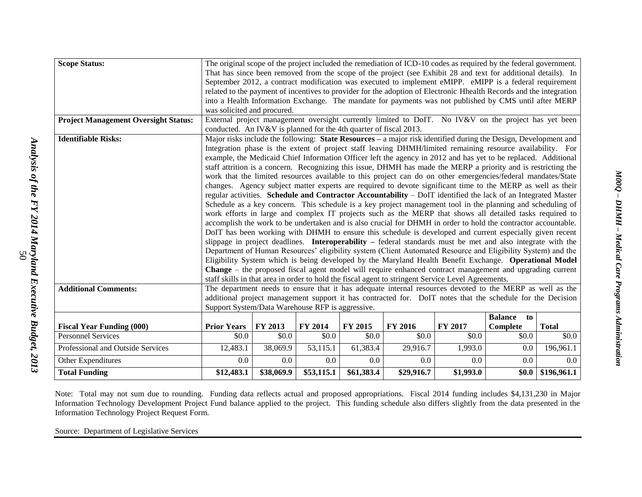| <b>Scope Status:</b>                        |                                                                                                                                                                                                                           | The original scope of the project included the remediation of ICD-10 codes as required by the federal government. |            |            |                                                                                                                |                |                      |                        |
|---------------------------------------------|---------------------------------------------------------------------------------------------------------------------------------------------------------------------------------------------------------------------------|-------------------------------------------------------------------------------------------------------------------|------------|------------|----------------------------------------------------------------------------------------------------------------|----------------|----------------------|------------------------|
|                                             |                                                                                                                                                                                                                           | That has since been removed from the scope of the project (see Exhibit 28 and text for additional details). In    |            |            |                                                                                                                |                |                      |                        |
|                                             | September 2012, a contract modification was executed to implement eMIPP. eMIPP is a federal requirement                                                                                                                   |                                                                                                                   |            |            |                                                                                                                |                |                      |                        |
|                                             | related to the payment of incentives to provider for the adoption of Electronic Hhealth Records and the integration                                                                                                       |                                                                                                                   |            |            |                                                                                                                |                |                      |                        |
|                                             | into a Health Information Exchange. The mandate for payments was not published by CMS until after MERP                                                                                                                    |                                                                                                                   |            |            |                                                                                                                |                |                      |                        |
|                                             | was solicited and procured.                                                                                                                                                                                               |                                                                                                                   |            |            |                                                                                                                |                |                      |                        |
| <b>Project Management Oversight Status:</b> |                                                                                                                                                                                                                           |                                                                                                                   |            |            | External project management oversight currently limited to DoIT. No IV&V on the project has yet been           |                |                      |                        |
|                                             | conducted. An IV&V is planned for the 4th quarter of fiscal 2013.                                                                                                                                                         |                                                                                                                   |            |            |                                                                                                                |                |                      |                        |
| <b>Identifiable Risks:</b>                  |                                                                                                                                                                                                                           | Major risks include the following: State Resources - a major risk identified during the Design, Development and   |            |            |                                                                                                                |                |                      |                        |
|                                             |                                                                                                                                                                                                                           |                                                                                                                   |            |            | Integration phase is the extent of project staff leaving DHMH/limited remaining resource availability. For     |                |                      |                        |
|                                             |                                                                                                                                                                                                                           |                                                                                                                   |            |            | example, the Medicaid Chief Information Officer left the agency in 2012 and has yet to be replaced. Additional |                |                      |                        |
|                                             |                                                                                                                                                                                                                           |                                                                                                                   |            |            | staff attrition is a concern. Recognizing this issue, DHMH has made the MERP a priority and is restricting the |                |                      |                        |
|                                             |                                                                                                                                                                                                                           |                                                                                                                   |            |            | work that the limited resources available to this project can do on other emergencies/federal mandates/State   |                |                      |                        |
|                                             |                                                                                                                                                                                                                           |                                                                                                                   |            |            | changes. Agency subject matter experts are required to devote significant time to the MERP as well as their    |                |                      |                        |
|                                             |                                                                                                                                                                                                                           |                                                                                                                   |            |            | regular activities. Schedule and Contractor Accountability - DoIT identified the lack of an Integrated Master  |                |                      |                        |
|                                             | Schedule as a key concern. This schedule is a key project management tool in the planning and scheduling of                                                                                                               |                                                                                                                   |            |            |                                                                                                                |                |                      |                        |
|                                             | work efforts in large and complex IT projects such as the MERP that shows all detailed tasks required to                                                                                                                  |                                                                                                                   |            |            |                                                                                                                |                |                      |                        |
|                                             | accomplish the work to be undertaken and is also crucial for DHMH in order to hold the contractor accountable.                                                                                                            |                                                                                                                   |            |            |                                                                                                                |                |                      |                        |
|                                             | DoIT has been working with DHMH to ensure this schedule is developed and current especially given recent                                                                                                                  |                                                                                                                   |            |            |                                                                                                                |                |                      |                        |
|                                             | slippage in project deadlines. Interoperability – federal standards must be met and also integrate with the                                                                                                               |                                                                                                                   |            |            |                                                                                                                |                |                      |                        |
|                                             | Department of Human Resources' eligibility system (Client Automated Resource and Eligibility System) and the                                                                                                              |                                                                                                                   |            |            |                                                                                                                |                |                      |                        |
|                                             | Eligibility System which is being developed by the Maryland Health Benefit Exchange. Operational Model<br><b>Change</b> – the proposed fiscal agent model will require enhanced contract management and upgrading current |                                                                                                                   |            |            |                                                                                                                |                |                      |                        |
|                                             |                                                                                                                                                                                                                           |                                                                                                                   |            |            | staff skills in that area in order to hold the fiscal agent to stringent Service Level Agreements.             |                |                      |                        |
| <b>Additional Comments:</b>                 |                                                                                                                                                                                                                           |                                                                                                                   |            |            | The department needs to ensure that it has adequate internal resources devoted to the MERP as well as the      |                |                      |                        |
|                                             |                                                                                                                                                                                                                           |                                                                                                                   |            |            | additional project management support it has contracted for. DoIT notes that the schedule for the Decision     |                |                      |                        |
|                                             | Support System/Data Warehouse RFP is aggressive.                                                                                                                                                                          |                                                                                                                   |            |            |                                                                                                                |                |                      |                        |
|                                             |                                                                                                                                                                                                                           |                                                                                                                   |            |            |                                                                                                                |                | <b>Balance</b><br>to |                        |
| <b>Fiscal Year Funding (000)</b>            | <b>Prior Years</b>                                                                                                                                                                                                        | FY 2013                                                                                                           | FY 2014    | FY 2015    | FY 2016                                                                                                        | <b>FY 2017</b> | Complete             | <b>Total</b>           |
| <b>Personnel Services</b>                   | \$0.0                                                                                                                                                                                                                     | \$0.0                                                                                                             | \$0.0      | \$0.0      | \$0.0                                                                                                          | \$0.0          | \$0.0                | \$0.0                  |
| Professional and Outside Services           | 12,483.1                                                                                                                                                                                                                  | 38,069.9                                                                                                          | 53,115.1   | 61,383.4   | 29,916.7                                                                                                       | 1,993.0        | 0.0                  | 196,961.1              |
| Other Expenditures                          | 0.0                                                                                                                                                                                                                       | 0.0                                                                                                               | 0.0        | 0.0        | 0.0                                                                                                            | 0.0            | 0.0                  | 0.0                    |
| <b>Total Funding</b>                        | \$12,483.1                                                                                                                                                                                                                | \$38,069.9                                                                                                        | \$53,115.1 | \$61,383.4 | \$29,916.7                                                                                                     | \$1,993.0      |                      | $$0.0 \mid $196,961.1$ |

Note: Total may not sum due to rounding. Funding data reflects actual and proposed appropriations. Fiscal 2014 funding includes \$4,131,230 in Major Information Technology Development Project Fund balance applied to the project. This funding schedule also differs slightly from the data presented in the Information Technology Project Request Form.

Source: Department of Legislative Services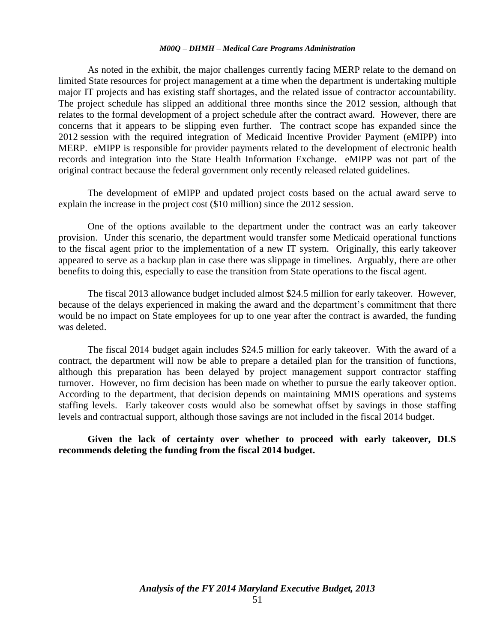As noted in the exhibit, the major challenges currently facing MERP relate to the demand on limited State resources for project management at a time when the department is undertaking multiple major IT projects and has existing staff shortages, and the related issue of contractor accountability. The project schedule has slipped an additional three months since the 2012 session, although that relates to the formal development of a project schedule after the contract award. However, there are concerns that it appears to be slipping even further. The contract scope has expanded since the 2012 session with the required integration of Medicaid Incentive Provider Payment (eMIPP) into MERP. eMIPP is responsible for provider payments related to the development of electronic health records and integration into the State Health Information Exchange. eMIPP was not part of the original contract because the federal government only recently released related guidelines.

The development of eMIPP and updated project costs based on the actual award serve to explain the increase in the project cost (\$10 million) since the 2012 session.

One of the options available to the department under the contract was an early takeover provision. Under this scenario, the department would transfer some Medicaid operational functions to the fiscal agent prior to the implementation of a new IT system. Originally, this early takeover appeared to serve as a backup plan in case there was slippage in timelines. Arguably, there are other benefits to doing this, especially to ease the transition from State operations to the fiscal agent.

The fiscal 2013 allowance budget included almost \$24.5 million for early takeover. However, because of the delays experienced in making the award and the department's commitment that there would be no impact on State employees for up to one year after the contract is awarded, the funding was deleted.

The fiscal 2014 budget again includes \$24.5 million for early takeover. With the award of a contract, the department will now be able to prepare a detailed plan for the transition of functions, although this preparation has been delayed by project management support contractor staffing turnover. However, no firm decision has been made on whether to pursue the early takeover option. According to the department, that decision depends on maintaining MMIS operations and systems staffing levels. Early takeover costs would also be somewhat offset by savings in those staffing levels and contractual support, although those savings are not included in the fiscal 2014 budget.

**Given the lack of certainty over whether to proceed with early takeover, DLS recommends deleting the funding from the fiscal 2014 budget.**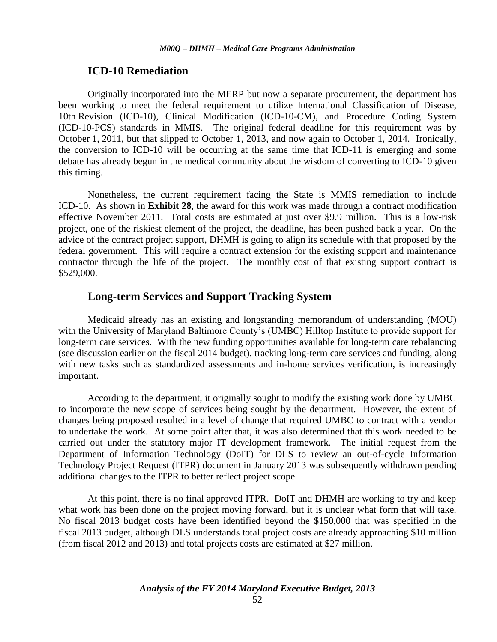### **ICD-10 Remediation**

Originally incorporated into the MERP but now a separate procurement, the department has been working to meet the federal requirement to utilize International Classification of Disease, 10th Revision (ICD-10), Clinical Modification (ICD-10-CM), and Procedure Coding System (ICD-10-PCS) standards in MMIS. The original federal deadline for this requirement was by October 1, 2011, but that slipped to October 1, 2013, and now again to October 1, 2014. Ironically, the conversion to ICD-10 will be occurring at the same time that ICD-11 is emerging and some debate has already begun in the medical community about the wisdom of converting to ICD-10 given this timing.

Nonetheless, the current requirement facing the State is MMIS remediation to include ICD-10. As shown in **Exhibit 28**, the award for this work was made through a contract modification effective November 2011. Total costs are estimated at just over \$9.9 million. This is a low-risk project, one of the riskiest element of the project, the deadline, has been pushed back a year. On the advice of the contract project support, DHMH is going to align its schedule with that proposed by the federal government. This will require a contract extension for the existing support and maintenance contractor through the life of the project. The monthly cost of that existing support contract is \$529,000.

# **Long-term Services and Support Tracking System**

Medicaid already has an existing and longstanding memorandum of understanding (MOU) with the University of Maryland Baltimore County's (UMBC) Hilltop Institute to provide support for long-term care services. With the new funding opportunities available for long-term care rebalancing (see discussion earlier on the fiscal 2014 budget), tracking long-term care services and funding, along with new tasks such as standardized assessments and in-home services verification, is increasingly important.

According to the department, it originally sought to modify the existing work done by UMBC to incorporate the new scope of services being sought by the department. However, the extent of changes being proposed resulted in a level of change that required UMBC to contract with a vendor to undertake the work. At some point after that, it was also determined that this work needed to be carried out under the statutory major IT development framework. The initial request from the Department of Information Technology (DoIT) for DLS to review an out-of-cycle Information Technology Project Request (ITPR) document in January 2013 was subsequently withdrawn pending additional changes to the ITPR to better reflect project scope.

At this point, there is no final approved ITPR. DoIT and DHMH are working to try and keep what work has been done on the project moving forward, but it is unclear what form that will take. No fiscal 2013 budget costs have been identified beyond the \$150,000 that was specified in the fiscal 2013 budget, although DLS understands total project costs are already approaching \$10 million (from fiscal 2012 and 2013) and total projects costs are estimated at \$27 million.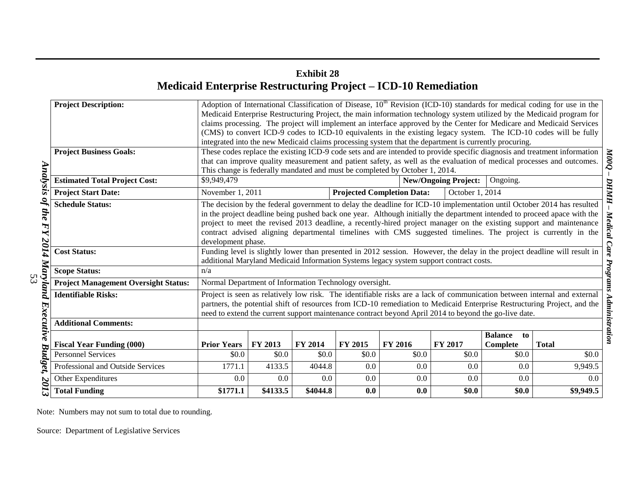# **Exhibit 28 Medicaid Enterprise Restructuring Project – ICD-10 Remediation**

|            | <b>Project Description:</b>                 |                                                                                                                                                                                                      | Adoption of International Classification of Disease, 10 <sup>th</sup> Revision (ICD-10) standards for medical coding for use in the |          |         |                                                                                                       |                             |                      |                                                                                                                           |
|------------|---------------------------------------------|------------------------------------------------------------------------------------------------------------------------------------------------------------------------------------------------------|-------------------------------------------------------------------------------------------------------------------------------------|----------|---------|-------------------------------------------------------------------------------------------------------|-----------------------------|----------------------|---------------------------------------------------------------------------------------------------------------------------|
|            |                                             |                                                                                                                                                                                                      |                                                                                                                                     |          |         |                                                                                                       |                             |                      | Medicaid Enterprise Restructuring Project, the main information technology system utilized by the Medicaid program for    |
|            |                                             |                                                                                                                                                                                                      |                                                                                                                                     |          |         |                                                                                                       |                             |                      | claims processing. The project will implement an interface approved by the Center for Medicare and Medicaid Services      |
|            |                                             |                                                                                                                                                                                                      |                                                                                                                                     |          |         |                                                                                                       |                             |                      | (CMS) to convert ICD-9 codes to ICD-10 equivalents in the existing legacy system. The ICD-10 codes will be fully          |
|            |                                             |                                                                                                                                                                                                      |                                                                                                                                     |          |         | integrated into the new Medicaid claims processing system that the department is currently procuring. |                             |                      |                                                                                                                           |
|            | <b>Project Business Goals:</b>              |                                                                                                                                                                                                      |                                                                                                                                     |          |         |                                                                                                       |                             |                      | These codes replace the existing ICD-9 code sets and are intended to provide specific diagnosis and treatment information |
|            |                                             | that can improve quality measurement and patient safety, as well as the evaluation of medical processes and outcomes.<br>This change is federally mandated and must be completed by October 1, 2014. |                                                                                                                                     |          |         |                                                                                                       |                             |                      |                                                                                                                           |
| Analysis   |                                             |                                                                                                                                                                                                      |                                                                                                                                     |          |         |                                                                                                       |                             |                      |                                                                                                                           |
|            | <b>Estimated Total Project Cost:</b>        | \$9,949,479                                                                                                                                                                                          |                                                                                                                                     |          |         |                                                                                                       | <b>New/Ongoing Project:</b> | Ongoing.             |                                                                                                                           |
|            | <b>Project Start Date:</b>                  | November 1, 2011                                                                                                                                                                                     |                                                                                                                                     |          |         | <b>Projected Completion Data:</b>                                                                     | October 1, 2014             |                      |                                                                                                                           |
| 2          | <b>Schedule Status:</b>                     |                                                                                                                                                                                                      | The decision by the federal government to delay the deadline for ICD-10 implementation until October 2014 has resulted              |          |         |                                                                                                       |                             |                      |                                                                                                                           |
| the        |                                             |                                                                                                                                                                                                      |                                                                                                                                     |          |         |                                                                                                       |                             |                      | in the project deadline being pushed back one year. Although initially the department intended to proceed apace with the  |
| FY         |                                             | project to meet the revised 2013 deadline, a recently-hired project manager on the existing support and maintenance                                                                                  |                                                                                                                                     |          |         |                                                                                                       |                             |                      |                                                                                                                           |
|            |                                             | contract advised aligning departmental timelines with CMS suggested timelines. The project is currently in the                                                                                       |                                                                                                                                     |          |         |                                                                                                       |                             |                      |                                                                                                                           |
| 2014       |                                             | development phase.                                                                                                                                                                                   |                                                                                                                                     |          |         |                                                                                                       |                             |                      |                                                                                                                           |
|            | <b>Cost Status:</b>                         | Funding level is slightly lower than presented in 2012 session. However, the delay in the project deadline will result in                                                                            |                                                                                                                                     |          |         |                                                                                                       |                             |                      |                                                                                                                           |
|            |                                             | additional Maryland Medicaid Information Systems legacy system support contract costs.                                                                                                               |                                                                                                                                     |          |         |                                                                                                       |                             |                      |                                                                                                                           |
| Mary<br>53 | <b>Scope Status:</b>                        | n/a                                                                                                                                                                                                  |                                                                                                                                     |          |         |                                                                                                       |                             |                      |                                                                                                                           |
| oma        | <b>Project Management Oversight Status:</b> | Normal Department of Information Technology oversight.                                                                                                                                               |                                                                                                                                     |          |         |                                                                                                       |                             |                      |                                                                                                                           |
|            | <b>Identifiable Risks:</b>                  |                                                                                                                                                                                                      |                                                                                                                                     |          |         |                                                                                                       |                             |                      | Project is seen as relatively low risk. The identifiable risks are a lack of communication between internal and external  |
|            |                                             |                                                                                                                                                                                                      |                                                                                                                                     |          |         |                                                                                                       |                             |                      | partners, the potential shift of resources from ICD-10 remediation to Medicaid Enterprise Restructuring Project, and the  |
|            |                                             | need to extend the current support maintenance contract beyond April 2014 to beyond the go-live date.                                                                                                |                                                                                                                                     |          |         |                                                                                                       |                             |                      |                                                                                                                           |
| Exercise 1 | <b>Additional Comments:</b>                 |                                                                                                                                                                                                      |                                                                                                                                     |          |         |                                                                                                       |                             |                      |                                                                                                                           |
|            |                                             |                                                                                                                                                                                                      |                                                                                                                                     |          |         |                                                                                                       |                             | <b>Balance</b><br>to |                                                                                                                           |
| ᡆ          | <b>Fiscal Year Funding (000)</b>            | <b>Prior Years</b>                                                                                                                                                                                   | <b>FY 2013</b>                                                                                                                      | FY 2014  | FY 2015 | <b>FY 2016</b>                                                                                        | FY 2017                     | Complete             | <b>Total</b>                                                                                                              |
| udget      | <b>Personnel Services</b>                   | \$0.0                                                                                                                                                                                                | \$0.0                                                                                                                               | \$0.0    | \$0.0   | \$0.0                                                                                                 | \$0.0                       | \$0.0                | \$0.0                                                                                                                     |
|            | Professional and Outside Services           | 1771.1                                                                                                                                                                                               | 4133.5                                                                                                                              | 4044.8   | 0.0     | 0.0                                                                                                   | 0.0                         | 0.0                  | 9,949.5                                                                                                                   |
| 201        | Other Expenditures                          | 0.0                                                                                                                                                                                                  | 0.0                                                                                                                                 | 0.0      | 0.0     | 0.0                                                                                                   | 0.0                         | 0.0                  | 0.0                                                                                                                       |
|            | <b>Total Funding</b>                        | \$1771.1                                                                                                                                                                                             | \$4133.5                                                                                                                            | \$4044.8 | 0.0     | 0.0                                                                                                   | \$0.0\$                     | \$0.0                | \$9,949.5                                                                                                                 |

Note: Numbers may not sum to total due to rounding.

Source: Department of Legislative Services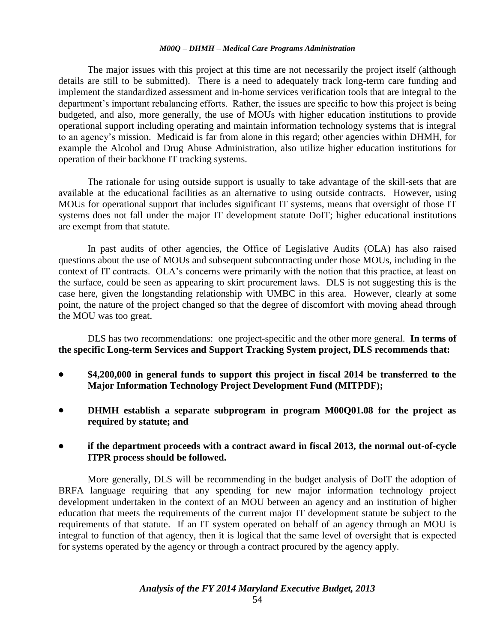The major issues with this project at this time are not necessarily the project itself (although details are still to be submitted). There is a need to adequately track long-term care funding and implement the standardized assessment and in-home services verification tools that are integral to the department's important rebalancing efforts. Rather, the issues are specific to how this project is being budgeted, and also, more generally, the use of MOUs with higher education institutions to provide operational support including operating and maintain information technology systems that is integral to an agency's mission. Medicaid is far from alone in this regard; other agencies within DHMH, for example the Alcohol and Drug Abuse Administration, also utilize higher education institutions for operation of their backbone IT tracking systems.

The rationale for using outside support is usually to take advantage of the skill-sets that are available at the educational facilities as an alternative to using outside contracts. However, using MOUs for operational support that includes significant IT systems, means that oversight of those IT systems does not fall under the major IT development statute DoIT; higher educational institutions are exempt from that statute.

In past audits of other agencies, the Office of Legislative Audits (OLA) has also raised questions about the use of MOUs and subsequent subcontracting under those MOUs, including in the context of IT contracts. OLA's concerns were primarily with the notion that this practice, at least on the surface, could be seen as appearing to skirt procurement laws. DLS is not suggesting this is the case here, given the longstanding relationship with UMBC in this area. However, clearly at some point, the nature of the project changed so that the degree of discomfort with moving ahead through the MOU was too great.

DLS has two recommendations: one project-specific and the other more general. **In terms of the specific Long-term Services and Support Tracking System project, DLS recommends that:**

- **\$4,200,000 in general funds to support this project in fiscal 2014 be transferred to the Major Information Technology Project Development Fund (MITPDF);**
- **DHMH establish a separate subprogram in program M00Q01.08 for the project as required by statute; and**
- **if the department proceeds with a contract award in fiscal 2013, the normal out-of-cycle ITPR process should be followed.**

More generally, DLS will be recommending in the budget analysis of DoIT the adoption of BRFA language requiring that any spending for new major information technology project development undertaken in the context of an MOU between an agency and an institution of higher education that meets the requirements of the current major IT development statute be subject to the requirements of that statute. If an IT system operated on behalf of an agency through an MOU is integral to function of that agency, then it is logical that the same level of oversight that is expected for systems operated by the agency or through a contract procured by the agency apply.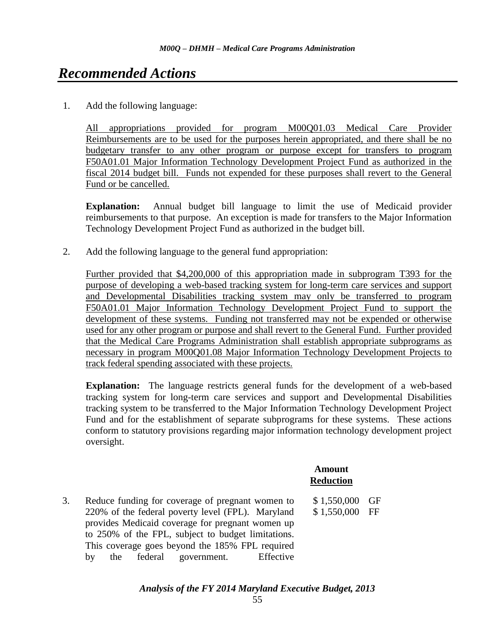# *Recommended Actions*

1. Add the following language:

All appropriations provided for program M00Q01.03 Medical Care Provider Reimbursements are to be used for the purposes herein appropriated, and there shall be no budgetary transfer to any other program or purpose except for transfers to program F50A01.01 Major Information Technology Development Project Fund as authorized in the fiscal 2014 budget bill. Funds not expended for these purposes shall revert to the General Fund or be cancelled.

**Explanation:** Annual budget bill language to limit the use of Medicaid provider reimbursements to that purpose. An exception is made for transfers to the Major Information Technology Development Project Fund as authorized in the budget bill.

2. Add the following language to the general fund appropriation:

Further provided that \$4,200,000 of this appropriation made in subprogram T393 for the purpose of developing a web-based tracking system for long-term care services and support and Developmental Disabilities tracking system may only be transferred to program F50A01.01 Major Information Technology Development Project Fund to support the development of these systems. Funding not transferred may not be expended or otherwise used for any other program or purpose and shall revert to the General Fund. Further provided that the Medical Care Programs Administration shall establish appropriate subprograms as necessary in program M00Q01.08 Major Information Technology Development Projects to track federal spending associated with these projects.

**Explanation:** The language restricts general funds for the development of a web-based tracking system for long-term care services and support and Developmental Disabilities tracking system to be transferred to the Major Information Technology Development Project Fund and for the establishment of separate subprograms for these systems. These actions conform to statutory provisions regarding major information technology development project oversight.

> **Amount Reduction**

3. Reduce funding for coverage of pregnant women to 220% of the federal poverty level (FPL). Maryland provides Medicaid coverage for pregnant women up to 250% of the FPL, subject to budget limitations. This coverage goes beyond the 185% FPL required by the federal government. Effective \$ 1,550,000 GF \$ 1,550,000 FF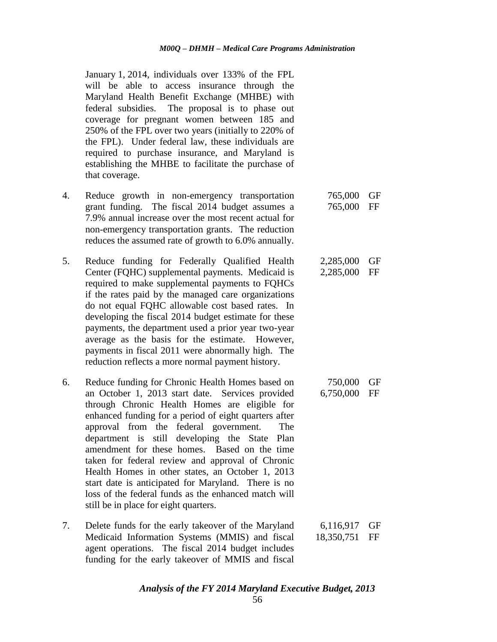January 1, 2014, individuals over 133% of the FPL will be able to access insurance through the Maryland Health Benefit Exchange (MHBE) with federal subsidies. The proposal is to phase out coverage for pregnant women between 185 and 250% of the FPL over two years (initially to 220% of the FPL). Under federal law, these individuals are required to purchase insurance, and Maryland is establishing the MHBE to facilitate the purchase of that coverage.

- 4. Reduce growth in non-emergency transportation grant funding. The fiscal 2014 budget assumes a 7.9% annual increase over the most recent actual for non-emergency transportation grants. The reduction reduces the assumed rate of growth to 6.0% annually. 765,000 GF 765,000 FF
- 5. Reduce funding for Federally Qualified Health Center (FQHC) supplemental payments. Medicaid is required to make supplemental payments to FQHCs if the rates paid by the managed care organizations do not equal FQHC allowable cost based rates. In developing the fiscal 2014 budget estimate for these payments, the department used a prior year two-year average as the basis for the estimate. However, payments in fiscal 2011 were abnormally high. The reduction reflects a more normal payment history. 2,285,000 GF 2,285,000 FF
- 6. Reduce funding for Chronic Health Homes based on an October 1, 2013 start date. Services provided through Chronic Health Homes are eligible for enhanced funding for a period of eight quarters after approval from the federal government. The department is still developing the State Plan amendment for these homes. Based on the time taken for federal review and approval of Chronic Health Homes in other states, an October 1, 2013 start date is anticipated for Maryland. There is no loss of the federal funds as the enhanced match will still be in place for eight quarters. 750,000 GF 6,750,000 FF
- 7. Delete funds for the early takeover of the Maryland Medicaid Information Systems (MMIS) and fiscal agent operations. The fiscal 2014 budget includes funding for the early takeover of MMIS and fiscal 6,116,917 GF 18,350,751 FF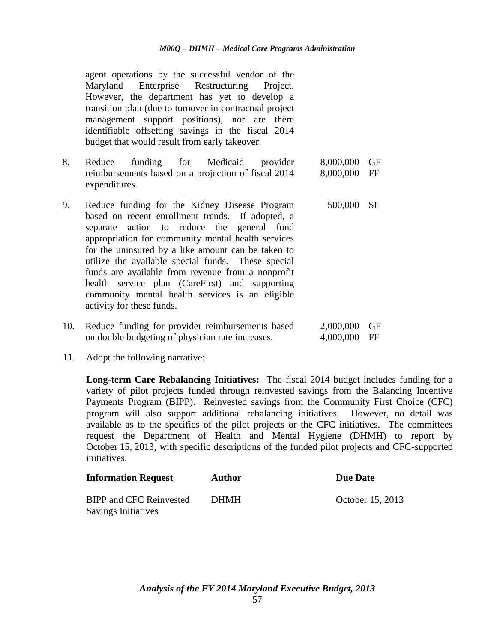agent operations by the successful vendor of the Maryland Enterprise Restructuring Project. However, the department has yet to develop a transition plan (due to turnover in contractual project management support positions), nor are there identifiable offsetting savings in the fiscal 2014 budget that would result from early takeover.

- 8. Reduce funding for Medicaid provider reimbursements based on a projection of fiscal 2014 expenditures. 8,000,000 GF 8,000,000 FF
- 9. Reduce funding for the Kidney Disease Program based on recent enrollment trends. If adopted, a separate action to reduce the general fund appropriation for community mental health services for the uninsured by a like amount can be taken to utilize the available special funds. These special funds are available from revenue from a nonprofit health service plan (CareFirst) and supporting community mental health services is an eligible activity for these funds. 500,000 SF
- 10. Reduce funding for provider reimbursements based on double budgeting of physician rate increases. 2,000,000 GF 4,000,000 FF
- 11. Adopt the following narrative:

**Long-term Care Rebalancing Initiatives:** The fiscal 2014 budget includes funding for a variety of pilot projects funded through reinvested savings from the Balancing Incentive Payments Program (BIPP). Reinvested savings from the Community First Choice (CFC) program will also support additional rebalancing initiatives. However, no detail was available as to the specifics of the pilot projects or the CFC initiatives. The committees request the Department of Health and Mental Hygiene (DHMH) to report by October 15, 2013, with specific descriptions of the funded pilot projects and CFC-supported initiatives.

| <b>Information Request</b>                                   | <b>Author</b> | <b>Due Date</b>  |
|--------------------------------------------------------------|---------------|------------------|
| <b>BIPP and CFC Reinvested</b><br><b>Savings Initiatives</b> | <b>DHMH</b>   | October 15, 2013 |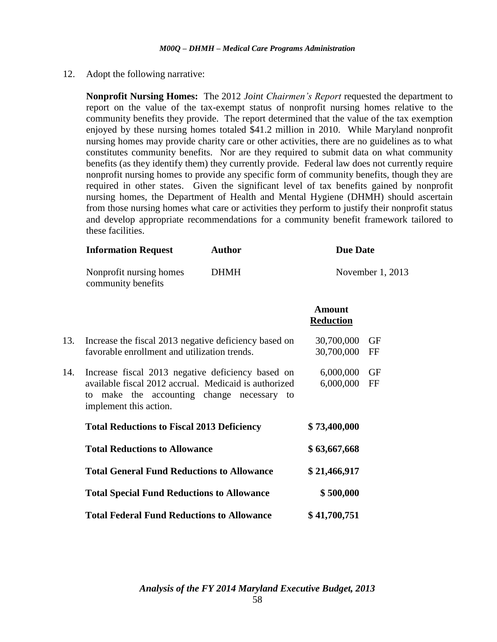12. Adopt the following narrative:

**Nonprofit Nursing Homes:** The 2012 *Joint Chairmen's Report* requested the department to report on the value of the tax-exempt status of nonprofit nursing homes relative to the community benefits they provide. The report determined that the value of the tax exemption enjoyed by these nursing homes totaled \$41.2 million in 2010. While Maryland nonprofit nursing homes may provide charity care or other activities, there are no guidelines as to what constitutes community benefits. Nor are they required to submit data on what community benefits (as they identify them) they currently provide. Federal law does not currently require nonprofit nursing homes to provide any specific form of community benefits, though they are required in other states. Given the significant level of tax benefits gained by nonprofit nursing homes, the Department of Health and Mental Hygiene (DHMH) should ascertain from those nursing homes what care or activities they perform to justify their nonprofit status and develop appropriate recommendations for a community benefit framework tailored to these facilities.

|     | <b>Information Request</b>                                                                                                    | <b>Author</b> | <b>Due Date</b>                   |                  |
|-----|-------------------------------------------------------------------------------------------------------------------------------|---------------|-----------------------------------|------------------|
|     | Nonprofit nursing homes<br>community benefits                                                                                 | <b>DHMH</b>   |                                   | November 1, 2013 |
|     |                                                                                                                               |               | <b>Amount</b><br><b>Reduction</b> |                  |
| 13. | Increase the fiscal 2013 negative deficiency based on                                                                         |               | 30,700,000                        | <b>GF</b>        |
|     | favorable enrollment and utilization trends.                                                                                  |               | 30,700,000                        | FF               |
| 14. | Increase fiscal 2013 negative deficiency based on                                                                             |               | 6,000,000                         | <b>GF</b>        |
|     | available fiscal 2012 accrual. Medicaid is authorized<br>to make the accounting change necessary to<br>implement this action. |               | 6,000,000                         | FF               |
|     | <b>Total Reductions to Fiscal 2013 Deficiency</b>                                                                             |               | \$73,400,000                      |                  |
|     | <b>Total Reductions to Allowance</b>                                                                                          |               | \$63,667,668                      |                  |
|     | <b>Total General Fund Reductions to Allowance</b>                                                                             |               | \$21,466,917                      |                  |
|     | <b>Total Special Fund Reductions to Allowance</b>                                                                             |               | \$500,000                         |                  |
|     | <b>Total Federal Fund Reductions to Allowance</b>                                                                             |               | \$41,700,751                      |                  |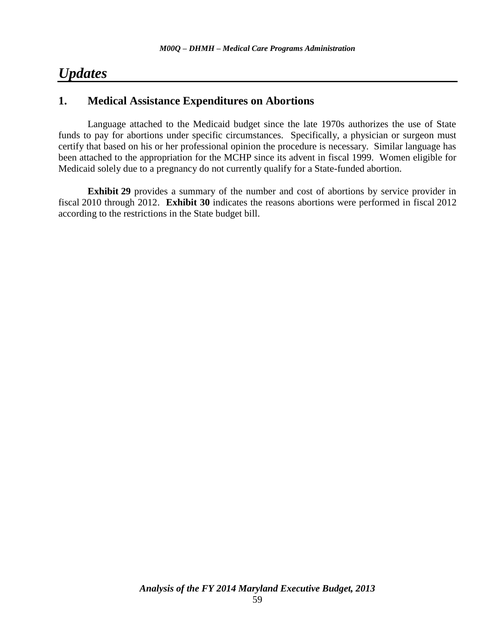# *Updates*

# **1. Medical Assistance Expenditures on Abortions**

Language attached to the Medicaid budget since the late 1970s authorizes the use of State funds to pay for abortions under specific circumstances. Specifically, a physician or surgeon must certify that based on his or her professional opinion the procedure is necessary. Similar language has been attached to the appropriation for the MCHP since its advent in fiscal 1999. Women eligible for Medicaid solely due to a pregnancy do not currently qualify for a State-funded abortion.

**Exhibit 29** provides a summary of the number and cost of abortions by service provider in fiscal 2010 through 2012. **Exhibit 30** indicates the reasons abortions were performed in fiscal 2012 according to the restrictions in the State budget bill.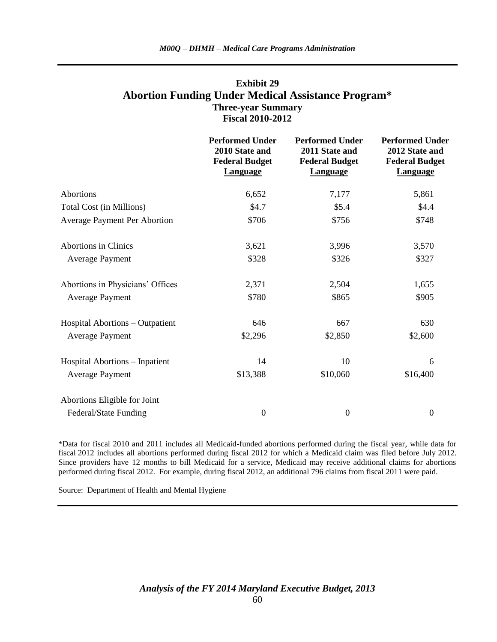### **Exhibit 29 Abortion Funding Under Medical Assistance Program\* Three-year Summary Fiscal 2010-2012**

|                                       | <b>Performed Under</b><br>2010 State and<br><b>Federal Budget</b><br><b>Language</b> | <b>Performed Under</b><br>2011 State and<br><b>Federal Budget</b><br><b>Language</b> | <b>Performed Under</b><br>2012 State and<br><b>Federal Budget</b><br><b>Language</b> |
|---------------------------------------|--------------------------------------------------------------------------------------|--------------------------------------------------------------------------------------|--------------------------------------------------------------------------------------|
| Abortions                             | 6,652                                                                                | 7,177                                                                                | 5,861                                                                                |
| Total Cost (in Millions)              | \$4.7                                                                                | \$5.4                                                                                | \$4.4                                                                                |
| <b>Average Payment Per Abortion</b>   | \$706                                                                                | \$756                                                                                | \$748                                                                                |
| <b>Abortions in Clinics</b>           | 3,621                                                                                | 3,996                                                                                | 3,570                                                                                |
| <b>Average Payment</b>                | \$328                                                                                | \$326                                                                                | \$327                                                                                |
| Abortions in Physicians' Offices      | 2,371                                                                                | 2,504                                                                                | 1,655                                                                                |
| <b>Average Payment</b>                | \$780                                                                                | \$865                                                                                | \$905                                                                                |
| Hospital Abortions – Outpatient       | 646                                                                                  | 667                                                                                  | 630                                                                                  |
| <b>Average Payment</b>                | \$2,296                                                                              | \$2,850                                                                              | \$2,600                                                                              |
| <b>Hospital Abortions - Inpatient</b> | 14                                                                                   | 10                                                                                   | 6                                                                                    |
| <b>Average Payment</b>                | \$13,388                                                                             | \$10,060                                                                             | \$16,400                                                                             |
| Abortions Eligible for Joint          |                                                                                      |                                                                                      |                                                                                      |
| Federal/State Funding                 | $\mathbf{0}$                                                                         | $\boldsymbol{0}$                                                                     | $\boldsymbol{0}$                                                                     |

\*Data for fiscal 2010 and 2011 includes all Medicaid-funded abortions performed during the fiscal year, while data for fiscal 2012 includes all abortions performed during fiscal 2012 for which a Medicaid claim was filed before July 2012. Since providers have 12 months to bill Medicaid for a service, Medicaid may receive additional claims for abortions performed during fiscal 2012. For example, during fiscal 2012, an additional 796 claims from fiscal 2011 were paid.

Source: Department of Health and Mental Hygiene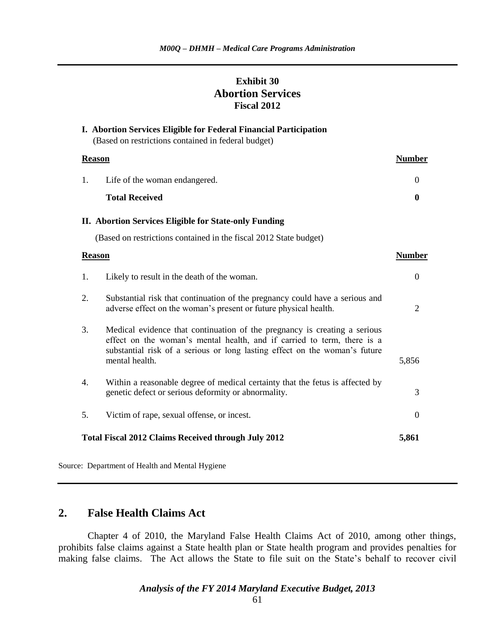# **Exhibit 30 Abortion Services Fiscal 2012**

**I. Abortion Services Eligible for Federal Financial Participation**

| (Based on restrictions contained in federal budget)                                                                                                                                                                                                        |               |
|------------------------------------------------------------------------------------------------------------------------------------------------------------------------------------------------------------------------------------------------------------|---------------|
| <b>Reason</b>                                                                                                                                                                                                                                              | <b>Number</b> |
| 1.<br>Life of the woman endangered.                                                                                                                                                                                                                        | $\Omega$      |
| <b>Total Received</b>                                                                                                                                                                                                                                      | $\mathbf{0}$  |
| II. Abortion Services Eligible for State-only Funding                                                                                                                                                                                                      |               |
| (Based on restrictions contained in the fiscal 2012 State budget)                                                                                                                                                                                          |               |
| <b>Reason</b>                                                                                                                                                                                                                                              | <b>Number</b> |
| 1.<br>Likely to result in the death of the woman.                                                                                                                                                                                                          | $\Omega$      |
| 2.<br>Substantial risk that continuation of the pregnancy could have a serious and<br>adverse effect on the woman's present or future physical health.                                                                                                     | 2             |
| 3.<br>Medical evidence that continuation of the pregnancy is creating a serious<br>effect on the woman's mental health, and if carried to term, there is a<br>substantial risk of a serious or long lasting effect on the woman's future<br>mental health. | 5,856         |
| $\overline{4}$ .<br>Within a reasonable degree of medical certainty that the fetus is affected by<br>genetic defect or serious deformity or abnormality.                                                                                                   | 3             |
| 5.<br>Victim of rape, sexual offense, or incest.                                                                                                                                                                                                           | $\theta$      |
| <b>Total Fiscal 2012 Claims Received through July 2012</b>                                                                                                                                                                                                 | 5,861         |

Source: Department of Health and Mental Hygiene

### **2. False Health Claims Act**

Chapter 4 of 2010, the Maryland False Health Claims Act of 2010, among other things, prohibits false claims against a State health plan or State health program and provides penalties for making false claims. The Act allows the State to file suit on the State's behalf to recover civil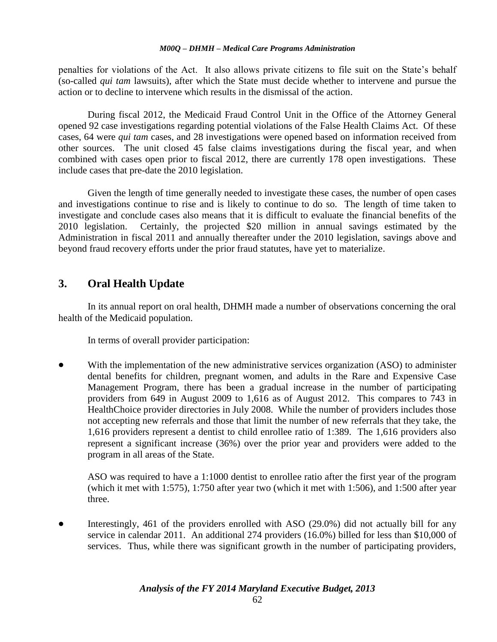penalties for violations of the Act. It also allows private citizens to file suit on the State's behalf (so-called *qui tam* lawsuits), after which the State must decide whether to intervene and pursue the action or to decline to intervene which results in the dismissal of the action.

During fiscal 2012, the Medicaid Fraud Control Unit in the Office of the Attorney General opened 92 case investigations regarding potential violations of the False Health Claims Act. Of these cases, 64 were *qui tam* cases, and 28 investigations were opened based on information received from other sources. The unit closed 45 false claims investigations during the fiscal year, and when combined with cases open prior to fiscal 2012, there are currently 178 open investigations. These include cases that pre-date the 2010 legislation.

Given the length of time generally needed to investigate these cases, the number of open cases and investigations continue to rise and is likely to continue to do so. The length of time taken to investigate and conclude cases also means that it is difficult to evaluate the financial benefits of the 2010 legislation. Certainly, the projected \$20 million in annual savings estimated by the Administration in fiscal 2011 and annually thereafter under the 2010 legislation, savings above and beyond fraud recovery efforts under the prior fraud statutes, have yet to materialize.

# **3. Oral Health Update**

In its annual report on oral health, DHMH made a number of observations concerning the oral health of the Medicaid population.

In terms of overall provider participation:

 With the implementation of the new administrative services organization (ASO) to administer dental benefits for children, pregnant women, and adults in the Rare and Expensive Case Management Program, there has been a gradual increase in the number of participating providers from 649 in August 2009 to 1,616 as of August 2012. This compares to 743 in HealthChoice provider directories in July 2008. While the number of providers includes those not accepting new referrals and those that limit the number of new referrals that they take, the 1,616 providers represent a dentist to child enrollee ratio of 1:389. The 1,616 providers also represent a significant increase (36%) over the prior year and providers were added to the program in all areas of the State.

ASO was required to have a 1:1000 dentist to enrollee ratio after the first year of the program (which it met with 1:575), 1:750 after year two (which it met with 1:506), and 1:500 after year three.

 Interestingly, 461 of the providers enrolled with ASO (29.0%) did not actually bill for any service in calendar 2011. An additional 274 providers (16.0%) billed for less than \$10,000 of services. Thus, while there was significant growth in the number of participating providers,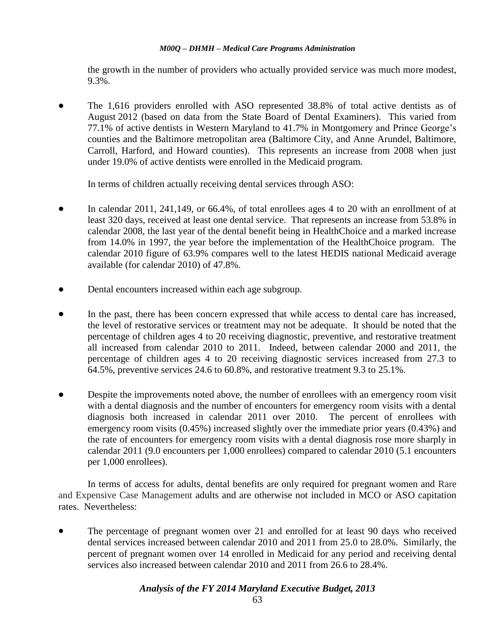the growth in the number of providers who actually provided service was much more modest, 9.3%.

 The 1,616 providers enrolled with ASO represented 38.8% of total active dentists as of August 2012 (based on data from the State Board of Dental Examiners). This varied from 77.1% of active dentists in Western Maryland to 41.7% in Montgomery and Prince George's counties and the Baltimore metropolitan area (Baltimore City, and Anne Arundel, Baltimore, Carroll, Harford, and Howard counties). This represents an increase from 2008 when just under 19.0% of active dentists were enrolled in the Medicaid program.

In terms of children actually receiving dental services through ASO:

- In calendar 2011, 241,149, or 66.4%, of total enrollees ages 4 to 20 with an enrollment of at least 320 days, received at least one dental service. That represents an increase from 53.8% in calendar 2008, the last year of the dental benefit being in HealthChoice and a marked increase from 14.0% in 1997, the year before the implementation of the HealthChoice program. The calendar 2010 figure of 63.9% compares well to the latest HEDIS national Medicaid average available (for calendar 2010) of 47.8%.
- Dental encounters increased within each age subgroup.
- In the past, there has been concern expressed that while access to dental care has increased, the level of restorative services or treatment may not be adequate. It should be noted that the percentage of children ages 4 to 20 receiving diagnostic, preventive, and restorative treatment all increased from calendar 2010 to 2011. Indeed, between calendar 2000 and 2011, the percentage of children ages 4 to 20 receiving diagnostic services increased from 27.3 to 64.5%, preventive services 24.6 to 60.8%, and restorative treatment 9.3 to 25.1%.
- Despite the improvements noted above, the number of enrollees with an emergency room visit with a dental diagnosis and the number of encounters for emergency room visits with a dental diagnosis both increased in calendar 2011 over 2010. The percent of enrollees with emergency room visits (0.45%) increased slightly over the immediate prior years (0.43%) and the rate of encounters for emergency room visits with a dental diagnosis rose more sharply in calendar 2011 (9.0 encounters per 1,000 enrollees) compared to calendar 2010 (5.1 encounters per 1,000 enrollees).

In terms of access for adults, dental benefits are only required for pregnant women and Rare and Expensive Case Management adults and are otherwise not included in MCO or ASO capitation rates. Nevertheless:

 The percentage of pregnant women over 21 and enrolled for at least 90 days who received dental services increased between calendar 2010 and 2011 from 25.0 to 28.0%. Similarly, the percent of pregnant women over 14 enrolled in Medicaid for any period and receiving dental services also increased between calendar 2010 and 2011 from 26.6 to 28.4%.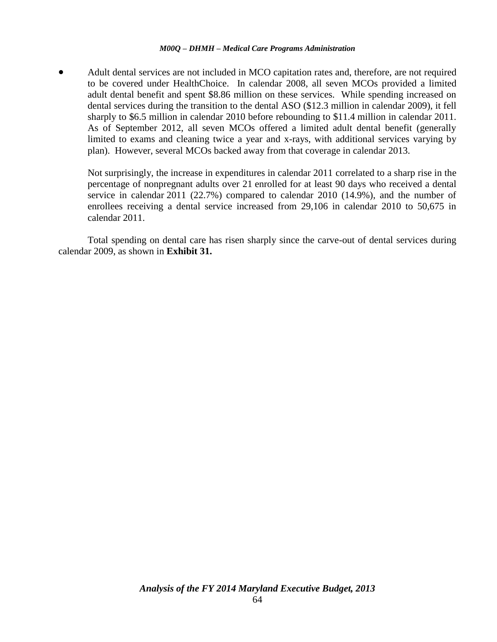Adult dental services are not included in MCO capitation rates and, therefore, are not required to be covered under HealthChoice. In calendar 2008, all seven MCOs provided a limited adult dental benefit and spent \$8.86 million on these services. While spending increased on dental services during the transition to the dental ASO (\$12.3 million in calendar 2009), it fell sharply to \$6.5 million in calendar 2010 before rebounding to \$11.4 million in calendar 2011. As of September 2012, all seven MCOs offered a limited adult dental benefit (generally limited to exams and cleaning twice a year and x-rays, with additional services varying by plan). However, several MCOs backed away from that coverage in calendar 2013.

Not surprisingly, the increase in expenditures in calendar 2011 correlated to a sharp rise in the percentage of nonpregnant adults over 21 enrolled for at least 90 days who received a dental service in calendar 2011 (22.7%) compared to calendar 2010 (14.9%), and the number of enrollees receiving a dental service increased from 29,106 in calendar 2010 to 50,675 in calendar 2011.

Total spending on dental care has risen sharply since the carve-out of dental services during calendar 2009, as shown in **Exhibit 31.**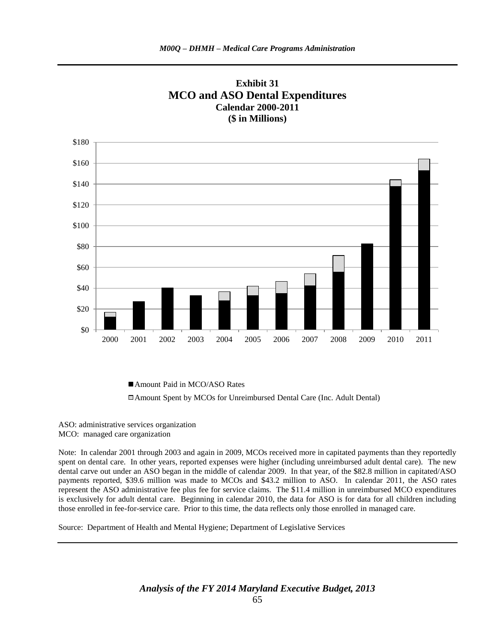

**Exhibit 31 MCO and ASO Dental Expenditures Calendar 2000-2011**

■ Amount Paid in MCO/ASO Rates

Amount Spent by MCOs for Unreimbursed Dental Care (Inc. Adult Dental)

ASO: administrative services organization MCO: managed care organization

Note: In calendar 2001 through 2003 and again in 2009, MCOs received more in capitated payments than they reportedly spent on dental care. In other years, reported expenses were higher (including unreimbursed adult dental care). The new dental carve out under an ASO began in the middle of calendar 2009. In that year, of the \$82.8 million in capitated/ASO payments reported, \$39.6 million was made to MCOs and \$43.2 million to ASO. In calendar 2011, the ASO rates represent the ASO administrative fee plus fee for service claims. The \$11.4 million in unreimbursed MCO expenditures is exclusively for adult dental care. Beginning in calendar 2010, the data for ASO is for data for all children including those enrolled in fee-for-service care. Prior to this time, the data reflects only those enrolled in managed care.

Source: Department of Health and Mental Hygiene; Department of Legislative Services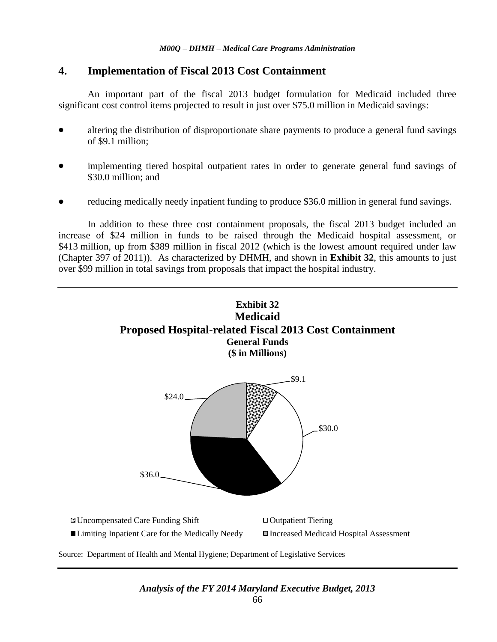# **4. Implementation of Fiscal 2013 Cost Containment**

An important part of the fiscal 2013 budget formulation for Medicaid included three significant cost control items projected to result in just over \$75.0 million in Medicaid savings:

- altering the distribution of disproportionate share payments to produce a general fund savings of \$9.1 million;
- implementing tiered hospital outpatient rates in order to generate general fund savings of \$30.0 million; and
- reducing medically needy inpatient funding to produce \$36.0 million in general fund savings.

In addition to these three cost containment proposals, the fiscal 2013 budget included an increase of \$24 million in funds to be raised through the Medicaid hospital assessment, or \$413 million, up from \$389 million in fiscal 2012 (which is the lowest amount required under law (Chapter 397 of 2011)). As characterized by DHMH, and shown in **Exhibit 32**, this amounts to just over \$99 million in total savings from proposals that impact the hospital industry.

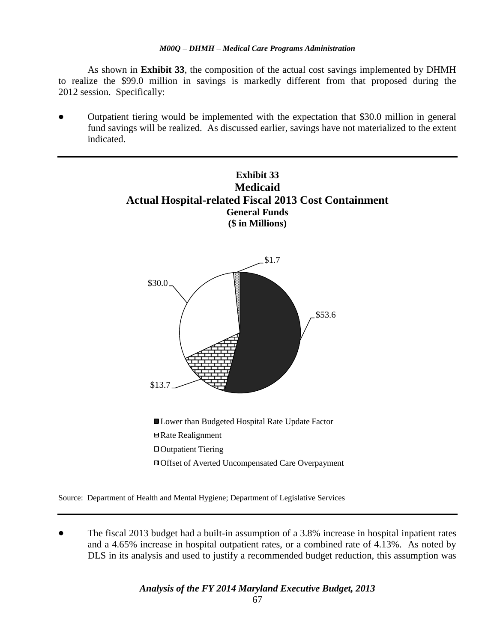As shown in **Exhibit 33**, the composition of the actual cost savings implemented by DHMH to realize the \$99.0 million in savings is markedly different from that proposed during the 2012 session. Specifically:

 Outpatient tiering would be implemented with the expectation that \$30.0 million in general fund savings will be realized. As discussed earlier, savings have not materialized to the extent indicated.



Source: Department of Health and Mental Hygiene; Department of Legislative Services

 The fiscal 2013 budget had a built-in assumption of a 3.8% increase in hospital inpatient rates and a 4.65% increase in hospital outpatient rates, or a combined rate of 4.13%. As noted by DLS in its analysis and used to justify a recommended budget reduction, this assumption was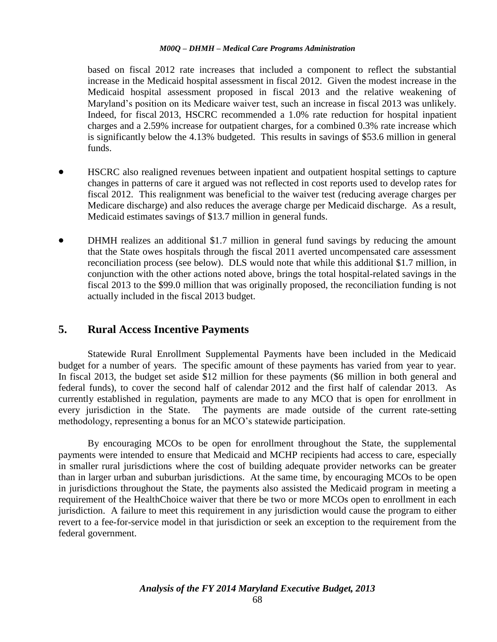based on fiscal 2012 rate increases that included a component to reflect the substantial increase in the Medicaid hospital assessment in fiscal 2012. Given the modest increase in the Medicaid hospital assessment proposed in fiscal 2013 and the relative weakening of Maryland's position on its Medicare waiver test, such an increase in fiscal 2013 was unlikely. Indeed, for fiscal 2013, HSCRC recommended a 1.0% rate reduction for hospital inpatient charges and a 2.59% increase for outpatient charges, for a combined 0.3% rate increase which is significantly below the 4.13% budgeted. This results in savings of \$53.6 million in general funds.

- HSCRC also realigned revenues between inpatient and outpatient hospital settings to capture changes in patterns of care it argued was not reflected in cost reports used to develop rates for fiscal 2012. This realignment was beneficial to the waiver test (reducing average charges per Medicare discharge) and also reduces the average charge per Medicaid discharge. As a result, Medicaid estimates savings of \$13.7 million in general funds.
- DHMH realizes an additional \$1.7 million in general fund savings by reducing the amount that the State owes hospitals through the fiscal 2011 averted uncompensated care assessment reconciliation process (see below). DLS would note that while this additional \$1.7 million, in conjunction with the other actions noted above, brings the total hospital-related savings in the fiscal 2013 to the \$99.0 million that was originally proposed, the reconciliation funding is not actually included in the fiscal 2013 budget.

# **5. Rural Access Incentive Payments**

Statewide Rural Enrollment Supplemental Payments have been included in the Medicaid budget for a number of years. The specific amount of these payments has varied from year to year. In fiscal 2013, the budget set aside \$12 million for these payments (\$6 million in both general and federal funds), to cover the second half of calendar 2012 and the first half of calendar 2013. As currently established in regulation, payments are made to any MCO that is open for enrollment in every jurisdiction in the State. The payments are made outside of the current rate-setting methodology, representing a bonus for an MCO's statewide participation.

By encouraging MCOs to be open for enrollment throughout the State, the supplemental payments were intended to ensure that Medicaid and MCHP recipients had access to care, especially in smaller rural jurisdictions where the cost of building adequate provider networks can be greater than in larger urban and suburban jurisdictions. At the same time, by encouraging MCOs to be open in jurisdictions throughout the State, the payments also assisted the Medicaid program in meeting a requirement of the HealthChoice waiver that there be two or more MCOs open to enrollment in each jurisdiction. A failure to meet this requirement in any jurisdiction would cause the program to either revert to a fee-for-service model in that jurisdiction or seek an exception to the requirement from the federal government.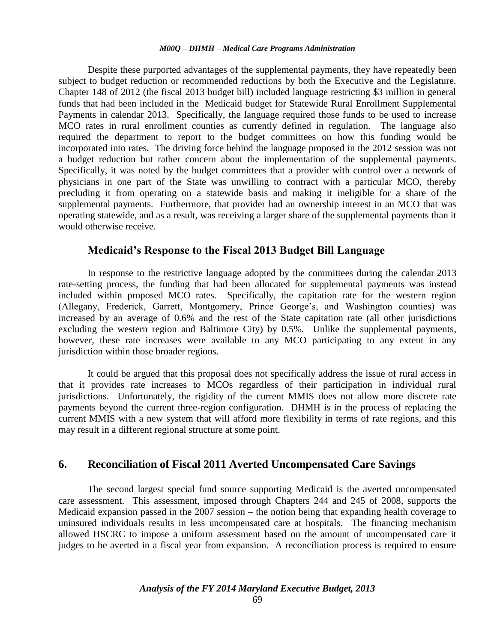Despite these purported advantages of the supplemental payments, they have repeatedly been subject to budget reduction or recommended reductions by both the Executive and the Legislature. Chapter 148 of 2012 (the fiscal 2013 budget bill) included language restricting \$3 million in general funds that had been included in the Medicaid budget for Statewide Rural Enrollment Supplemental Payments in calendar 2013. Specifically, the language required those funds to be used to increase MCO rates in rural enrollment counties as currently defined in regulation. The language also required the department to report to the budget committees on how this funding would be incorporated into rates. The driving force behind the language proposed in the 2012 session was not a budget reduction but rather concern about the implementation of the supplemental payments. Specifically, it was noted by the budget committees that a provider with control over a network of physicians in one part of the State was unwilling to contract with a particular MCO, thereby precluding it from operating on a statewide basis and making it ineligible for a share of the supplemental payments. Furthermore, that provider had an ownership interest in an MCO that was operating statewide, and as a result, was receiving a larger share of the supplemental payments than it would otherwise receive.

### **Medicaid's Response to the Fiscal 2013 Budget Bill Language**

In response to the restrictive language adopted by the committees during the calendar 2013 rate-setting process, the funding that had been allocated for supplemental payments was instead included within proposed MCO rates. Specifically, the capitation rate for the western region (Allegany, Frederick, Garrett, Montgomery, Prince George's, and Washington counties) was increased by an average of 0.6% and the rest of the State capitation rate (all other jurisdictions excluding the western region and Baltimore City) by 0.5%. Unlike the supplemental payments, however, these rate increases were available to any MCO participating to any extent in any jurisdiction within those broader regions.

It could be argued that this proposal does not specifically address the issue of rural access in that it provides rate increases to MCOs regardless of their participation in individual rural jurisdictions. Unfortunately, the rigidity of the current MMIS does not allow more discrete rate payments beyond the current three-region configuration. DHMH is in the process of replacing the current MMIS with a new system that will afford more flexibility in terms of rate regions, and this may result in a different regional structure at some point.

### **6. Reconciliation of Fiscal 2011 Averted Uncompensated Care Savings**

The second largest special fund source supporting Medicaid is the averted uncompensated care assessment. This assessment, imposed through Chapters 244 and 245 of 2008, supports the Medicaid expansion passed in the 2007 session – the notion being that expanding health coverage to uninsured individuals results in less uncompensated care at hospitals. The financing mechanism allowed HSCRC to impose a uniform assessment based on the amount of uncompensated care it judges to be averted in a fiscal year from expansion. A reconciliation process is required to ensure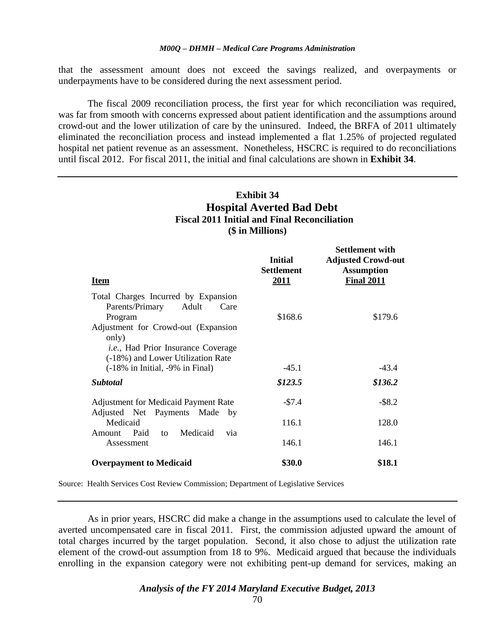that the assessment amount does not exceed the savings realized, and overpayments or underpayments have to be considered during the next assessment period.

The fiscal 2009 reconciliation process, the first year for which reconciliation was required, was far from smooth with concerns expressed about patient identification and the assumptions around crowd-out and the lower utilization of care by the uninsured. Indeed, the BRFA of 2011 ultimately eliminated the reconciliation process and instead implemented a flat 1.25% of projected regulated hospital net patient revenue as an assessment. Nonetheless, HSCRC is required to do reconciliations until fiscal 2012. For fiscal 2011, the initial and final calculations are shown in **Exhibit 34**.

# **Exhibit 34 Hospital Averted Bad Debt Fiscal 2011 Initial and Final Reconciliation (\$ in Millions)**

**Settlement with** 

| <u>Item</u>                                                                                                                                                                                                           | <b>Initial</b><br><b>Settlement</b><br><u>2011</u> | Settlement with<br><b>Adjusted Crowd-out</b><br><b>Assumption</b><br><b>Final 2011</b> |
|-----------------------------------------------------------------------------------------------------------------------------------------------------------------------------------------------------------------------|----------------------------------------------------|----------------------------------------------------------------------------------------|
| Total Charges Incurred by Expansion<br>Adult<br>Parents/Primary<br>Care<br>Program<br>Adjustment for Crowd-out (Expansion<br>only)<br><i>i.e.</i> , Had Prior Insurance Coverage<br>(-18%) and Lower Utilization Rate | \$168.6                                            | \$179.6                                                                                |
| $(-18\% \text{ in Initial}, -9\% \text{ in Final})$                                                                                                                                                                   | $-45.1$                                            | $-43.4$                                                                                |
| <i><b>Subtotal</b></i>                                                                                                                                                                                                | \$123.5                                            | \$136.2                                                                                |
| <b>Adjustment for Medicaid Payment Rate</b><br>Adjusted Net Payments Made by                                                                                                                                          | $-57.4$                                            | $-$ \$8.2                                                                              |
| Medicaid                                                                                                                                                                                                              | 116.1                                              | 128.0                                                                                  |
| Medicaid<br>Paid<br>Amount<br>to<br>via<br>Assessment                                                                                                                                                                 | 146.1                                              | 146.1                                                                                  |
| <b>Overpayment to Medicaid</b>                                                                                                                                                                                        | \$30.0                                             | \$18.1                                                                                 |

Source: Health Services Cost Review Commission; Department of Legislative Services

As in prior years, HSCRC did make a change in the assumptions used to calculate the level of averted uncompensated care in fiscal 2011. First, the commission adjusted upward the amount of total charges incurred by the target population. Second, it also chose to adjust the utilization rate element of the crowd-out assumption from 18 to 9%. Medicaid argued that because the individuals enrolling in the expansion category were not exhibiting pent-up demand for services, making an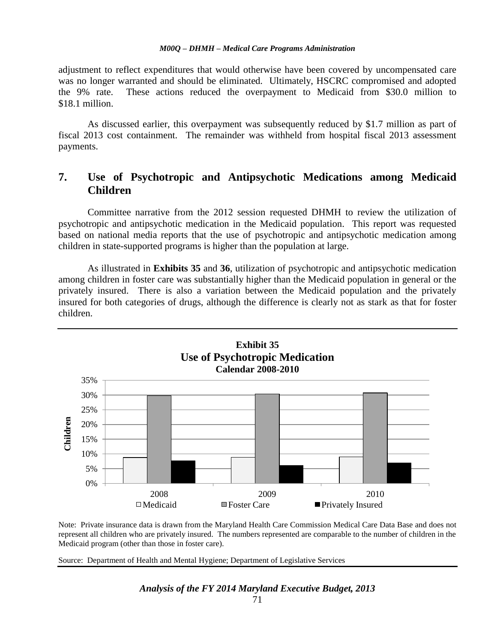adjustment to reflect expenditures that would otherwise have been covered by uncompensated care was no longer warranted and should be eliminated. Ultimately, HSCRC compromised and adopted the 9% rate. These actions reduced the overpayment to Medicaid from \$30.0 million to \$18.1 million.

As discussed earlier, this overpayment was subsequently reduced by \$1.7 million as part of fiscal 2013 cost containment. The remainder was withheld from hospital fiscal 2013 assessment payments.

# **7. Use of Psychotropic and Antipsychotic Medications among Medicaid Children**

Committee narrative from the 2012 session requested DHMH to review the utilization of psychotropic and antipsychotic medication in the Medicaid population. This report was requested based on national media reports that the use of psychotropic and antipsychotic medication among children in state-supported programs is higher than the population at large.

As illustrated in **Exhibits 35** and **36**, utilization of psychotropic and antipsychotic medication among children in foster care was substantially higher than the Medicaid population in general or the privately insured. There is also a variation between the Medicaid population and the privately insured for both categories of drugs, although the difference is clearly not as stark as that for foster children.



Note: Private insurance data is drawn from the Maryland Health Care Commission Medical Care Data Base and does not represent all children who are privately insured. The numbers represented are comparable to the number of children in the Medicaid program (other than those in foster care).

Source: Department of Health and Mental Hygiene; Department of Legislative Services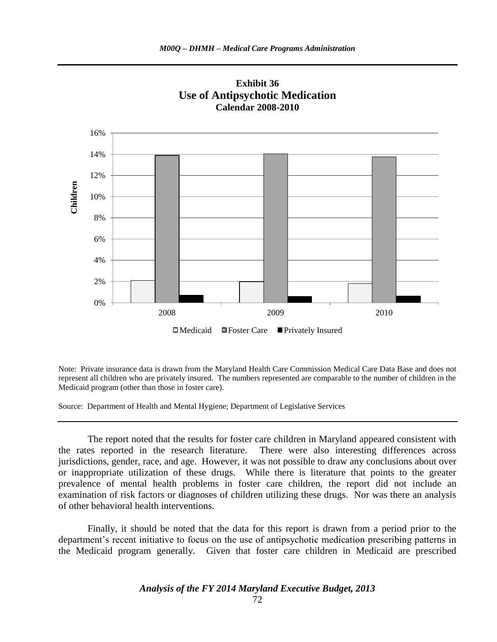

**Exhibit 36 Use of Antipsychotic Medication Calendar 2008-2010**

Note: Private insurance data is drawn from the Maryland Health Care Commission Medical Care Data Base and does not represent all children who are privately insured. The numbers represented are comparable to the number of children in the Medicaid program (other than those in foster care).

Source: Department of Health and Mental Hygiene; Department of Legislative Services

The report noted that the results for foster care children in Maryland appeared consistent with the rates reported in the research literature. There were also interesting differences across jurisdictions, gender, race, and age. However, it was not possible to draw any conclusions about over or inappropriate utilization of these drugs. While there is literature that points to the greater prevalence of mental health problems in foster care children, the report did not include an examination of risk factors or diagnoses of children utilizing these drugs. Nor was there an analysis of other behavioral health interventions.

Finally, it should be noted that the data for this report is drawn from a period prior to the department's recent initiative to focus on the use of antipsychotic medication prescribing patterns in the Medicaid program generally. Given that foster care children in Medicaid are prescribed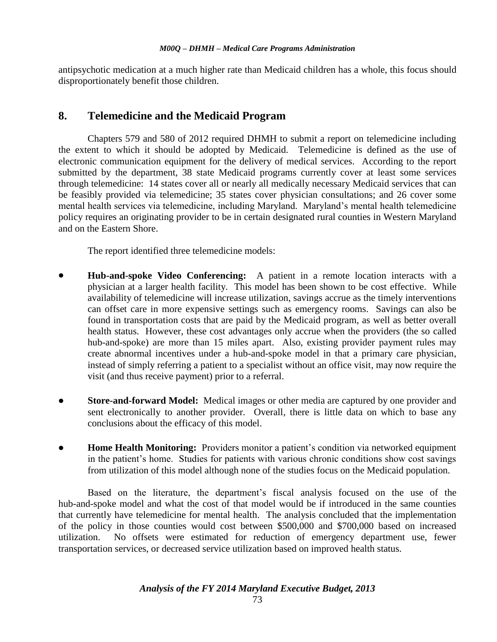antipsychotic medication at a much higher rate than Medicaid children has a whole, this focus should disproportionately benefit those children.

### **8. Telemedicine and the Medicaid Program**

Chapters 579 and 580 of 2012 required DHMH to submit a report on telemedicine including the extent to which it should be adopted by Medicaid. Telemedicine is defined as the use of electronic communication equipment for the delivery of medical services. According to the report submitted by the department, 38 state Medicaid programs currently cover at least some services through telemedicine: 14 states cover all or nearly all medically necessary Medicaid services that can be feasibly provided via telemedicine; 35 states cover physician consultations; and 26 cover some mental health services via telemedicine, including Maryland. Maryland's mental health telemedicine policy requires an originating provider to be in certain designated rural counties in Western Maryland and on the Eastern Shore.

The report identified three telemedicine models:

- **Hub-and-spoke Video Conferencing:** A patient in a remote location interacts with a physician at a larger health facility. This model has been shown to be cost effective. While availability of telemedicine will increase utilization, savings accrue as the timely interventions can offset care in more expensive settings such as emergency rooms. Savings can also be found in transportation costs that are paid by the Medicaid program, as well as better overall health status. However, these cost advantages only accrue when the providers (the so called hub-and-spoke) are more than 15 miles apart. Also, existing provider payment rules may create abnormal incentives under a hub-and-spoke model in that a primary care physician, instead of simply referring a patient to a specialist without an office visit, may now require the visit (and thus receive payment) prior to a referral.
- **Store-and-forward Model:** Medical images or other media are captured by one provider and sent electronically to another provider. Overall, there is little data on which to base any conclusions about the efficacy of this model.
- **Home Health Monitoring:** Providers monitor a patient's condition via networked equipment in the patient's home. Studies for patients with various chronic conditions show cost savings from utilization of this model although none of the studies focus on the Medicaid population.

Based on the literature, the department's fiscal analysis focused on the use of the hub-and-spoke model and what the cost of that model would be if introduced in the same counties that currently have telemedicine for mental health. The analysis concluded that the implementation of the policy in those counties would cost between \$500,000 and \$700,000 based on increased utilization. No offsets were estimated for reduction of emergency department use, fewer transportation services, or decreased service utilization based on improved health status.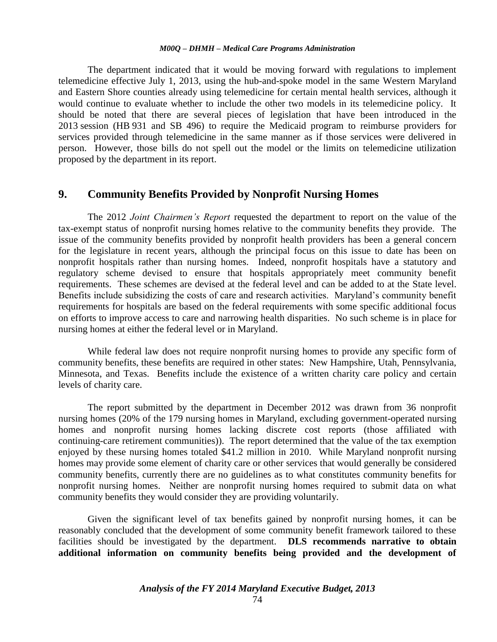#### *M00Q – DHMH – Medical Care Programs Administration*

The department indicated that it would be moving forward with regulations to implement telemedicine effective July 1, 2013, using the hub-and-spoke model in the same Western Maryland and Eastern Shore counties already using telemedicine for certain mental health services, although it would continue to evaluate whether to include the other two models in its telemedicine policy. It should be noted that there are several pieces of legislation that have been introduced in the 2013 session (HB 931 and SB 496) to require the Medicaid program to reimburse providers for services provided through telemedicine in the same manner as if those services were delivered in person. However, those bills do not spell out the model or the limits on telemedicine utilization proposed by the department in its report.

### **9. Community Benefits Provided by Nonprofit Nursing Homes**

The 2012 *Joint Chairmen's Report* requested the department to report on the value of the tax-exempt status of nonprofit nursing homes relative to the community benefits they provide. The issue of the community benefits provided by nonprofit health providers has been a general concern for the legislature in recent years, although the principal focus on this issue to date has been on nonprofit hospitals rather than nursing homes. Indeed, nonprofit hospitals have a statutory and regulatory scheme devised to ensure that hospitals appropriately meet community benefit requirements. These schemes are devised at the federal level and can be added to at the State level. Benefits include subsidizing the costs of care and research activities. Maryland's community benefit requirements for hospitals are based on the federal requirements with some specific additional focus on efforts to improve access to care and narrowing health disparities. No such scheme is in place for nursing homes at either the federal level or in Maryland.

While federal law does not require nonprofit nursing homes to provide any specific form of community benefits, these benefits are required in other states: New Hampshire, Utah, Pennsylvania, Minnesota, and Texas. Benefits include the existence of a written charity care policy and certain levels of charity care.

The report submitted by the department in December 2012 was drawn from 36 nonprofit nursing homes (20% of the 179 nursing homes in Maryland, excluding government-operated nursing homes and nonprofit nursing homes lacking discrete cost reports (those affiliated with continuing-care retirement communities)). The report determined that the value of the tax exemption enjoyed by these nursing homes totaled \$41.2 million in 2010. While Maryland nonprofit nursing homes may provide some element of charity care or other services that would generally be considered community benefits, currently there are no guidelines as to what constitutes community benefits for nonprofit nursing homes. Neither are nonprofit nursing homes required to submit data on what community benefits they would consider they are providing voluntarily.

Given the significant level of tax benefits gained by nonprofit nursing homes, it can be reasonably concluded that the development of some community benefit framework tailored to these facilities should be investigated by the department. **DLS recommends narrative to obtain additional information on community benefits being provided and the development of**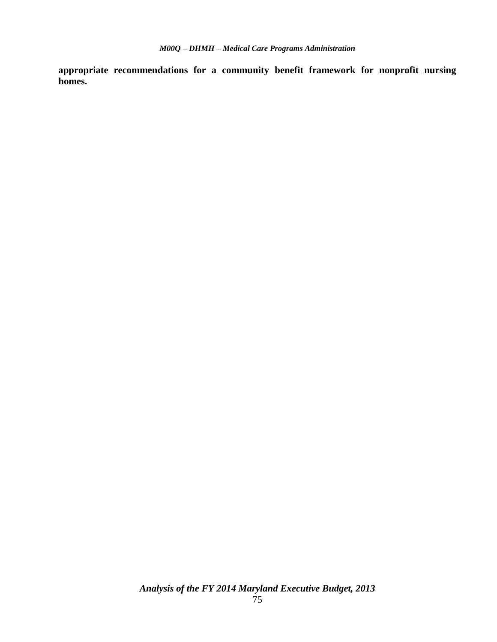**appropriate recommendations for a community benefit framework for nonprofit nursing homes.**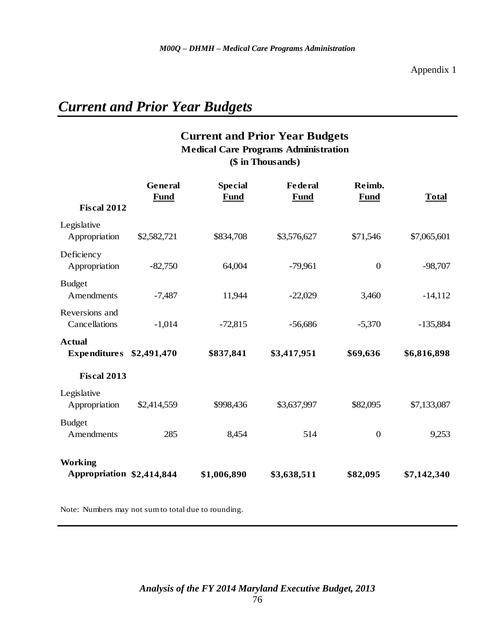# *Current and Prior Year Budgets*

### **Current and Prior Year Budgets (\$ in Thousands) Medical Care Programs Administration**

| <b>Fiscal 2012</b>                          | <b>General</b><br><b>Fund</b> | <b>Special</b><br><b>Fund</b> | <b>Federal</b><br>Fund | Reimb.<br><b>Fund</b> | <b>Total</b> |
|---------------------------------------------|-------------------------------|-------------------------------|------------------------|-----------------------|--------------|
| Legislative                                 |                               |                               |                        |                       |              |
| Appropriation                               | \$2,582,721                   | \$834,708                     | \$3,576,627            | \$71,546              | \$7,065,601  |
| Deficiency                                  |                               |                               |                        |                       |              |
| Appropriation                               | $-82,750$                     | 64,004                        | $-79,961$              | $\overline{0}$        | $-98,707$    |
| <b>Budget</b>                               |                               |                               |                        |                       |              |
| Amendments                                  | $-7,487$                      | 11,944                        | $-22,029$              | 3,460                 | $-14,112$    |
| Reversions and                              |                               |                               |                        |                       |              |
| Cancellations                               | $-1,014$                      | $-72,815$                     | $-56,686$              | $-5,370$              | $-135,884$   |
| <b>Actual</b>                               |                               |                               |                        |                       |              |
| <b>Expenditures</b>                         | \$2,491,470                   | \$837,841                     | \$3,417,951            | \$69,636              | \$6,816,898  |
| <b>Fiscal 2013</b>                          |                               |                               |                        |                       |              |
| Legislative                                 |                               |                               |                        |                       |              |
| Appropriation                               | \$2,414,559                   | \$998,436                     | \$3,637,997            | \$82,095              | \$7,133,087  |
| <b>Budget</b>                               |                               |                               |                        |                       |              |
| Amendments                                  | 285                           | 8,454                         | 514                    | $\boldsymbol{0}$      | 9,253        |
|                                             |                               |                               |                        |                       |              |
| <b>Working</b><br>Appropriation \$2,414,844 |                               | \$1,006,890                   | \$3,638,511            | \$82,095              | \$7,142,340  |

Note: Numbers may not sum to total due to rounding.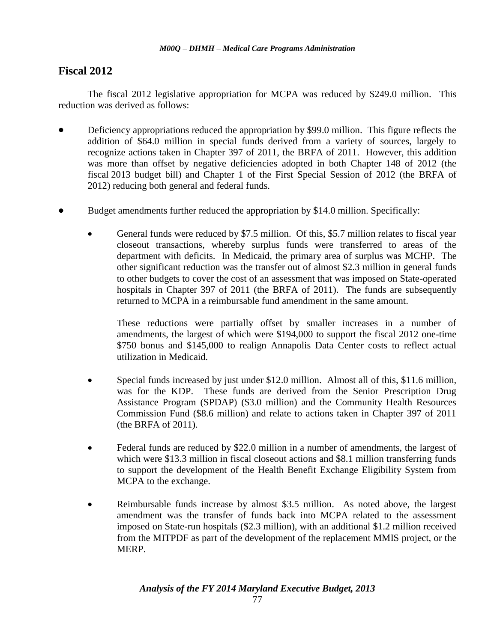### **Fiscal 2012**

The fiscal 2012 legislative appropriation for MCPA was reduced by \$249.0 million. This reduction was derived as follows:

- Deficiency appropriations reduced the appropriation by \$99.0 million. This figure reflects the addition of \$64.0 million in special funds derived from a variety of sources, largely to recognize actions taken in Chapter 397 of 2011, the BRFA of 2011. However, this addition was more than offset by negative deficiencies adopted in both Chapter 148 of 2012 (the fiscal 2013 budget bill) and Chapter 1 of the First Special Session of 2012 (the BRFA of 2012) reducing both general and federal funds.
- Budget amendments further reduced the appropriation by \$14.0 million. Specifically:
	- General funds were reduced by \$7.5 million. Of this, \$5.7 million relates to fiscal year closeout transactions, whereby surplus funds were transferred to areas of the department with deficits. In Medicaid, the primary area of surplus was MCHP. The other significant reduction was the transfer out of almost \$2.3 million in general funds to other budgets to cover the cost of an assessment that was imposed on State-operated hospitals in Chapter 397 of 2011 (the BRFA of 2011). The funds are subsequently returned to MCPA in a reimbursable fund amendment in the same amount.

These reductions were partially offset by smaller increases in a number of amendments, the largest of which were \$194,000 to support the fiscal 2012 one-time \$750 bonus and \$145,000 to realign Annapolis Data Center costs to reflect actual utilization in Medicaid.

- Special funds increased by just under \$12.0 million. Almost all of this, \$11.6 million, was for the KDP. These funds are derived from the Senior Prescription Drug Assistance Program (SPDAP) (\$3.0 million) and the Community Health Resources Commission Fund (\$8.6 million) and relate to actions taken in Chapter 397 of 2011 (the BRFA of 2011).
- Federal funds are reduced by \$22.0 million in a number of amendments, the largest of which were \$13.3 million in fiscal closeout actions and \$8.1 million transferring funds to support the development of the Health Benefit Exchange Eligibility System from MCPA to the exchange.
- Reimbursable funds increase by almost \$3.5 million. As noted above, the largest amendment was the transfer of funds back into MCPA related to the assessment imposed on State-run hospitals (\$2.3 million), with an additional \$1.2 million received from the MITPDF as part of the development of the replacement MMIS project, or the MERP.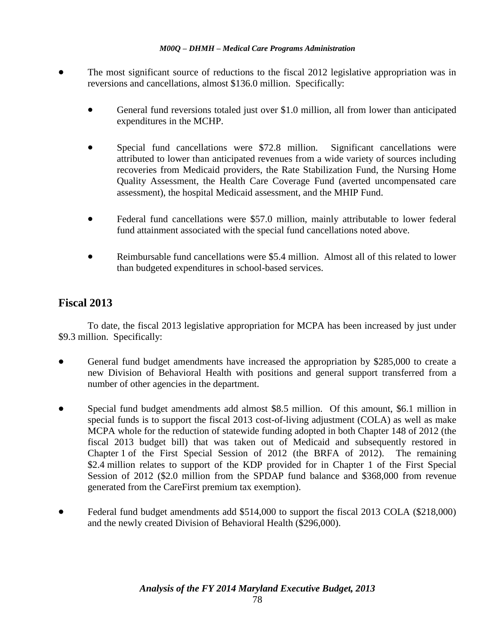#### *M00Q – DHMH – Medical Care Programs Administration*

- The most significant source of reductions to the fiscal 2012 legislative appropriation was in reversions and cancellations, almost \$136.0 million. Specifically:
	- General fund reversions totaled just over \$1.0 million, all from lower than anticipated expenditures in the MCHP.
	- Special fund cancellations were \$72.8 million. Significant cancellations were attributed to lower than anticipated revenues from a wide variety of sources including recoveries from Medicaid providers, the Rate Stabilization Fund, the Nursing Home Quality Assessment, the Health Care Coverage Fund (averted uncompensated care assessment), the hospital Medicaid assessment, and the MHIP Fund.
	- Federal fund cancellations were \$57.0 million, mainly attributable to lower federal fund attainment associated with the special fund cancellations noted above.
	- Reimbursable fund cancellations were \$5.4 million. Almost all of this related to lower than budgeted expenditures in school-based services.

### **Fiscal 2013**

To date, the fiscal 2013 legislative appropriation for MCPA has been increased by just under \$9.3 million. Specifically:

- General fund budget amendments have increased the appropriation by \$285,000 to create a new Division of Behavioral Health with positions and general support transferred from a number of other agencies in the department.
- Special fund budget amendments add almost \$8.5 million. Of this amount, \$6.1 million in special funds is to support the fiscal 2013 cost-of-living adjustment (COLA) as well as make MCPA whole for the reduction of statewide funding adopted in both Chapter 148 of 2012 (the fiscal 2013 budget bill) that was taken out of Medicaid and subsequently restored in Chapter 1 of the First Special Session of 2012 (the BRFA of 2012). The remaining \$2.4 million relates to support of the KDP provided for in Chapter 1 of the First Special Session of 2012 (\$2.0 million from the SPDAP fund balance and \$368,000 from revenue generated from the CareFirst premium tax exemption).
- Federal fund budget amendments add \$514,000 to support the fiscal 2013 COLA (\$218,000) and the newly created Division of Behavioral Health (\$296,000).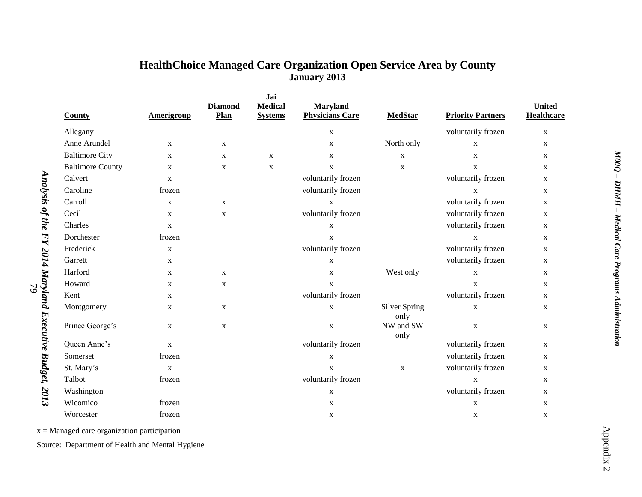## **HealthChoice Managed Care Organization Open Service Area by County January 2013**

|                                                         | County                  | <b>Amerigroup</b> | <b>Diamond</b><br>Plan | Jai<br><b>Medical</b><br><b>Systems</b> | Maryland<br><b>Physicians Care</b> | <b>MedStar</b>               | <b>Priority Partners</b>  | <b>United</b><br><b>Healthcare</b> |
|---------------------------------------------------------|-------------------------|-------------------|------------------------|-----------------------------------------|------------------------------------|------------------------------|---------------------------|------------------------------------|
|                                                         | Allegany                |                   |                        |                                         | $\mathbf X$                        |                              | voluntarily frozen        | $\mathbf X$                        |
|                                                         | Anne Arundel            | $\mathbf X$       | X                      |                                         | $\mathbf X$                        | North only                   | $\mathbf X$               | $\mathbf X$                        |
|                                                         | <b>Baltimore City</b>   | $\mathbf X$       | $\mathbf{X}$           | $\mathbf X$                             | $\mathbf{X}$                       | $\mathbf X$                  | $\mathbf{X}$              | X                                  |
|                                                         | <b>Baltimore County</b> | $\mathbf X$       | X                      | $\mathbf X$                             | $\mathbf{X}$                       | $\mathbf X$                  | $\mathbf{X}$              | $\mathbf X$                        |
|                                                         | Calvert                 | $\mathbf X$       |                        |                                         | voluntarily frozen                 |                              | voluntarily frozen        | X                                  |
|                                                         | Caroline                | frozen            |                        |                                         | voluntarily frozen                 |                              | $\mathbf X$               | $\mathbf X$                        |
|                                                         | Carroll                 | $\mathbf X$       | $\mathbf{X}$           |                                         | $\mathbf X$                        |                              | voluntarily frozen        | $\mathbf X$                        |
|                                                         | Cecil                   | $\mathbf X$       | X                      |                                         | voluntarily frozen                 |                              | voluntarily frozen        | $\mathbf X$                        |
|                                                         | Charles                 | $\mathbf X$       |                        |                                         | $\mathbf X$                        |                              | voluntarily frozen        | X                                  |
|                                                         | Dorchester              | frozen            |                        |                                         | $\mathbf{X}$                       |                              | $\mathbf{x}$              | X                                  |
| Analysis of the FY 2014 Maryland Executive Budget, 2013 | Frederick               | $\mathbf X$       |                        |                                         | voluntarily frozen                 |                              | voluntarily frozen        | $\mathbf X$                        |
|                                                         | Garrett                 | $\mathbf X$       |                        |                                         | $\mathbf X$                        |                              | voluntarily frozen        | $\mathbf X$                        |
|                                                         | Harford                 | $\mathbf X$       | $\mathbf X$            |                                         | $\mathbf X$                        | West only                    | $\mathbf X$               | $\mathbf X$                        |
|                                                         | Howard                  | $\mathbf X$       | $\mathbf{X}$           |                                         | $\mathbf X$                        |                              | $\mathbf X$               | X                                  |
|                                                         | Kent                    | X                 |                        |                                         | voluntarily frozen                 |                              | voluntarily frozen        | $\mathbf X$                        |
|                                                         | Montgomery              | X                 | X                      |                                         | $\mathbf X$                        | <b>Silver Spring</b><br>only | $\mathbf X$               | X                                  |
|                                                         | Prince George's         | $\mathbf X$       | $\mathbf X$            |                                         | $\mathbf X$                        | NW and SW<br>only            | $\boldsymbol{\mathrm{X}}$ | $\mathbf X$                        |
|                                                         | Queen Anne's            | $\mathbf X$       |                        |                                         | voluntarily frozen                 |                              | voluntarily frozen        | X                                  |
|                                                         | Somerset                | frozen            |                        |                                         | $\mathbf X$                        |                              | voluntarily frozen        | X                                  |
|                                                         | St. Mary's              | $\mathbf X$       |                        |                                         | $\mathbf{X}$                       | $\mathbf{X}$                 | voluntarily frozen        | $\mathbf X$                        |
|                                                         | Talbot                  | frozen            |                        |                                         | voluntarily frozen                 |                              | $\mathbf X$               | X                                  |
|                                                         | Washington              |                   |                        |                                         | $\mathbf X$                        |                              | voluntarily frozen        | $\mathbf X$                        |
|                                                         | Wicomico                | frozen            |                        |                                         | $\mathbf X$                        |                              | $\mathbf X$               | $\mathbf X$                        |
|                                                         | Worcester               | frozen            |                        |                                         | X                                  |                              | X                         | $\mathbf X$                        |

 $x =$ Managed care organization participation

79

Source: Department of Health and Mental Hygiene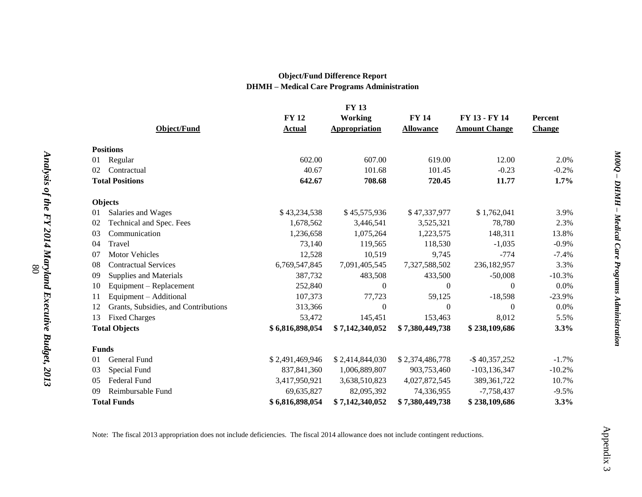#### **Object/Fund Difference Report DHMH – Medical Care Programs Administration**

|                      | <b>FY 13</b>                         |                 |                      |                  |                      |               |
|----------------------|--------------------------------------|-----------------|----------------------|------------------|----------------------|---------------|
|                      |                                      | <b>FY 12</b>    | Working              | <b>FY 14</b>     | FY 13 - FY 14        | Percent       |
|                      | Object/Fund                          | <b>Actual</b>   | <b>Appropriation</b> | <b>Allowance</b> | <b>Amount Change</b> | <b>Change</b> |
|                      | <b>Positions</b>                     |                 |                      |                  |                      |               |
| 01                   | Regular                              | 602.00          | 607.00               | 619.00           | 12.00                | 2.0%          |
| 02                   | Contractual                          | 40.67           | 101.68               | 101.45           | $-0.23$              | $-0.2%$       |
|                      | <b>Total Positions</b>               | 642.67          | 708.68               | 720.45           | 11.77                | 1.7%          |
|                      | <b>Objects</b>                       |                 |                      |                  |                      |               |
| 01                   | Salaries and Wages                   | \$43,234,538    | \$45,575,936         | \$47,337,977     | \$1,762,041          | 3.9%          |
| 02                   | Technical and Spec. Fees             | 1,678,562       | 3,446,541            | 3,525,321        | 78,780               | 2.3%          |
| 03                   | Communication                        | 1,236,658       | 1,075,264            | 1,223,575        | 148,311              | 13.8%         |
| 04                   | Travel                               | 73,140          | 119,565              | 118,530          | $-1,035$             | $-0.9%$       |
| 07                   | <b>Motor Vehicles</b>                | 12,528          | 10,519               | 9,745            | $-774$               | $-7.4%$       |
| 08                   | <b>Contractual Services</b>          | 6,769,547,845   | 7,091,405,545        | 7,327,588,502    | 236,182,957          | 3.3%          |
| 09                   | Supplies and Materials               | 387,732         | 483,508              | 433,500          | $-50,008$            | $-10.3%$      |
| 10                   | Equipment – Replacement              | 252,840         | $\Omega$             | $\Omega$         | $\Omega$             | 0.0%          |
| 11                   | Equipment - Additional               | 107,373         | 77,723               | 59,125           | $-18,598$            | $-23.9%$      |
| 12                   | Grants, Subsidies, and Contributions | 313,366         | $\overline{0}$       | $\theta$         | $\theta$             | 0.0%          |
| 13                   | <b>Fixed Charges</b>                 | 53,472          | 145,451              | 153,463          | 8,012                | 5.5%          |
| <b>Total Objects</b> |                                      | \$6,816,898,054 | \$7,142,340,052      | \$7,380,449,738  | \$238,109,686        | 3.3%          |
| <b>Funds</b>         |                                      |                 |                      |                  |                      |               |
| 01                   | General Fund                         | \$2,491,469,946 | \$2,414,844,030      | \$2,374,486,778  | $-$ \$40,357,252     | $-1.7%$       |
| 03                   | Special Fund                         | 837, 841, 360   | 1,006,889,807        | 903,753,460      | $-103, 136, 347$     | $-10.2%$      |
| 05                   | Federal Fund                         | 3,417,950,921   | 3,638,510,823        | 4,027,872,545    | 389, 361, 722        | 10.7%         |
| 09                   | Reimbursable Fund                    | 69,635,827      | 82,095,392           | 74,336,955       | $-7,758,437$         | $-9.5%$       |
| <b>Total Funds</b>   |                                      | \$6,816,898,054 | \$7,142,340,052      | \$7,380,449,738  | \$238,109,686        | 3.3%          |

Note: The fiscal 2013 appropriation does not include deficiencies. The fiscal 2014 allowance does not include contingent reductions.